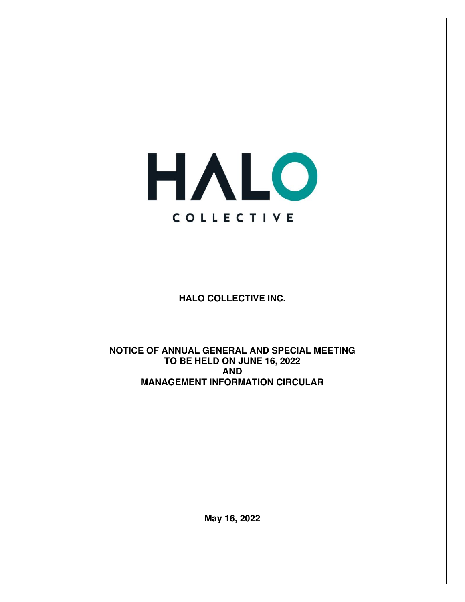

**HALO COLLECTIVE INC.** 

**NOTICE OF ANNUAL GENERAL AND SPECIAL MEETING TO BE HELD ON JUNE 16, 2022 AND MANAGEMENT INFORMATION CIRCULAR** 

**May 16, 2022**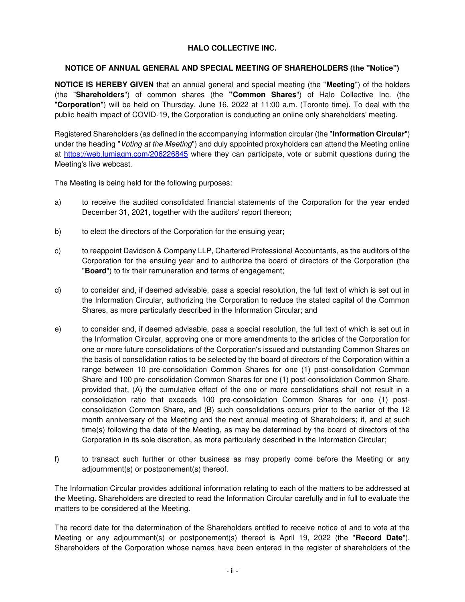# **HALO COLLECTIVE INC.**

## **NOTICE OF ANNUAL GENERAL AND SPECIAL MEETING OF SHAREHOLDERS (the "Notice")**

**NOTICE IS HEREBY GIVEN** that an annual general and special meeting (the "**Meeting**") of the holders (the "**Shareholders**") of common shares (the **"Common Shares**") of Halo Collective Inc. (the "**Corporation**") will be held on Thursday, June 16, 2022 at 11:00 a.m. (Toronto time). To deal with the public health impact of COVID-19, the Corporation is conducting an online only shareholders' meeting.

Registered Shareholders (as defined in the accompanying information circular (the "**Information Circular**") under the heading "Voting at the Meeting") and duly appointed proxyholders can attend the Meeting online at<https://web.lumiagm.com/206226845>where they can participate, vote or submit questions during the Meeting's live webcast.

The Meeting is being held for the following purposes:

- a) to receive the audited consolidated financial statements of the Corporation for the year ended December 31, 2021, together with the auditors' report thereon;
- b) to elect the directors of the Corporation for the ensuing year;
- c) to reappoint Davidson & Company LLP, Chartered Professional Accountants, as the auditors of the Corporation for the ensuing year and to authorize the board of directors of the Corporation (the "**Board**") to fix their remuneration and terms of engagement;
- d) to consider and, if deemed advisable, pass a special resolution, the full text of which is set out in the Information Circular, authorizing the Corporation to reduce the stated capital of the Common Shares, as more particularly described in the Information Circular; and
- e) to consider and, if deemed advisable, pass a special resolution, the full text of which is set out in the Information Circular, approving one or more amendments to the articles of the Corporation for one or more future consolidations of the Corporation's issued and outstanding Common Shares on the basis of consolidation ratios to be selected by the board of directors of the Corporation within a range between 10 pre-consolidation Common Shares for one (1) post-consolidation Common Share and 100 pre-consolidation Common Shares for one (1) post-consolidation Common Share, provided that, (A) the cumulative effect of the one or more consolidations shall not result in a consolidation ratio that exceeds 100 pre-consolidation Common Shares for one (1) postconsolidation Common Share, and (B) such consolidations occurs prior to the earlier of the 12 month anniversary of the Meeting and the next annual meeting of Shareholders; if, and at such time(s) following the date of the Meeting, as may be determined by the board of directors of the Corporation in its sole discretion, as more particularly described in the Information Circular;
- f) to transact such further or other business as may properly come before the Meeting or any adjournment(s) or postponement(s) thereof.

The Information Circular provides additional information relating to each of the matters to be addressed at the Meeting. Shareholders are directed to read the Information Circular carefully and in full to evaluate the matters to be considered at the Meeting.

The record date for the determination of the Shareholders entitled to receive notice of and to vote at the Meeting or any adjournment(s) or postponement(s) thereof is April 19, 2022 (the "**Record Date**"). Shareholders of the Corporation whose names have been entered in the register of shareholders of the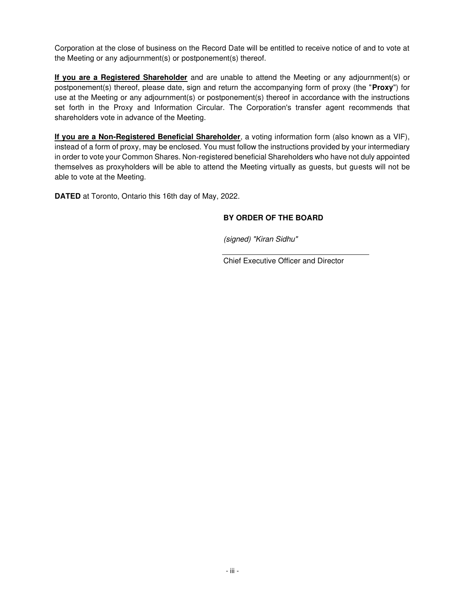Corporation at the close of business on the Record Date will be entitled to receive notice of and to vote at the Meeting or any adjournment(s) or postponement(s) thereof.

**If you are a Registered Shareholder** and are unable to attend the Meeting or any adjournment(s) or postponement(s) thereof, please date, sign and return the accompanying form of proxy (the "**Proxy**") for use at the Meeting or any adjournment(s) or postponement(s) thereof in accordance with the instructions set forth in the Proxy and Information Circular. The Corporation's transfer agent recommends that shareholders vote in advance of the Meeting.

**If you are a Non-Registered Beneficial Shareholder**, a voting information form (also known as a VIF), instead of a form of proxy, may be enclosed. You must follow the instructions provided by your intermediary in order to vote your Common Shares. Non-registered beneficial Shareholders who have not duly appointed themselves as proxyholders will be able to attend the Meeting virtually as guests, but guests will not be able to vote at the Meeting.

**DATED** at Toronto, Ontario this 16th day of May, 2022.

# **BY ORDER OF THE BOARD**

(signed) "Kiran Sidhu"

Chief Executive Officer and Director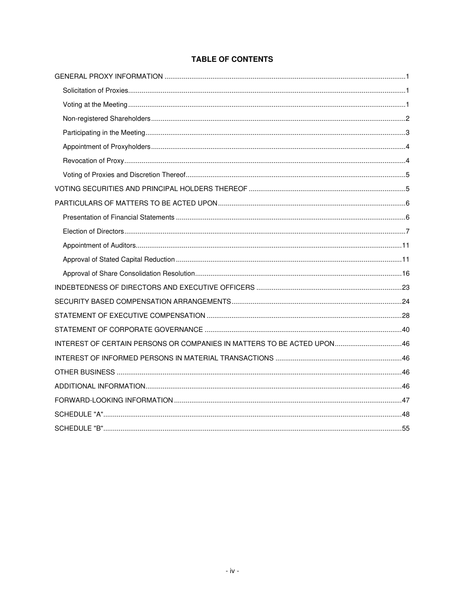| INTEREST OF CERTAIN PERSONS OR COMPANIES IN MATTERS TO BE ACTED UPON46 |  |
|------------------------------------------------------------------------|--|
|                                                                        |  |
|                                                                        |  |
|                                                                        |  |
|                                                                        |  |
|                                                                        |  |
|                                                                        |  |

# **TABLE OF CONTENTS**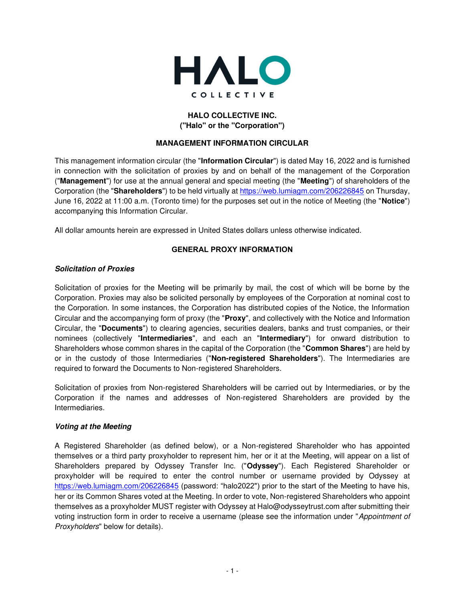

# **HALO COLLECTIVE INC. ("Halo" or the "Corporation")**

## **MANAGEMENT INFORMATION CIRCULAR**

This management information circular (the "**Information Circular**") is dated May 16, 2022 and is furnished in connection with the solicitation of proxies by and on behalf of the management of the Corporation ("**Management**") for use at the annual general and special meeting (the "**Meeting**") of shareholders of the Corporation (the "**Shareholders**") to be held virtually at<https://web.lumiagm.com/206226845> on Thursday, June 16, 2022 at 11:00 a.m. (Toronto time) for the purposes set out in the notice of Meeting (the "**Notice**") accompanying this Information Circular.

All dollar amounts herein are expressed in United States dollars unless otherwise indicated.

## **GENERAL PROXY INFORMATION**

## <span id="page-4-1"></span><span id="page-4-0"></span>**Solicitation of Proxies**

Solicitation of proxies for the Meeting will be primarily by mail, the cost of which will be borne by the Corporation. Proxies may also be solicited personally by employees of the Corporation at nominal cost to the Corporation. In some instances, the Corporation has distributed copies of the Notice, the Information Circular and the accompanying form of proxy (the "**Proxy**", and collectively with the Notice and Information Circular, the "**Documents**") to clearing agencies, securities dealers, banks and trust companies, or their nominees (collectively "**Intermediaries**", and each an "**Intermediary**") for onward distribution to Shareholders whose common shares in the capital of the Corporation (the "**Common Shares**") are held by or in the custody of those Intermediaries ("**Non-registered Shareholders**"). The Intermediaries are required to forward the Documents to Non-registered Shareholders.

Solicitation of proxies from Non-registered Shareholders will be carried out by Intermediaries, or by the Corporation if the names and addresses of Non-registered Shareholders are provided by the Intermediaries.

## <span id="page-4-2"></span>**Voting at the Meeting**

A Registered Shareholder (as defined below), or a Non-registered Shareholder who has appointed themselves or a third party proxyholder to represent him, her or it at the Meeting, will appear on a list of Shareholders prepared by Odyssey Transfer Inc. ("**Odyssey**"). Each Registered Shareholder or proxyholder will be required to enter the control number or username provided by Odyssey at <https://web.lumiagm.com/206226845> (password: "halo2022") prior to the start of the Meeting to have his, her or its Common Shares voted at the Meeting. In order to vote, Non-registered Shareholders who appoint themselves as a proxyholder MUST register with Odyssey at Halo@odysseytrust.com after submitting their voting instruction form in order to receive a username (please see the information under "Appointment of Proxyholders" below for details).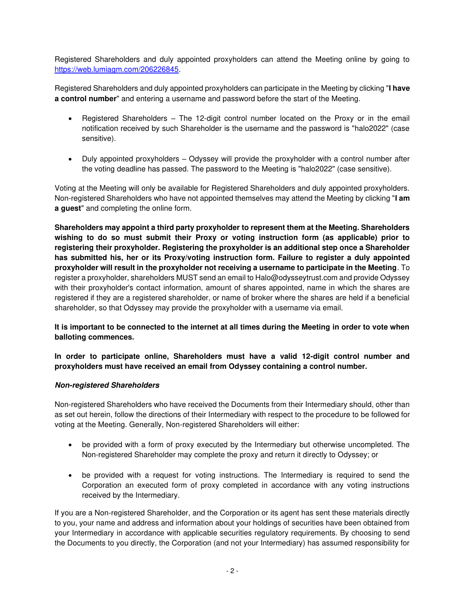Registered Shareholders and duly appointed proxyholders can attend the Meeting online by going to [https://web.lumiagm.com/206226845.](https://web.lumiagm.com/206226845)

Registered Shareholders and duly appointed proxyholders can participate in the Meeting by clicking "**I have a control number**" and entering a username and password before the start of the Meeting.

- Registered Shareholders The 12-digit control number located on the Proxy or in the email notification received by such Shareholder is the username and the password is "halo2022" (case sensitive).
- Duly appointed proxyholders Odyssey will provide the proxyholder with a control number after the voting deadline has passed. The password to the Meeting is "halo2022" (case sensitive).

Voting at the Meeting will only be available for Registered Shareholders and duly appointed proxyholders. Non-registered Shareholders who have not appointed themselves may attend the Meeting by clicking "**I am a guest**" and completing the online form.

**Shareholders may appoint a third party proxyholder to represent them at the Meeting. Shareholders wishing to do so must submit their Proxy or voting instruction form (as applicable) prior to registering their proxyholder. Registering the proxyholder is an additional step once a Shareholder has submitted his, her or its Proxy/voting instruction form. Failure to register a duly appointed proxyholder will result in the proxyholder not receiving a username to participate in the Meeting**. To register a proxyholder, shareholders MUST send an email to Halo@odysseytrust.com and provide Odyssey with their proxyholder's contact information, amount of shares appointed, name in which the shares are registered if they are a registered shareholder, or name of broker where the shares are held if a beneficial shareholder, so that Odyssey may provide the proxyholder with a username via email.

# **It is important to be connected to the internet at all times during the Meeting in order to vote when balloting commences.**

## **In order to participate online, Shareholders must have a valid 12-digit control number and proxyholders must have received an email from Odyssey containing a control number.**

## <span id="page-5-0"></span>**Non-registered Shareholders**

Non-registered Shareholders who have received the Documents from their Intermediary should, other than as set out herein, follow the directions of their Intermediary with respect to the procedure to be followed for voting at the Meeting. Generally, Non-registered Shareholders will either:

- be provided with a form of proxy executed by the Intermediary but otherwise uncompleted. The Non-registered Shareholder may complete the proxy and return it directly to Odyssey; or
- be provided with a request for voting instructions. The Intermediary is required to send the Corporation an executed form of proxy completed in accordance with any voting instructions received by the Intermediary.

If you are a Non-registered Shareholder, and the Corporation or its agent has sent these materials directly to you, your name and address and information about your holdings of securities have been obtained from your Intermediary in accordance with applicable securities regulatory requirements. By choosing to send the Documents to you directly, the Corporation (and not your Intermediary) has assumed responsibility for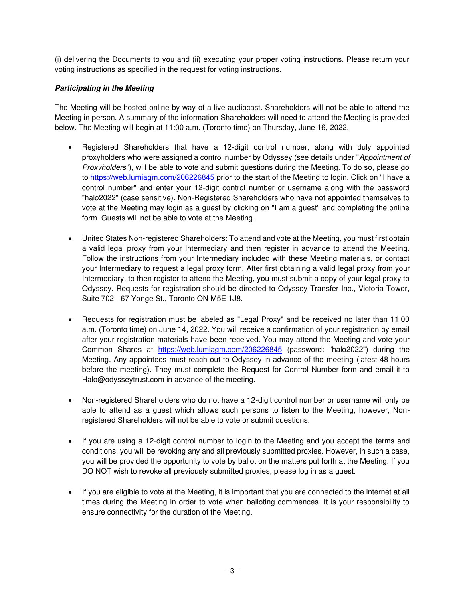(i) delivering the Documents to you and (ii) executing your proper voting instructions. Please return your voting instructions as specified in the request for voting instructions.

# <span id="page-6-0"></span>**Participating in the Meeting**

The Meeting will be hosted online by way of a live audiocast. Shareholders will not be able to attend the Meeting in person. A summary of the information Shareholders will need to attend the Meeting is provided below. The Meeting will begin at 11:00 a.m. (Toronto time) on Thursday, June 16, 2022.

- Registered Shareholders that have a 12-digit control number, along with duly appointed proxyholders who were assigned a control number by Odyssey (see details under "Appointment of Proxyholders"), will be able to vote and submit questions during the Meeting. To do so, please go to<https://web.lumiagm.com/206226845>prior to the start of the Meeting to login. Click on "I have a control number" and enter your 12-digit control number or username along with the password "halo2022" (case sensitive). Non-Registered Shareholders who have not appointed themselves to vote at the Meeting may login as a guest by clicking on "I am a guest" and completing the online form. Guests will not be able to vote at the Meeting.
- United States Non-registered Shareholders: To attend and vote at the Meeting, you must first obtain a valid legal proxy from your Intermediary and then register in advance to attend the Meeting. Follow the instructions from your Intermediary included with these Meeting materials, or contact your Intermediary to request a legal proxy form. After first obtaining a valid legal proxy from your Intermediary, to then register to attend the Meeting, you must submit a copy of your legal proxy to Odyssey. Requests for registration should be directed to Odyssey Transfer Inc., Victoria Tower, Suite 702 - 67 Yonge St., Toronto ON M5E 1J8.
- Requests for registration must be labeled as "Legal Proxy" and be received no later than 11:00 a.m. (Toronto time) on June 14, 2022. You will receive a confirmation of your registration by email after your registration materials have been received. You may attend the Meeting and vote your Common Shares at <https://web.lumiagm.com/206226845>(password: "halo2022") during the Meeting. Any appointees must reach out to Odyssey in advance of the meeting (latest 48 hours before the meeting). They must complete the Request for Control Number form and email it to Halo@odysseytrust.com in advance of the meeting.
- Non-registered Shareholders who do not have a 12-digit control number or username will only be able to attend as a guest which allows such persons to listen to the Meeting, however, Nonregistered Shareholders will not be able to vote or submit questions.
- If you are using a 12-digit control number to login to the Meeting and you accept the terms and conditions, you will be revoking any and all previously submitted proxies. However, in such a case, you will be provided the opportunity to vote by ballot on the matters put forth at the Meeting. If you DO NOT wish to revoke all previously submitted proxies, please log in as a guest.
- If you are eligible to vote at the Meeting, it is important that you are connected to the internet at all times during the Meeting in order to vote when balloting commences. It is your responsibility to ensure connectivity for the duration of the Meeting.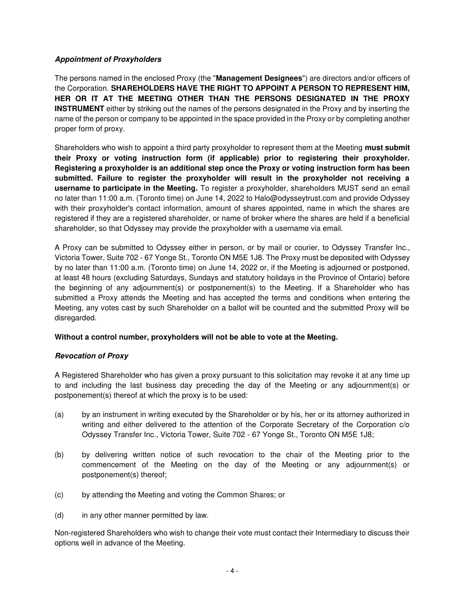## <span id="page-7-0"></span>**Appointment of Proxyholders**

The persons named in the enclosed Proxy (the "**Management Designees**") are directors and/or officers of the Corporation. **SHAREHOLDERS HAVE THE RIGHT TO APPOINT A PERSON TO REPRESENT HIM, HER OR IT AT THE MEETING OTHER THAN THE PERSONS DESIGNATED IN THE PROXY INSTRUMENT** either by striking out the names of the persons designated in the Proxy and by inserting the name of the person or company to be appointed in the space provided in the Proxy or by completing another proper form of proxy.

Shareholders who wish to appoint a third party proxyholder to represent them at the Meeting **must submit their Proxy or voting instruction form (if applicable) prior to registering their proxyholder. Registering a proxyholder is an additional step once the Proxy or voting instruction form has been submitted. Failure to register the proxyholder will result in the proxyholder not receiving a username to participate in the Meeting.** To register a proxyholder, shareholders MUST send an email no later than 11:00 a.m. (Toronto time) on June 14, 2022 to Halo@odysseytrust.com and provide Odyssey with their proxyholder's contact information, amount of shares appointed, name in which the shares are registered if they are a registered shareholder, or name of broker where the shares are held if a beneficial shareholder, so that Odyssey may provide the proxyholder with a username via email.

A Proxy can be submitted to Odyssey either in person, or by mail or courier, to Odyssey Transfer Inc., Victoria Tower, Suite 702 - 67 Yonge St., Toronto ON M5E 1J8. The Proxy must be deposited with Odyssey by no later than 11:00 a.m. (Toronto time) on June 14, 2022 or, if the Meeting is adjourned or postponed, at least 48 hours (excluding Saturdays, Sundays and statutory holidays in the Province of Ontario) before the beginning of any adjournment(s) or postponement(s) to the Meeting. If a Shareholder who has submitted a Proxy attends the Meeting and has accepted the terms and conditions when entering the Meeting, any votes cast by such Shareholder on a ballot will be counted and the submitted Proxy will be disregarded.

## **Without a control number, proxyholders will not be able to vote at the Meeting.**

## <span id="page-7-1"></span>**Revocation of Proxy**

A Registered Shareholder who has given a proxy pursuant to this solicitation may revoke it at any time up to and including the last business day preceding the day of the Meeting or any adjournment(s) or postponement(s) thereof at which the proxy is to be used:

- (a) by an instrument in writing executed by the Shareholder or by his, her or its attorney authorized in writing and either delivered to the attention of the Corporate Secretary of the Corporation c/o Odyssey Transfer Inc., Victoria Tower, Suite 702 - 67 Yonge St., Toronto ON M5E 1J8;
- (b) by delivering written notice of such revocation to the chair of the Meeting prior to the commencement of the Meeting on the day of the Meeting or any adjournment(s) or postponement(s) thereof;
- (c) by attending the Meeting and voting the Common Shares; or
- (d) in any other manner permitted by law.

Non-registered Shareholders who wish to change their vote must contact their Intermediary to discuss their options well in advance of the Meeting.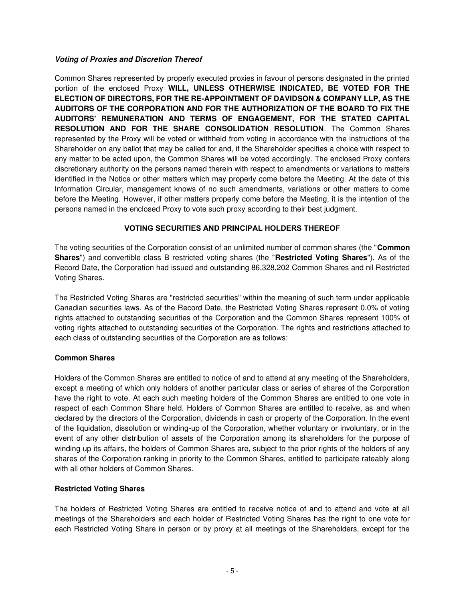## <span id="page-8-0"></span>**Voting of Proxies and Discretion Thereof**

Common Shares represented by properly executed proxies in favour of persons designated in the printed portion of the enclosed Proxy **WILL, UNLESS OTHERWISE INDICATED, BE VOTED FOR THE ELECTION OF DIRECTORS, FOR THE RE-APPOINTMENT OF DAVIDSON & COMPANY LLP, AS THE AUDITORS OF THE CORPORATION AND FOR THE AUTHORIZATION OF THE BOARD TO FIX THE AUDITORS' REMUNERATION AND TERMS OF ENGAGEMENT, FOR THE STATED CAPITAL RESOLUTION AND FOR THE SHARE CONSOLIDATION RESOLUTION**. The Common Shares represented by the Proxy will be voted or withheld from voting in accordance with the instructions of the Shareholder on any ballot that may be called for and, if the Shareholder specifies a choice with respect to any matter to be acted upon, the Common Shares will be voted accordingly. The enclosed Proxy confers discretionary authority on the persons named therein with respect to amendments or variations to matters identified in the Notice or other matters which may properly come before the Meeting. At the date of this Information Circular, management knows of no such amendments, variations or other matters to come before the Meeting. However, if other matters properly come before the Meeting, it is the intention of the persons named in the enclosed Proxy to vote such proxy according to their best judgment.

## **VOTING SECURITIES AND PRINCIPAL HOLDERS THEREOF**

<span id="page-8-1"></span>The voting securities of the Corporation consist of an unlimited number of common shares (the "**Common Shares**") and convertible class B restricted voting shares (the "**Restricted Voting Shares**"). As of the Record Date, the Corporation had issued and outstanding 86,328,202 Common Shares and nil Restricted Voting Shares.

The Restricted Voting Shares are "restricted securities" within the meaning of such term under applicable Canadian securities laws. As of the Record Date, the Restricted Voting Shares represent 0.0% of voting rights attached to outstanding securities of the Corporation and the Common Shares represent 100% of voting rights attached to outstanding securities of the Corporation. The rights and restrictions attached to each class of outstanding securities of the Corporation are as follows:

# **Common Shares**

Holders of the Common Shares are entitled to notice of and to attend at any meeting of the Shareholders, except a meeting of which only holders of another particular class or series of shares of the Corporation have the right to vote. At each such meeting holders of the Common Shares are entitled to one vote in respect of each Common Share held. Holders of Common Shares are entitled to receive, as and when declared by the directors of the Corporation, dividends in cash or property of the Corporation. In the event of the liquidation, dissolution or winding-up of the Corporation, whether voluntary or involuntary, or in the event of any other distribution of assets of the Corporation among its shareholders for the purpose of winding up its affairs, the holders of Common Shares are, subject to the prior rights of the holders of any shares of the Corporation ranking in priority to the Common Shares, entitled to participate rateably along with all other holders of Common Shares.

# **Restricted Voting Shares**

The holders of Restricted Voting Shares are entitled to receive notice of and to attend and vote at all meetings of the Shareholders and each holder of Restricted Voting Shares has the right to one vote for each Restricted Voting Share in person or by proxy at all meetings of the Shareholders, except for the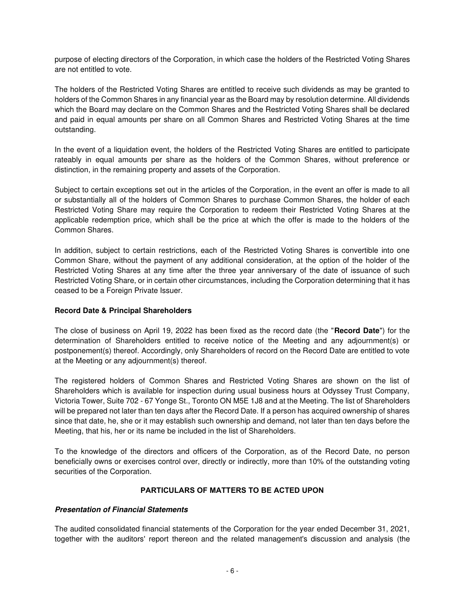purpose of electing directors of the Corporation, in which case the holders of the Restricted Voting Shares are not entitled to vote.

The holders of the Restricted Voting Shares are entitled to receive such dividends as may be granted to holders of the Common Shares in any financial year as the Board may by resolution determine. All dividends which the Board may declare on the Common Shares and the Restricted Voting Shares shall be declared and paid in equal amounts per share on all Common Shares and Restricted Voting Shares at the time outstanding.

In the event of a liquidation event, the holders of the Restricted Voting Shares are entitled to participate rateably in equal amounts per share as the holders of the Common Shares, without preference or distinction, in the remaining property and assets of the Corporation.

Subject to certain exceptions set out in the articles of the Corporation, in the event an offer is made to all or substantially all of the holders of Common Shares to purchase Common Shares, the holder of each Restricted Voting Share may require the Corporation to redeem their Restricted Voting Shares at the applicable redemption price, which shall be the price at which the offer is made to the holders of the Common Shares.

In addition, subject to certain restrictions, each of the Restricted Voting Shares is convertible into one Common Share, without the payment of any additional consideration, at the option of the holder of the Restricted Voting Shares at any time after the three year anniversary of the date of issuance of such Restricted Voting Share, or in certain other circumstances, including the Corporation determining that it has ceased to be a Foreign Private Issuer.

## **Record Date & Principal Shareholders**

The close of business on April 19, 2022 has been fixed as the record date (the "**Record Date**") for the determination of Shareholders entitled to receive notice of the Meeting and any adjournment(s) or postponement(s) thereof. Accordingly, only Shareholders of record on the Record Date are entitled to vote at the Meeting or any adjournment(s) thereof.

The registered holders of Common Shares and Restricted Voting Shares are shown on the list of Shareholders which is available for inspection during usual business hours at Odyssey Trust Company, Victoria Tower, Suite 702 - 67 Yonge St., Toronto ON M5E 1J8 and at the Meeting. The list of Shareholders will be prepared not later than ten days after the Record Date. If a person has acquired ownership of shares since that date, he, she or it may establish such ownership and demand, not later than ten days before the Meeting, that his, her or its name be included in the list of Shareholders.

To the knowledge of the directors and officers of the Corporation, as of the Record Date, no person beneficially owns or exercises control over, directly or indirectly, more than 10% of the outstanding voting securities of the Corporation.

## **PARTICULARS OF MATTERS TO BE ACTED UPON**

## <span id="page-9-1"></span><span id="page-9-0"></span>**Presentation of Financial Statements**

The audited consolidated financial statements of the Corporation for the year ended December 31, 2021, together with the auditors' report thereon and the related management's discussion and analysis (the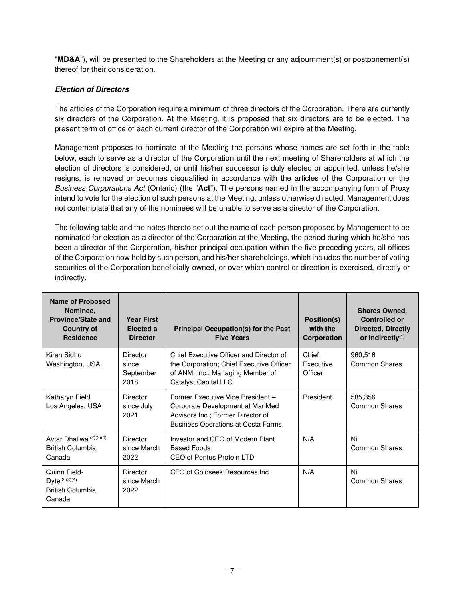"**MD&A**"), will be presented to the Shareholders at the Meeting or any adjournment(s) or postponement(s) thereof for their consideration.

# <span id="page-10-0"></span>**Election of Directors**

The articles of the Corporation require a minimum of three directors of the Corporation. There are currently six directors of the Corporation. At the Meeting, it is proposed that six directors are to be elected. The present term of office of each current director of the Corporation will expire at the Meeting.

Management proposes to nominate at the Meeting the persons whose names are set forth in the table below, each to serve as a director of the Corporation until the next meeting of Shareholders at which the election of directors is considered, or until his/her successor is duly elected or appointed, unless he/she resigns, is removed or becomes disqualified in accordance with the articles of the Corporation or the Business Corporations Act (Ontario) (the "**Act**"). The persons named in the accompanying form of Proxy intend to vote for the election of such persons at the Meeting, unless otherwise directed. Management does not contemplate that any of the nominees will be unable to serve as a director of the Corporation.

The following table and the notes thereto set out the name of each person proposed by Management to be nominated for election as a director of the Corporation at the Meeting, the period during which he/she has been a director of the Corporation, his/her principal occupation within the five preceding years, all offices of the Corporation now held by such person, and his/her shareholdings, which includes the number of voting securities of the Corporation beneficially owned, or over which control or direction is exercised, directly or indirectly.

| <b>Name of Proposed</b><br>Nominee,<br><b>Province/State and</b><br><b>Country of</b><br><b>Residence</b> | <b>Year First</b><br>Elected a<br><b>Director</b> | <b>Principal Occupation(s) for the Past</b><br><b>Five Years</b>                                                                                  | Position(s)<br>with the<br>Corporation | <b>Shares Owned,</b><br><b>Controlled or</b><br><b>Directed, Directly</b><br>or Indirectly $(1)$ |
|-----------------------------------------------------------------------------------------------------------|---------------------------------------------------|---------------------------------------------------------------------------------------------------------------------------------------------------|----------------------------------------|--------------------------------------------------------------------------------------------------|
| Kiran Sidhu<br>Washington, USA                                                                            | <b>Director</b><br>since<br>September<br>2018     | Chief Executive Officer and Director of<br>the Corporation; Chief Executive Officer<br>of ANM, Inc.; Managing Member of<br>Catalyst Capital LLC.  | Chief<br><b>Executive</b><br>Officer   | 960,516<br>Common Shares                                                                         |
| Katharyn Field<br>Los Angeles, USA                                                                        | Director<br>since July<br>2021                    | Former Executive Vice President -<br>Corporate Development at MariMed<br>Advisors Inc.; Former Director of<br>Business Operations at Costa Farms. | President                              | 585,356<br>Common Shares                                                                         |
| Avtar Dhaliwal <sup>(2)(3)(4)</sup><br>British Columbia,<br>Canada                                        | <b>Director</b><br>since March<br>2022            | Investor and CEO of Modern Plant<br><b>Based Foods</b><br>CEO of Pontus Protein LTD                                                               | N/A                                    | Nil<br><b>Common Shares</b>                                                                      |
| Quinn Field-<br>$Dyte^{(2)(3)(4)}$<br>British Columbia,<br>Canada                                         | Director<br>since March<br>2022                   | CEO of Goldseek Resources Inc.                                                                                                                    | N/A                                    | Nil<br><b>Common Shares</b>                                                                      |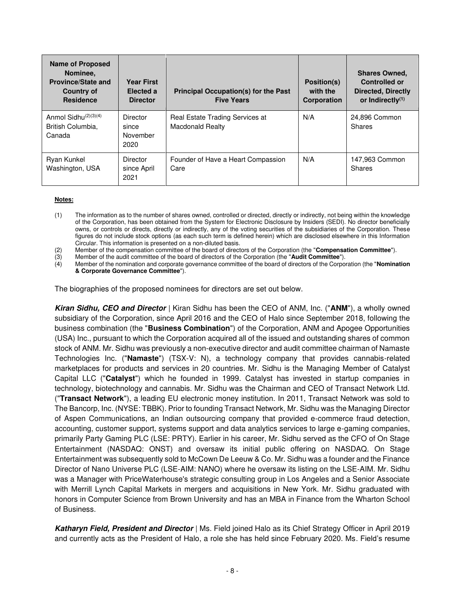| <b>Name of Proposed</b><br>Nominee.<br><b>Province/State and</b><br><b>Country of</b><br><b>Residence</b> | <b>Year First</b><br>Elected a<br><b>Director</b> | <b>Principal Occupation(s) for the Past</b><br><b>Five Years</b> | Position(s)<br>with the<br>Corporation | <b>Shares Owned,</b><br><b>Controlled or</b><br><b>Directed, Directly</b><br>or Indirectly $(1)$ |
|-----------------------------------------------------------------------------------------------------------|---------------------------------------------------|------------------------------------------------------------------|----------------------------------------|--------------------------------------------------------------------------------------------------|
| Anmol Sidhu $(2)(3)(4)$<br>British Columbia,<br>Canada                                                    | Director<br>since<br>November<br>2020             | Real Estate Trading Services at<br><b>Macdonald Realty</b>       | N/A                                    | 24,896 Common<br>Shares                                                                          |
| Ryan Kunkel<br>Washington, USA                                                                            | <b>Director</b><br>since April<br>2021            | Founder of Have a Heart Compassion<br>Care                       | N/A                                    | 147,963 Common<br>Shares                                                                         |

#### **Notes:**

(1) The information as to the number of shares owned, controlled or directed, directly or indirectly, not being within the knowledge of the Corporation, has been obtained from the System for Electronic Disclosure by Insiders (SEDI). No director beneficially owns, or controls or directs, directly or indirectly, any of the voting securities of the subsidiaries of the Corporation. These figures do not include stock options (as each such term is defined herein) which are disclosed elsewhere in this Information Circular. This information is presented on a non-diluted basis.

(2) Member of the compensation committee of the board of directors of the Corporation (the "**Compensation Committee**").

(3) Member of the audit committee of the board of directors of the Corporation (the "**Audit Committee**").<br>(4) Member of the nomination and corporate governance committee of the board of directors of the Corpo

(4) Member of the nomination and corporate governance committee of the board of directors of the Corporation (the "**Nomination & Corporate Governance Committee**").

The biographies of the proposed nominees for directors are set out below.

**Kiran Sidhu, CEO and Director** | Kiran Sidhu has been the CEO of ANM, Inc. ("**ANM**"), a wholly owned subsidiary of the Corporation, since April 2016 and the CEO of Halo since September 2018, following the business combination (the "**Business Combination**") of the Corporation, ANM and Apogee Opportunities (USA) Inc., pursuant to which the Corporation acquired all of the issued and outstanding shares of common stock of ANM. Mr. Sidhu was previously a non-executive director and audit committee chairman of Namaste Technologies Inc. ("**Namaste**") (TSX-V: N), a technology company that provides cannabis-related marketplaces for products and services in 20 countries. Mr. Sidhu is the Managing Member of Catalyst Capital LLC ("**Catalyst**") which he founded in 1999. Catalyst has invested in startup companies in technology, biotechnology and cannabis. Mr. Sidhu was the Chairman and CEO of Transact Network Ltd. ("**Transact Network**"), a leading EU electronic money institution. In 2011, Transact Network was sold to The Bancorp, Inc. (NYSE: TBBK). Prior to founding Transact Network, Mr. Sidhu was the Managing Director of Aspen Communications, an Indian outsourcing company that provided e-commerce fraud detection, accounting, customer support, systems support and data analytics services to large e-gaming companies, primarily Party Gaming PLC (LSE: PRTY). Earlier in his career, Mr. Sidhu served as the CFO of On Stage Entertainment (NASDAQ: ONST) and oversaw its initial public offering on NASDAQ. On Stage Entertainment was subsequently sold to McCown De Leeuw & Co. Mr. Sidhu was a founder and the Finance Director of Nano Universe PLC (LSE-AIM: NANO) where he oversaw its listing on the LSE-AIM. Mr. Sidhu was a Manager with PriceWaterhouse's strategic consulting group in Los Angeles and a Senior Associate with Merrill Lynch Capital Markets in mergers and acquisitions in New York. Mr. Sidhu graduated with honors in Computer Science from Brown University and has an MBA in Finance from the Wharton School of Business.

**Katharyn Field, President and Director** | Ms. Field joined Halo as its Chief Strategy Officer in April 2019 and currently acts as the President of Halo, a role she has held since February 2020. Ms. Field's resume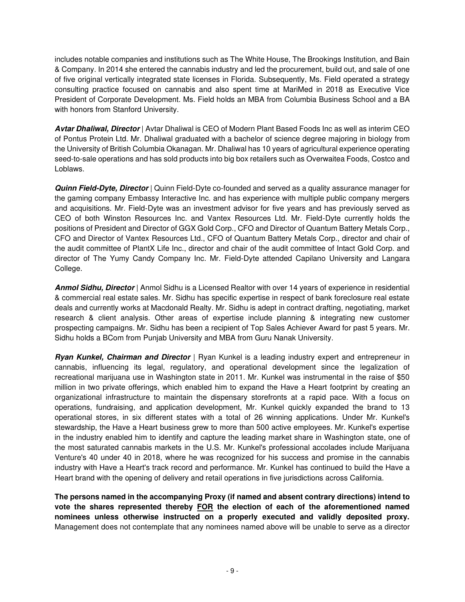includes notable companies and institutions such as The White House, The Brookings Institution, and Bain & Company. In 2014 she entered the cannabis industry and led the procurement, build out, and sale of one of five original vertically integrated state licenses in Florida. Subsequently, Ms. Field operated a strategy consulting practice focused on cannabis and also spent time at MariMed in 2018 as Executive Vice President of Corporate Development. Ms. Field holds an MBA from Columbia Business School and a BA with honors from Stanford University.

**Avtar Dhaliwal, Director** | Avtar Dhaliwal is CEO of Modern Plant Based Foods Inc as well as interim CEO of Pontus Protein Ltd. Mr. Dhaliwal graduated with a bachelor of science degree majoring in biology from the University of British Columbia Okanagan. Mr. Dhaliwal has 10 years of agricultural experience operating seed-to-sale operations and has sold products into big box retailers such as Overwaitea Foods, Costco and Loblaws.

**Quinn Field-Dyte, Director** | Quinn Field-Dyte co-founded and served as a quality assurance manager for the gaming company Embassy Interactive Inc. and has experience with multiple public company mergers and acquisitions. Mr. Field-Dyte was an investment advisor for five years and has previously served as CEO of both Winston Resources Inc. and Vantex Resources Ltd. Mr. Field-Dyte currently holds the positions of President and Director of GGX Gold Corp., CFO and Director of Quantum Battery Metals Corp., CFO and Director of Vantex Resources Ltd., CFO of Quantum Battery Metals Corp., director and chair of the audit committee of PlantX Life Inc., director and chair of the audit committee of Intact Gold Corp. and director of The Yumy Candy Company Inc. Mr. Field-Dyte attended Capilano University and Langara College.

**Anmol Sidhu, Director** | Anmol Sidhu is a Licensed Realtor with over 14 years of experience in residential & commercial real estate sales. Mr. Sidhu has specific expertise in respect of bank foreclosure real estate deals and currently works at Macdonald Realty. Mr. Sidhu is adept in contract drafting, negotiating, market research & client analysis. Other areas of expertise include planning & integrating new customer prospecting campaigns. Mr. Sidhu has been a recipient of Top Sales Achiever Award for past 5 years. Mr. Sidhu holds a BCom from Punjab University and MBA from Guru Nanak University.

**Ryan Kunkel, Chairman and Director** | Ryan Kunkel is a leading industry expert and entrepreneur in cannabis, influencing its legal, regulatory, and operational development since the legalization of recreational marijuana use in Washington state in 2011. Mr. Kunkel was instrumental in the raise of \$50 million in two private offerings, which enabled him to expand the Have a Heart footprint by creating an organizational infrastructure to maintain the dispensary storefronts at a rapid pace. With a focus on operations, fundraising, and application development, Mr. Kunkel quickly expanded the brand to 13 operational stores, in six different states with a total of 26 winning applications. Under Mr. Kunkel's stewardship, the Have a Heart business grew to more than 500 active employees. Mr. Kunkel's expertise in the industry enabled him to identify and capture the leading market share in Washington state, one of the most saturated cannabis markets in the U.S. Mr. Kunkel's professional accolades include Marijuana Venture's 40 under 40 in 2018, where he was recognized for his success and promise in the cannabis industry with Have a Heart's track record and performance. Mr. Kunkel has continued to build the Have a Heart brand with the opening of delivery and retail operations in five jurisdictions across California.

**The persons named in the accompanying Proxy (if named and absent contrary directions) intend to vote the shares represented thereby FOR the election of each of the aforementioned named nominees unless otherwise instructed on a properly executed and validly deposited proxy.** Management does not contemplate that any nominees named above will be unable to serve as a director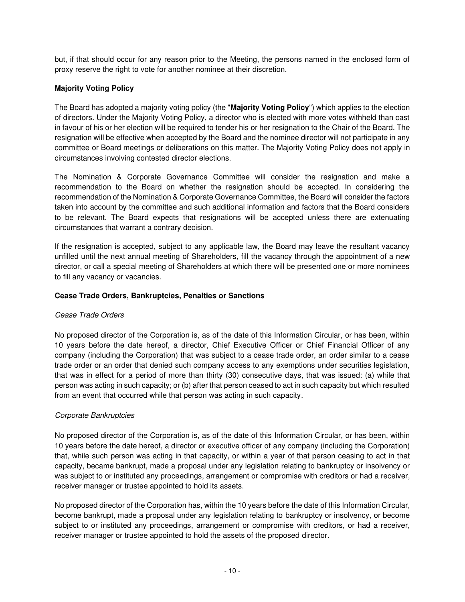but, if that should occur for any reason prior to the Meeting, the persons named in the enclosed form of proxy reserve the right to vote for another nominee at their discretion.

## **Majority Voting Policy**

The Board has adopted a majority voting policy (the "**Majority Voting Policy**") which applies to the election of directors. Under the Majority Voting Policy, a director who is elected with more votes withheld than cast in favour of his or her election will be required to tender his or her resignation to the Chair of the Board. The resignation will be effective when accepted by the Board and the nominee director will not participate in any committee or Board meetings or deliberations on this matter. The Majority Voting Policy does not apply in circumstances involving contested director elections.

The Nomination & Corporate Governance Committee will consider the resignation and make a recommendation to the Board on whether the resignation should be accepted. In considering the recommendation of the Nomination & Corporate Governance Committee, the Board will consider the factors taken into account by the committee and such additional information and factors that the Board considers to be relevant. The Board expects that resignations will be accepted unless there are extenuating circumstances that warrant a contrary decision.

If the resignation is accepted, subject to any applicable law, the Board may leave the resultant vacancy unfilled until the next annual meeting of Shareholders, fill the vacancy through the appointment of a new director, or call a special meeting of Shareholders at which there will be presented one or more nominees to fill any vacancy or vacancies.

## **Cease Trade Orders, Bankruptcies, Penalties or Sanctions**

## Cease Trade Orders

No proposed director of the Corporation is, as of the date of this Information Circular, or has been, within 10 years before the date hereof, a director, Chief Executive Officer or Chief Financial Officer of any company (including the Corporation) that was subject to a cease trade order, an order similar to a cease trade order or an order that denied such company access to any exemptions under securities legislation, that was in effect for a period of more than thirty (30) consecutive days, that was issued: (a) while that person was acting in such capacity; or (b) after that person ceased to act in such capacity but which resulted from an event that occurred while that person was acting in such capacity.

## Corporate Bankruptcies

No proposed director of the Corporation is, as of the date of this Information Circular, or has been, within 10 years before the date hereof, a director or executive officer of any company (including the Corporation) that, while such person was acting in that capacity, or within a year of that person ceasing to act in that capacity, became bankrupt, made a proposal under any legislation relating to bankruptcy or insolvency or was subject to or instituted any proceedings, arrangement or compromise with creditors or had a receiver, receiver manager or trustee appointed to hold its assets.

No proposed director of the Corporation has, within the 10 years before the date of this Information Circular, become bankrupt, made a proposal under any legislation relating to bankruptcy or insolvency, or become subject to or instituted any proceedings, arrangement or compromise with creditors, or had a receiver, receiver manager or trustee appointed to hold the assets of the proposed director.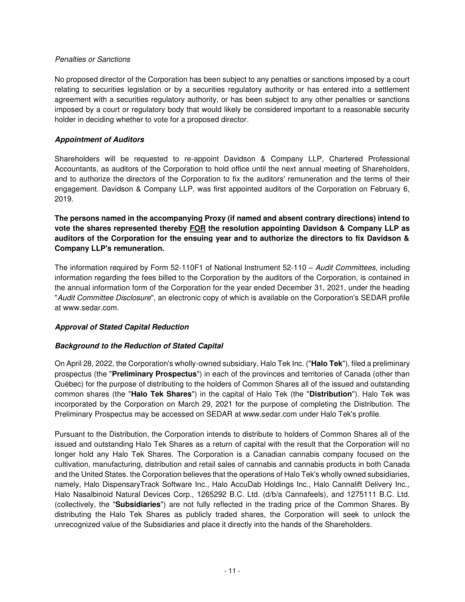#### Penalties or Sanctions

No proposed director of the Corporation has been subject to any penalties or sanctions imposed by a court relating to securities legislation or by a securities regulatory authority or has entered into a settlement agreement with a securities regulatory authority, or has been subject to any other penalties or sanctions imposed by a court or regulatory body that would likely be considered important to a reasonable security holder in deciding whether to vote for a proposed director.

## <span id="page-14-0"></span>**Appointment of Auditors**

Shareholders will be requested to re-appoint Davidson & Company LLP, Chartered Professional Accountants, as auditors of the Corporation to hold office until the next annual meeting of Shareholders, and to authorize the directors of the Corporation to fix the auditors' remuneration and the terms of their engagement. Davidson & Company LLP, was first appointed auditors of the Corporation on February 6, 2019.

# **The persons named in the accompanying Proxy (if named and absent contrary directions) intend to vote the shares represented thereby FOR the resolution appointing Davidson & Company LLP as auditors of the Corporation for the ensuing year and to authorize the directors to fix Davidson & Company LLP's remuneration.**

The information required by Form 52-110F1 of National Instrument 52-110 - Audit Committees, including information regarding the fees billed to the Corporation by the auditors of the Corporation, is contained in the annual information form of the Corporation for the year ended December 31, 2021, under the heading "Audit Committee Disclosure", an electronic copy of which is available on the Corporation's SEDAR profile at www.sedar.com.

# <span id="page-14-1"></span>**Approval of Stated Capital Reduction**

# **Background to the Reduction of Stated Capital**

On April 28, 2022, the Corporation's wholly-owned subsidiary, Halo Tek Inc. ("**Halo Tek**"), filed a preliminary prospectus (the "**Preliminary Prospectus**") in each of the provinces and territories of Canada (other than Québec) for the purpose of distributing to the holders of Common Shares all of the issued and outstanding common shares (the "**Halo Tek Shares**") in the capital of Halo Tek (the "**Distribution**"). Halo Tek was incorporated by the Corporation on March 29, 2021 for the purpose of completing the Distribution. The Preliminary Prospectus may be accessed on SEDAR at www.sedar.com under Halo Tek's profile.

Pursuant to the Distribution, the Corporation intends to distribute to holders of Common Shares all of the issued and outstanding Halo Tek Shares as a return of capital with the result that the Corporation will no longer hold any Halo Tek Shares. The Corporation is a Canadian cannabis company focused on the cultivation, manufacturing, distribution and retail sales of cannabis and cannabis products in both Canada and the United States. the Corporation believes that the operations of Halo Tek's wholly owned subsidiaries, namely, Halo DispensaryTrack Software Inc., Halo AccuDab Holdings Inc., Halo Cannalift Delivery Inc., Halo Nasalbinoid Natural Devices Corp., 1265292 B.C. Ltd. (d/b/a Cannafeels), and 1275111 B.C. Ltd. (collectively, the "**Subsidiaries**") are not fully reflected in the trading price of the Common Shares. By distributing the Halo Tek Shares as publicly traded shares, the Corporation will seek to unlock the unrecognized value of the Subsidiaries and place it directly into the hands of the Shareholders.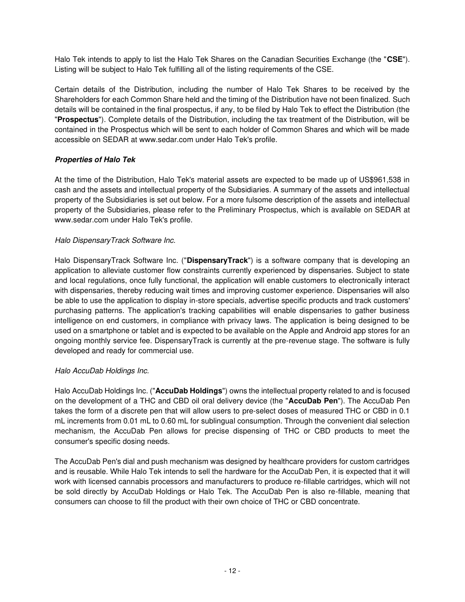Halo Tek intends to apply to list the Halo Tek Shares on the Canadian Securities Exchange (the "**CSE**"). Listing will be subject to Halo Tek fulfilling all of the listing requirements of the CSE.

Certain details of the Distribution, including the number of Halo Tek Shares to be received by the Shareholders for each Common Share held and the timing of the Distribution have not been finalized. Such details will be contained in the final prospectus, if any, to be filed by Halo Tek to effect the Distribution (the "**Prospectus**"). Complete details of the Distribution, including the tax treatment of the Distribution, will be contained in the Prospectus which will be sent to each holder of Common Shares and which will be made accessible on SEDAR at www.sedar.com under Halo Tek's profile.

## **Properties of Halo Tek**

At the time of the Distribution, Halo Tek's material assets are expected to be made up of US\$961,538 in cash and the assets and intellectual property of the Subsidiaries. A summary of the assets and intellectual property of the Subsidiaries is set out below. For a more fulsome description of the assets and intellectual property of the Subsidiaries, please refer to the Preliminary Prospectus, which is available on SEDAR at www.sedar.com under Halo Tek's profile.

## Halo DispensaryTrack Software Inc.

Halo DispensaryTrack Software Inc. ("**DispensaryTrack**") is a software company that is developing an application to alleviate customer flow constraints currently experienced by dispensaries. Subject to state and local regulations, once fully functional, the application will enable customers to electronically interact with dispensaries, thereby reducing wait times and improving customer experience. Dispensaries will also be able to use the application to display in-store specials, advertise specific products and track customers' purchasing patterns. The application's tracking capabilities will enable dispensaries to gather business intelligence on end customers, in compliance with privacy laws. The application is being designed to be used on a smartphone or tablet and is expected to be available on the Apple and Android app stores for an ongoing monthly service fee. DispensaryTrack is currently at the pre-revenue stage. The software is fully developed and ready for commercial use.

## Halo AccuDab Holdings Inc.

Halo AccuDab Holdings Inc. ("**AccuDab Holdings**") owns the intellectual property related to and is focused on the development of a THC and CBD oil oral delivery device (the "**AccuDab Pen**"). The AccuDab Pen takes the form of a discrete pen that will allow users to pre-select doses of measured THC or CBD in 0.1 mL increments from 0.01 mL to 0.60 mL for sublingual consumption. Through the convenient dial selection mechanism, the AccuDab Pen allows for precise dispensing of THC or CBD products to meet the consumer's specific dosing needs.

The AccuDab Pen's dial and push mechanism was designed by healthcare providers for custom cartridges and is reusable. While Halo Tek intends to sell the hardware for the AccuDab Pen, it is expected that it will work with licensed cannabis processors and manufacturers to produce re-fillable cartridges, which will not be sold directly by AccuDab Holdings or Halo Tek. The AccuDab Pen is also re-fillable, meaning that consumers can choose to fill the product with their own choice of THC or CBD concentrate.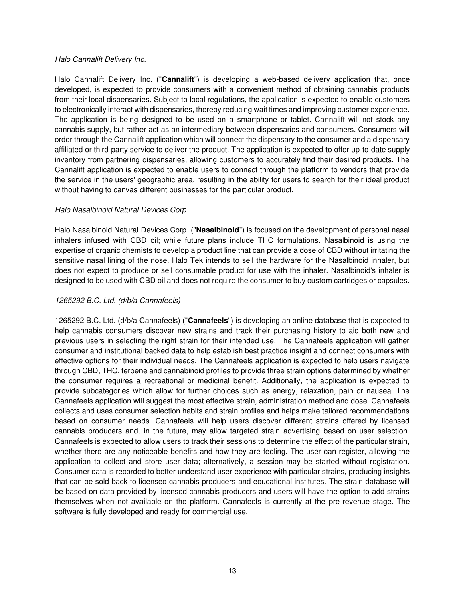### Halo Cannalift Delivery Inc.

Halo Cannalift Delivery Inc. ("**Cannalift**") is developing a web-based delivery application that, once developed, is expected to provide consumers with a convenient method of obtaining cannabis products from their local dispensaries. Subject to local regulations, the application is expected to enable customers to electronically interact with dispensaries, thereby reducing wait times and improving customer experience. The application is being designed to be used on a smartphone or tablet. Cannalift will not stock any cannabis supply, but rather act as an intermediary between dispensaries and consumers. Consumers will order through the Cannalift application which will connect the dispensary to the consumer and a dispensary affiliated or third-party service to deliver the product. The application is expected to offer up-to-date supply inventory from partnering dispensaries, allowing customers to accurately find their desired products. The Cannalift application is expected to enable users to connect through the platform to vendors that provide the service in the users' geographic area, resulting in the ability for users to search for their ideal product without having to canvas different businesses for the particular product.

#### Halo Nasalbinoid Natural Devices Corp.

Halo Nasalbinoid Natural Devices Corp. ("**Nasalbinoid**") is focused on the development of personal nasal inhalers infused with CBD oil; while future plans include THC formulations. Nasalbinoid is using the expertise of organic chemists to develop a product line that can provide a dose of CBD without irritating the sensitive nasal lining of the nose. Halo Tek intends to sell the hardware for the Nasalbinoid inhaler, but does not expect to produce or sell consumable product for use with the inhaler. Nasalbinoid's inhaler is designed to be used with CBD oil and does not require the consumer to buy custom cartridges or capsules.

#### 1265292 B.C. Ltd. (d/b/a Cannafeels)

1265292 B.C. Ltd. (d/b/a Cannafeels) ("**Cannafeels**") is developing an online database that is expected to help cannabis consumers discover new strains and track their purchasing history to aid both new and previous users in selecting the right strain for their intended use. The Cannafeels application will gather consumer and institutional backed data to help establish best practice insight and connect consumers with effective options for their individual needs. The Cannafeels application is expected to help users navigate through CBD, THC, terpene and cannabinoid profiles to provide three strain options determined by whether the consumer requires a recreational or medicinal benefit. Additionally, the application is expected to provide subcategories which allow for further choices such as energy, relaxation, pain or nausea. The Cannafeels application will suggest the most effective strain, administration method and dose. Cannafeels collects and uses consumer selection habits and strain profiles and helps make tailored recommendations based on consumer needs. Cannafeels will help users discover different strains offered by licensed cannabis producers and, in the future, may allow targeted strain advertising based on user selection. Cannafeels is expected to allow users to track their sessions to determine the effect of the particular strain, whether there are any noticeable benefits and how they are feeling. The user can register, allowing the application to collect and store user data; alternatively, a session may be started without registration. Consumer data is recorded to better understand user experience with particular strains, producing insights that can be sold back to licensed cannabis producers and educational institutes. The strain database will be based on data provided by licensed cannabis producers and users will have the option to add strains themselves when not available on the platform. Cannafeels is currently at the pre-revenue stage. The software is fully developed and ready for commercial use.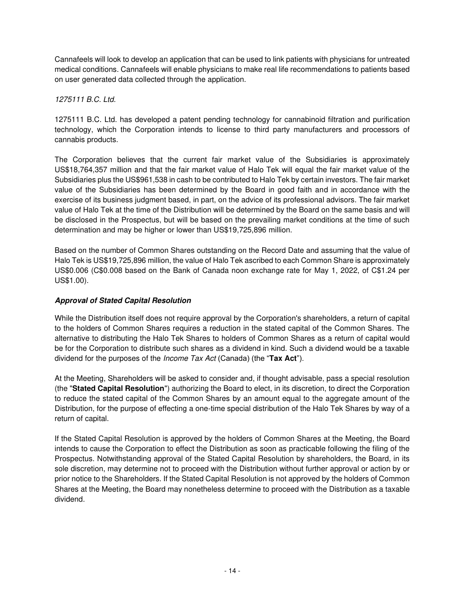Cannafeels will look to develop an application that can be used to link patients with physicians for untreated medical conditions. Cannafeels will enable physicians to make real life recommendations to patients based on user generated data collected through the application.

1275111 B.C. Ltd.

1275111 B.C. Ltd. has developed a patent pending technology for cannabinoid filtration and purification technology, which the Corporation intends to license to third party manufacturers and processors of cannabis products.

The Corporation believes that the current fair market value of the Subsidiaries is approximately US\$18,764,357 million and that the fair market value of Halo Tek will equal the fair market value of the Subsidiaries plus the US\$961,538 in cash to be contributed to Halo Tek by certain investors. The fair market value of the Subsidiaries has been determined by the Board in good faith and in accordance with the exercise of its business judgment based, in part, on the advice of its professional advisors. The fair market value of Halo Tek at the time of the Distribution will be determined by the Board on the same basis and will be disclosed in the Prospectus, but will be based on the prevailing market conditions at the time of such determination and may be higher or lower than US\$19,725,896 million.

Based on the number of Common Shares outstanding on the Record Date and assuming that the value of Halo Tek is US\$19,725,896 million, the value of Halo Tek ascribed to each Common Share is approximately US\$0.006 (C\$0.008 based on the Bank of Canada noon exchange rate for May 1, 2022, of C\$1.24 per US\$1.00).

# **Approval of Stated Capital Resolution**

While the Distribution itself does not require approval by the Corporation's shareholders, a return of capital to the holders of Common Shares requires a reduction in the stated capital of the Common Shares. The alternative to distributing the Halo Tek Shares to holders of Common Shares as a return of capital would be for the Corporation to distribute such shares as a dividend in kind. Such a dividend would be a taxable dividend for the purposes of the Income Tax Act (Canada) (the "**Tax Act**").

At the Meeting, Shareholders will be asked to consider and, if thought advisable, pass a special resolution (the "**Stated Capital Resolution**") authorizing the Board to elect, in its discretion, to direct the Corporation to reduce the stated capital of the Common Shares by an amount equal to the aggregate amount of the Distribution, for the purpose of effecting a one-time special distribution of the Halo Tek Shares by way of a return of capital.

If the Stated Capital Resolution is approved by the holders of Common Shares at the Meeting, the Board intends to cause the Corporation to effect the Distribution as soon as practicable following the filing of the Prospectus. Notwithstanding approval of the Stated Capital Resolution by shareholders, the Board, in its sole discretion, may determine not to proceed with the Distribution without further approval or action by or prior notice to the Shareholders. If the Stated Capital Resolution is not approved by the holders of Common Shares at the Meeting, the Board may nonetheless determine to proceed with the Distribution as a taxable dividend.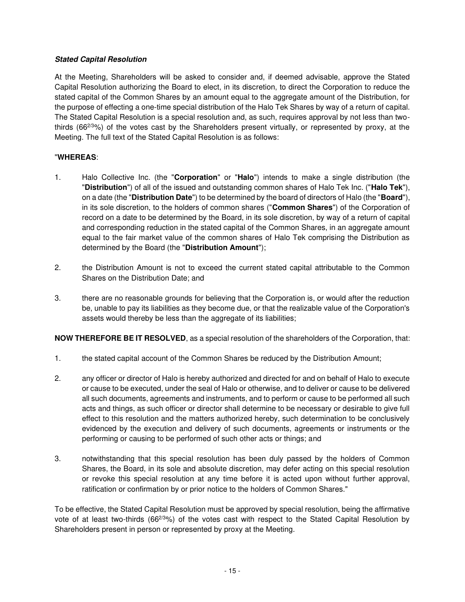## **Stated Capital Resolution**

At the Meeting, Shareholders will be asked to consider and, if deemed advisable, approve the Stated Capital Resolution authorizing the Board to elect, in its discretion, to direct the Corporation to reduce the stated capital of the Common Shares by an amount equal to the aggregate amount of the Distribution, for the purpose of effecting a one-time special distribution of the Halo Tek Shares by way of a return of capital. The Stated Capital Resolution is a special resolution and, as such, requires approval by not less than twothirds (662/3%) of the votes cast by the Shareholders present virtually, or represented by proxy, at the Meeting. The full text of the Stated Capital Resolution is as follows:

# "**WHEREAS**:

- 1. Halo Collective Inc. (the "**Corporation**" or "**Halo**") intends to make a single distribution (the "**Distribution**") of all of the issued and outstanding common shares of Halo Tek Inc. ("**Halo Tek**"), on a date (the "**Distribution Date**") to be determined by the board of directors of Halo (the "**Board**"), in its sole discretion, to the holders of common shares ("**Common Shares**") of the Corporation of record on a date to be determined by the Board, in its sole discretion, by way of a return of capital and corresponding reduction in the stated capital of the Common Shares, in an aggregate amount equal to the fair market value of the common shares of Halo Tek comprising the Distribution as determined by the Board (the "**Distribution Amount**");
- 2. the Distribution Amount is not to exceed the current stated capital attributable to the Common Shares on the Distribution Date; and
- 3. there are no reasonable grounds for believing that the Corporation is, or would after the reduction be, unable to pay its liabilities as they become due, or that the realizable value of the Corporation's assets would thereby be less than the aggregate of its liabilities;

**NOW THEREFORE BE IT RESOLVED**, as a special resolution of the shareholders of the Corporation, that:

- 1. the stated capital account of the Common Shares be reduced by the Distribution Amount;
- 2. any officer or director of Halo is hereby authorized and directed for and on behalf of Halo to execute or cause to be executed, under the seal of Halo or otherwise, and to deliver or cause to be delivered all such documents, agreements and instruments, and to perform or cause to be performed all such acts and things, as such officer or director shall determine to be necessary or desirable to give full effect to this resolution and the matters authorized hereby, such determination to be conclusively evidenced by the execution and delivery of such documents, agreements or instruments or the performing or causing to be performed of such other acts or things; and
- 3. notwithstanding that this special resolution has been duly passed by the holders of Common Shares, the Board, in its sole and absolute discretion, may defer acting on this special resolution or revoke this special resolution at any time before it is acted upon without further approval, ratification or confirmation by or prior notice to the holders of Common Shares."

To be effective, the Stated Capital Resolution must be approved by special resolution, being the affirmative vote of at least two-thirds (662/3%) of the votes cast with respect to the Stated Capital Resolution by Shareholders present in person or represented by proxy at the Meeting.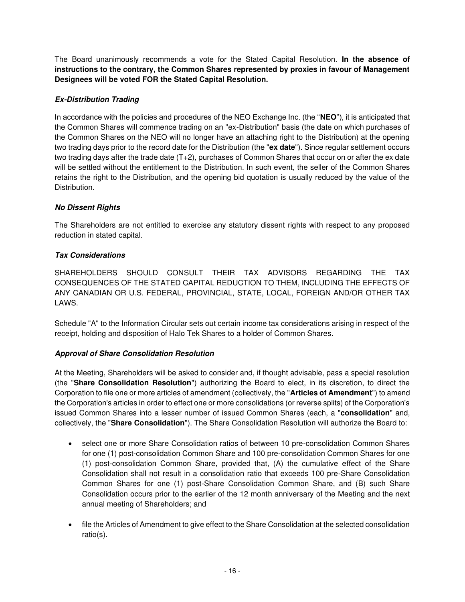The Board unanimously recommends a vote for the Stated Capital Resolution. **In the absence of instructions to the contrary, the Common Shares represented by proxies in favour of Management Designees will be voted FOR the Stated Capital Resolution.** 

# **Ex-Distribution Trading**

In accordance with the policies and procedures of the NEO Exchange Inc. (the "**NEO**"), it is anticipated that the Common Shares will commence trading on an "ex-Distribution" basis (the date on which purchases of the Common Shares on the NEO will no longer have an attaching right to the Distribution) at the opening two trading days prior to the record date for the Distribution (the "**ex date**"). Since regular settlement occurs two trading days after the trade date (T+2), purchases of Common Shares that occur on or after the ex date will be settled without the entitlement to the Distribution. In such event, the seller of the Common Shares retains the right to the Distribution, and the opening bid quotation is usually reduced by the value of the Distribution.

## **No Dissent Rights**

The Shareholders are not entitled to exercise any statutory dissent rights with respect to any proposed reduction in stated capital.

## **Tax Considerations**

SHAREHOLDERS SHOULD CONSULT THEIR TAX ADVISORS REGARDING THE TAX CONSEQUENCES OF THE STATED CAPITAL REDUCTION TO THEM, INCLUDING THE EFFECTS OF ANY CANADIAN OR U.S. FEDERAL, PROVINCIAL, STATE, LOCAL, FOREIGN AND/OR OTHER TAX LAWS.

Schedule "A" to the Information Circular sets out certain income tax considerations arising in respect of the receipt, holding and disposition of Halo Tek Shares to a holder of Common Shares.

## <span id="page-19-0"></span>**Approval of Share Consolidation Resolution**

At the Meeting, Shareholders will be asked to consider and, if thought advisable, pass a special resolution (the "**Share Consolidation Resolution**") authorizing the Board to elect, in its discretion, to direct the Corporation to file one or more articles of amendment (collectively, the "**Articles of Amendment**") to amend the Corporation's articles in order to effect one or more consolidations (or reverse splits) of the Corporation's issued Common Shares into a lesser number of issued Common Shares (each, a "**consolidation**" and, collectively, the "**Share Consolidation**"). The Share Consolidation Resolution will authorize the Board to:

- select one or more Share Consolidation ratios of between 10 pre-consolidation Common Shares for one (1) post-consolidation Common Share and 100 pre-consolidation Common Shares for one (1) post-consolidation Common Share, provided that, (A) the cumulative effect of the Share Consolidation shall not result in a consolidation ratio that exceeds 100 pre-Share Consolidation Common Shares for one (1) post-Share Consolidation Common Share, and (B) such Share Consolidation occurs prior to the earlier of the 12 month anniversary of the Meeting and the next annual meeting of Shareholders; and
- file the Articles of Amendment to give effect to the Share Consolidation at the selected consolidation ratio(s).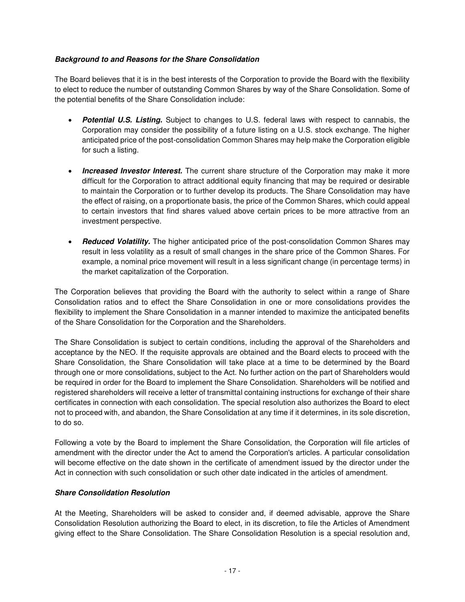## **Background to and Reasons for the Share Consolidation**

The Board believes that it is in the best interests of the Corporation to provide the Board with the flexibility to elect to reduce the number of outstanding Common Shares by way of the Share Consolidation. Some of the potential benefits of the Share Consolidation include:

- **Potential U.S. Listing.** Subject to changes to U.S. federal laws with respect to cannabis, the Corporation may consider the possibility of a future listing on a U.S. stock exchange. The higher anticipated price of the post-consolidation Common Shares may help make the Corporation eligible for such a listing.
- **Increased Investor Interest.** The current share structure of the Corporation may make it more difficult for the Corporation to attract additional equity financing that may be required or desirable to maintain the Corporation or to further develop its products. The Share Consolidation may have the effect of raising, on a proportionate basis, the price of the Common Shares, which could appeal to certain investors that find shares valued above certain prices to be more attractive from an investment perspective.
- **Reduced Volatility.** The higher anticipated price of the post-consolidation Common Shares may result in less volatility as a result of small changes in the share price of the Common Shares. For example, a nominal price movement will result in a less significant change (in percentage terms) in the market capitalization of the Corporation.

The Corporation believes that providing the Board with the authority to select within a range of Share Consolidation ratios and to effect the Share Consolidation in one or more consolidations provides the flexibility to implement the Share Consolidation in a manner intended to maximize the anticipated benefits of the Share Consolidation for the Corporation and the Shareholders.

The Share Consolidation is subject to certain conditions, including the approval of the Shareholders and acceptance by the NEO. If the requisite approvals are obtained and the Board elects to proceed with the Share Consolidation, the Share Consolidation will take place at a time to be determined by the Board through one or more consolidations, subject to the Act. No further action on the part of Shareholders would be required in order for the Board to implement the Share Consolidation. Shareholders will be notified and registered shareholders will receive a letter of transmittal containing instructions for exchange of their share certificates in connection with each consolidation. The special resolution also authorizes the Board to elect not to proceed with, and abandon, the Share Consolidation at any time if it determines, in its sole discretion, to do so.

Following a vote by the Board to implement the Share Consolidation, the Corporation will file articles of amendment with the director under the Act to amend the Corporation's articles. A particular consolidation will become effective on the date shown in the certificate of amendment issued by the director under the Act in connection with such consolidation or such other date indicated in the articles of amendment.

## **Share Consolidation Resolution**

At the Meeting, Shareholders will be asked to consider and, if deemed advisable, approve the Share Consolidation Resolution authorizing the Board to elect, in its discretion, to file the Articles of Amendment giving effect to the Share Consolidation. The Share Consolidation Resolution is a special resolution and,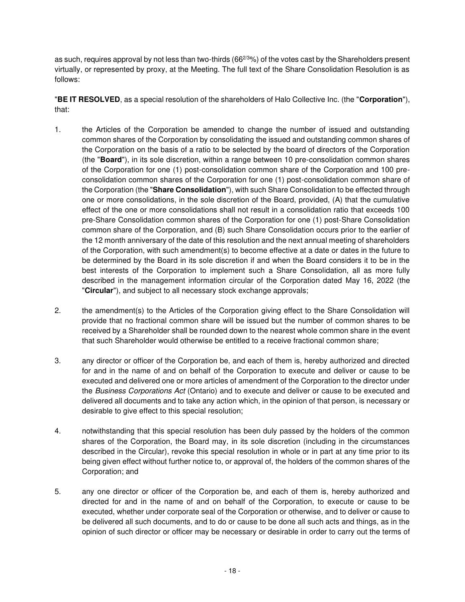as such, requires approval by not less than two-thirds (66<sup>2/3</sup>%) of the votes cast by the Shareholders present virtually, or represented by proxy, at the Meeting. The full text of the Share Consolidation Resolution is as follows:

"**BE IT RESOLVED**, as a special resolution of the shareholders of Halo Collective Inc. (the "**Corporation**"), that:

- 1. the Articles of the Corporation be amended to change the number of issued and outstanding common shares of the Corporation by consolidating the issued and outstanding common shares of the Corporation on the basis of a ratio to be selected by the board of directors of the Corporation (the "**Board**"), in its sole discretion, within a range between 10 pre-consolidation common shares of the Corporation for one (1) post-consolidation common share of the Corporation and 100 preconsolidation common shares of the Corporation for one (1) post-consolidation common share of the Corporation (the "**Share Consolidation**"), with such Share Consolidation to be effected through one or more consolidations, in the sole discretion of the Board, provided, (A) that the cumulative effect of the one or more consolidations shall not result in a consolidation ratio that exceeds 100 pre-Share Consolidation common shares of the Corporation for one (1) post-Share Consolidation common share of the Corporation, and (B) such Share Consolidation occurs prior to the earlier of the 12 month anniversary of the date of this resolution and the next annual meeting of shareholders of the Corporation, with such amendment(s) to become effective at a date or dates in the future to be determined by the Board in its sole discretion if and when the Board considers it to be in the best interests of the Corporation to implement such a Share Consolidation, all as more fully described in the management information circular of the Corporation dated May 16, 2022 (the "**Circular**"), and subject to all necessary stock exchange approvals;
- 2. the amendment(s) to the Articles of the Corporation giving effect to the Share Consolidation will provide that no fractional common share will be issued but the number of common shares to be received by a Shareholder shall be rounded down to the nearest whole common share in the event that such Shareholder would otherwise be entitled to a receive fractional common share;
- 3. any director or officer of the Corporation be, and each of them is, hereby authorized and directed for and in the name of and on behalf of the Corporation to execute and deliver or cause to be executed and delivered one or more articles of amendment of the Corporation to the director under the Business Corporations Act (Ontario) and to execute and deliver or cause to be executed and delivered all documents and to take any action which, in the opinion of that person, is necessary or desirable to give effect to this special resolution;
- 4. notwithstanding that this special resolution has been duly passed by the holders of the common shares of the Corporation, the Board may, in its sole discretion (including in the circumstances described in the Circular), revoke this special resolution in whole or in part at any time prior to its being given effect without further notice to, or approval of, the holders of the common shares of the Corporation; and
- 5. any one director or officer of the Corporation be, and each of them is, hereby authorized and directed for and in the name of and on behalf of the Corporation, to execute or cause to be executed, whether under corporate seal of the Corporation or otherwise, and to deliver or cause to be delivered all such documents, and to do or cause to be done all such acts and things, as in the opinion of such director or officer may be necessary or desirable in order to carry out the terms of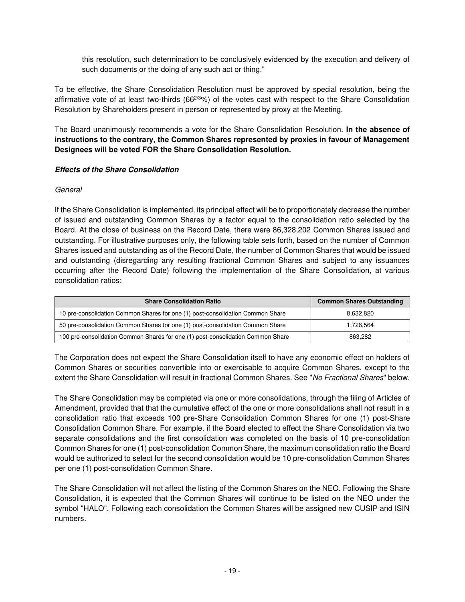this resolution, such determination to be conclusively evidenced by the execution and delivery of such documents or the doing of any such act or thing."

To be effective, the Share Consolidation Resolution must be approved by special resolution, being the affirmative vote of at least two-thirds (66<sup>2/3</sup>%) of the votes cast with respect to the Share Consolidation Resolution by Shareholders present in person or represented by proxy at the Meeting.

The Board unanimously recommends a vote for the Share Consolidation Resolution. **In the absence of instructions to the contrary, the Common Shares represented by proxies in favour of Management Designees will be voted FOR the Share Consolidation Resolution.** 

## **Effects of the Share Consolidation**

## General

If the Share Consolidation is implemented, its principal effect will be to proportionately decrease the number of issued and outstanding Common Shares by a factor equal to the consolidation ratio selected by the Board. At the close of business on the Record Date, there were 86,328,202 Common Shares issued and outstanding. For illustrative purposes only, the following table sets forth, based on the number of Common Shares issued and outstanding as of the Record Date, the number of Common Shares that would be issued and outstanding (disregarding any resulting fractional Common Shares and subject to any issuances occurring after the Record Date) following the implementation of the Share Consolidation, at various consolidation ratios:

| <b>Share Consolidation Ratio</b>                                                | <b>Common Shares Outstanding</b> |
|---------------------------------------------------------------------------------|----------------------------------|
| 10 pre-consolidation Common Shares for one (1) post-consolidation Common Share  | 8.632.820                        |
| 50 pre-consolidation Common Shares for one (1) post-consolidation Common Share  | 1,726,564                        |
| 100 pre-consolidation Common Shares for one (1) post-consolidation Common Share | 863.282                          |

The Corporation does not expect the Share Consolidation itself to have any economic effect on holders of Common Shares or securities convertible into or exercisable to acquire Common Shares, except to the extent the Share Consolidation will result in fractional Common Shares. See "No Fractional Shares" below.

The Share Consolidation may be completed via one or more consolidations, through the filing of Articles of Amendment, provided that that the cumulative effect of the one or more consolidations shall not result in a consolidation ratio that exceeds 100 pre-Share Consolidation Common Shares for one (1) post-Share Consolidation Common Share. For example, if the Board elected to effect the Share Consolidation via two separate consolidations and the first consolidation was completed on the basis of 10 pre-consolidation Common Shares for one (1) post-consolidation Common Share, the maximum consolidation ratio the Board would be authorized to select for the second consolidation would be 10 pre-consolidation Common Shares per one (1) post-consolidation Common Share.

The Share Consolidation will not affect the listing of the Common Shares on the NEO. Following the Share Consolidation, it is expected that the Common Shares will continue to be listed on the NEO under the symbol "HALO". Following each consolidation the Common Shares will be assigned new CUSIP and ISIN numbers.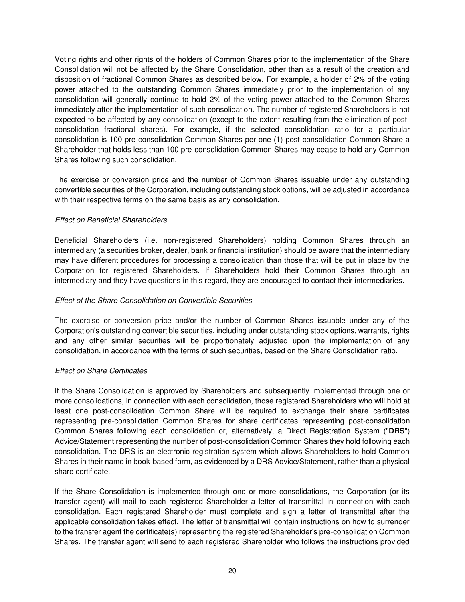Voting rights and other rights of the holders of Common Shares prior to the implementation of the Share Consolidation will not be affected by the Share Consolidation, other than as a result of the creation and disposition of fractional Common Shares as described below. For example, a holder of 2% of the voting power attached to the outstanding Common Shares immediately prior to the implementation of any consolidation will generally continue to hold 2% of the voting power attached to the Common Shares immediately after the implementation of such consolidation. The number of registered Shareholders is not expected to be affected by any consolidation (except to the extent resulting from the elimination of postconsolidation fractional shares). For example, if the selected consolidation ratio for a particular consolidation is 100 pre-consolidation Common Shares per one (1) post-consolidation Common Share a Shareholder that holds less than 100 pre-consolidation Common Shares may cease to hold any Common Shares following such consolidation.

The exercise or conversion price and the number of Common Shares issuable under any outstanding convertible securities of the Corporation, including outstanding stock options, will be adjusted in accordance with their respective terms on the same basis as any consolidation.

## Effect on Beneficial Shareholders

Beneficial Shareholders (i.e. non-registered Shareholders) holding Common Shares through an intermediary (a securities broker, dealer, bank or financial institution) should be aware that the intermediary may have different procedures for processing a consolidation than those that will be put in place by the Corporation for registered Shareholders. If Shareholders hold their Common Shares through an intermediary and they have questions in this regard, they are encouraged to contact their intermediaries.

## Effect of the Share Consolidation on Convertible Securities

The exercise or conversion price and/or the number of Common Shares issuable under any of the Corporation's outstanding convertible securities, including under outstanding stock options, warrants, rights and any other similar securities will be proportionately adjusted upon the implementation of any consolidation, in accordance with the terms of such securities, based on the Share Consolidation ratio.

## Effect on Share Certificates

If the Share Consolidation is approved by Shareholders and subsequently implemented through one or more consolidations, in connection with each consolidation, those registered Shareholders who will hold at least one post-consolidation Common Share will be required to exchange their share certificates representing pre-consolidation Common Shares for share certificates representing post-consolidation Common Shares following each consolidation or, alternatively, a Direct Registration System ("**DRS**") Advice/Statement representing the number of post-consolidation Common Shares they hold following each consolidation. The DRS is an electronic registration system which allows Shareholders to hold Common Shares in their name in book-based form, as evidenced by a DRS Advice/Statement, rather than a physical share certificate.

If the Share Consolidation is implemented through one or more consolidations, the Corporation (or its transfer agent) will mail to each registered Shareholder a letter of transmittal in connection with each consolidation. Each registered Shareholder must complete and sign a letter of transmittal after the applicable consolidation takes effect. The letter of transmittal will contain instructions on how to surrender to the transfer agent the certificate(s) representing the registered Shareholder's pre-consolidation Common Shares. The transfer agent will send to each registered Shareholder who follows the instructions provided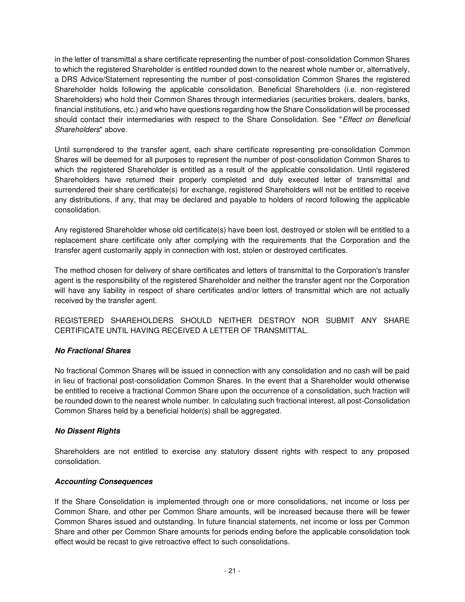in the letter of transmittal a share certificate representing the number of post-consolidation Common Shares to which the registered Shareholder is entitled rounded down to the nearest whole number or, alternatively, a DRS Advice/Statement representing the number of post-consolidation Common Shares the registered Shareholder holds following the applicable consolidation. Beneficial Shareholders (i.e. non-registered Shareholders) who hold their Common Shares through intermediaries (securities brokers, dealers, banks, financial institutions, etc.) and who have questions regarding how the Share Consolidation will be processed should contact their intermediaries with respect to the Share Consolidation. See "Effect on Beneficial Shareholders" above.

Until surrendered to the transfer agent, each share certificate representing pre-consolidation Common Shares will be deemed for all purposes to represent the number of post-consolidation Common Shares to which the registered Shareholder is entitled as a result of the applicable consolidation. Until registered Shareholders have returned their properly completed and duly executed letter of transmittal and surrendered their share certificate(s) for exchange, registered Shareholders will not be entitled to receive any distributions, if any, that may be declared and payable to holders of record following the applicable consolidation.

Any registered Shareholder whose old certificate(s) have been lost, destroyed or stolen will be entitled to a replacement share certificate only after complying with the requirements that the Corporation and the transfer agent customarily apply in connection with lost, stolen or destroyed certificates.

The method chosen for delivery of share certificates and letters of transmittal to the Corporation's transfer agent is the responsibility of the registered Shareholder and neither the transfer agent nor the Corporation will have any liability in respect of share certificates and/or letters of transmittal which are not actually received by the transfer agent.

REGISTERED SHAREHOLDERS SHOULD NEITHER DESTROY NOR SUBMIT ANY SHARE CERTIFICATE UNTIL HAVING RECEIVED A LETTER OF TRANSMITTAL.

# **No Fractional Shares**

No fractional Common Shares will be issued in connection with any consolidation and no cash will be paid in lieu of fractional post-consolidation Common Shares. In the event that a Shareholder would otherwise be entitled to receive a fractional Common Share upon the occurrence of a consolidation, such fraction will be rounded down to the nearest whole number. In calculating such fractional interest, all post-Consolidation Common Shares held by a beneficial holder(s) shall be aggregated.

## **No Dissent Rights**

Shareholders are not entitled to exercise any statutory dissent rights with respect to any proposed consolidation.

# **Accounting Consequences**

If the Share Consolidation is implemented through one or more consolidations, net income or loss per Common Share, and other per Common Share amounts, will be increased because there will be fewer Common Shares issued and outstanding. In future financial statements, net income or loss per Common Share and other per Common Share amounts for periods ending before the applicable consolidation took effect would be recast to give retroactive effect to such consolidations.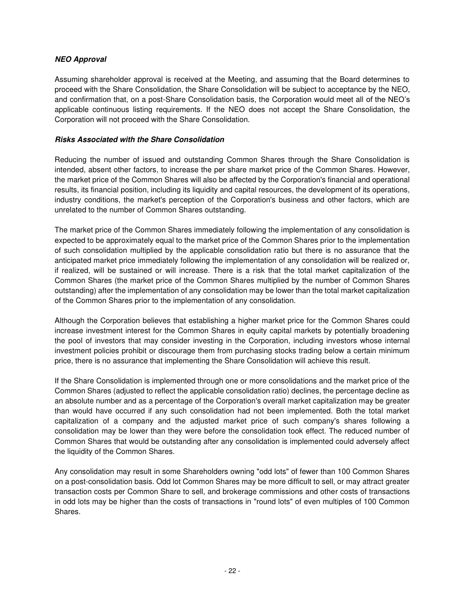## **NEO Approval**

Assuming shareholder approval is received at the Meeting, and assuming that the Board determines to proceed with the Share Consolidation, the Share Consolidation will be subject to acceptance by the NEO, and confirmation that, on a post-Share Consolidation basis, the Corporation would meet all of the NEO's applicable continuous listing requirements. If the NEO does not accept the Share Consolidation, the Corporation will not proceed with the Share Consolidation.

## **Risks Associated with the Share Consolidation**

Reducing the number of issued and outstanding Common Shares through the Share Consolidation is intended, absent other factors, to increase the per share market price of the Common Shares. However, the market price of the Common Shares will also be affected by the Corporation's financial and operational results, its financial position, including its liquidity and capital resources, the development of its operations, industry conditions, the market's perception of the Corporation's business and other factors, which are unrelated to the number of Common Shares outstanding.

The market price of the Common Shares immediately following the implementation of any consolidation is expected to be approximately equal to the market price of the Common Shares prior to the implementation of such consolidation multiplied by the applicable consolidation ratio but there is no assurance that the anticipated market price immediately following the implementation of any consolidation will be realized or, if realized, will be sustained or will increase. There is a risk that the total market capitalization of the Common Shares (the market price of the Common Shares multiplied by the number of Common Shares outstanding) after the implementation of any consolidation may be lower than the total market capitalization of the Common Shares prior to the implementation of any consolidation.

Although the Corporation believes that establishing a higher market price for the Common Shares could increase investment interest for the Common Shares in equity capital markets by potentially broadening the pool of investors that may consider investing in the Corporation, including investors whose internal investment policies prohibit or discourage them from purchasing stocks trading below a certain minimum price, there is no assurance that implementing the Share Consolidation will achieve this result.

If the Share Consolidation is implemented through one or more consolidations and the market price of the Common Shares (adjusted to reflect the applicable consolidation ratio) declines, the percentage decline as an absolute number and as a percentage of the Corporation's overall market capitalization may be greater than would have occurred if any such consolidation had not been implemented. Both the total market capitalization of a company and the adjusted market price of such company's shares following a consolidation may be lower than they were before the consolidation took effect. The reduced number of Common Shares that would be outstanding after any consolidation is implemented could adversely affect the liquidity of the Common Shares.

Any consolidation may result in some Shareholders owning "odd lots" of fewer than 100 Common Shares on a post-consolidation basis. Odd lot Common Shares may be more difficult to sell, or may attract greater transaction costs per Common Share to sell, and brokerage commissions and other costs of transactions in odd lots may be higher than the costs of transactions in "round lots" of even multiples of 100 Common Shares.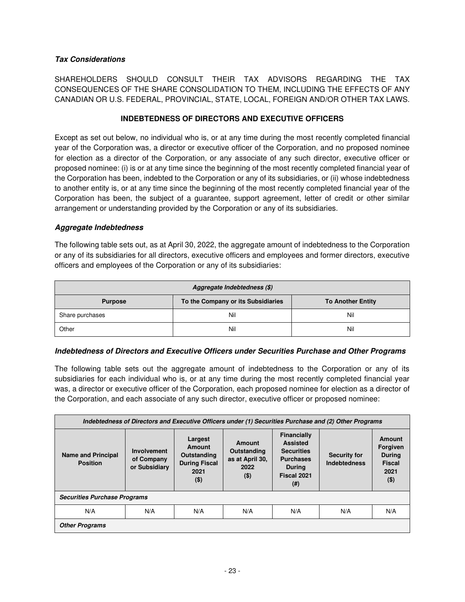## **Tax Considerations**

SHAREHOLDERS SHOULD CONSULT THEIR TAX ADVISORS REGARDING THE TAX CONSEQUENCES OF THE SHARE CONSOLIDATION TO THEM, INCLUDING THE EFFECTS OF ANY CANADIAN OR U.S. FEDERAL, PROVINCIAL, STATE, LOCAL, FOREIGN AND/OR OTHER TAX LAWS.

## **INDEBTEDNESS OF DIRECTORS AND EXECUTIVE OFFICERS**

<span id="page-26-0"></span>Except as set out below, no individual who is, or at any time during the most recently completed financial year of the Corporation was, a director or executive officer of the Corporation, and no proposed nominee for election as a director of the Corporation, or any associate of any such director, executive officer or proposed nominee: (i) is or at any time since the beginning of the most recently completed financial year of the Corporation has been, indebted to the Corporation or any of its subsidiaries, or (ii) whose indebtedness to another entity is, or at any time since the beginning of the most recently completed financial year of the Corporation has been, the subject of a guarantee, support agreement, letter of credit or other similar arrangement or understanding provided by the Corporation or any of its subsidiaries.

## **Aggregate Indebtedness**

The following table sets out, as at April 30, 2022, the aggregate amount of indebtedness to the Corporation or any of its subsidiaries for all directors, executive officers and employees and former directors, executive officers and employees of the Corporation or any of its subsidiaries:

| Aggregate Indebtedness (\$) |                                    |                          |  |  |  |  |  |  |
|-----------------------------|------------------------------------|--------------------------|--|--|--|--|--|--|
| <b>Purpose</b>              | To the Company or its Subsidiaries | <b>To Another Entity</b> |  |  |  |  |  |  |
| Share purchases             | Nil                                | Nil                      |  |  |  |  |  |  |
| Other                       | Nil                                | Nil                      |  |  |  |  |  |  |

## **Indebtedness of Directors and Executive Officers under Securities Purchase and Other Programs**

The following table sets out the aggregate amount of indebtedness to the Corporation or any of its subsidiaries for each individual who is, or at any time during the most recently completed financial year was, a director or executive officer of the Corporation, each proposed nominee for election as a director of the Corporation, and each associate of any such director, executive officer or proposed nominee:

| Indebtedness of Directors and Executive Officers under (1) Securities Purchase and (2) Other Programs |                                            |                                                                             |                                                             |                                                                                                                 |                                            |                                                                         |  |  |  |  |  |
|-------------------------------------------------------------------------------------------------------|--------------------------------------------|-----------------------------------------------------------------------------|-------------------------------------------------------------|-----------------------------------------------------------------------------------------------------------------|--------------------------------------------|-------------------------------------------------------------------------|--|--|--|--|--|
| <b>Name and Principal</b><br><b>Position</b>                                                          | Involvement<br>of Company<br>or Subsidiary | Largest<br>Amount<br>Outstanding<br><b>During Fiscal</b><br>2021<br>$($ \$) | Amount<br>Outstanding<br>as at April 30,<br>2022<br>$($ \$) | Financially<br><b>Assisted</b><br><b>Securities</b><br><b>Purchases</b><br><b>During</b><br>Fiscal 2021<br>(# ) | <b>Security for</b><br><b>Indebtedness</b> | Amount<br>Forgiven<br><b>During</b><br><b>Fiscal</b><br>2021<br>$($ \$) |  |  |  |  |  |
| <b>Securities Purchase Programs</b>                                                                   |                                            |                                                                             |                                                             |                                                                                                                 |                                            |                                                                         |  |  |  |  |  |
| N/A                                                                                                   | N/A                                        | N/A                                                                         | N/A                                                         | N/A                                                                                                             | N/A                                        | N/A                                                                     |  |  |  |  |  |
| <b>Other Programs</b>                                                                                 |                                            |                                                                             |                                                             |                                                                                                                 |                                            |                                                                         |  |  |  |  |  |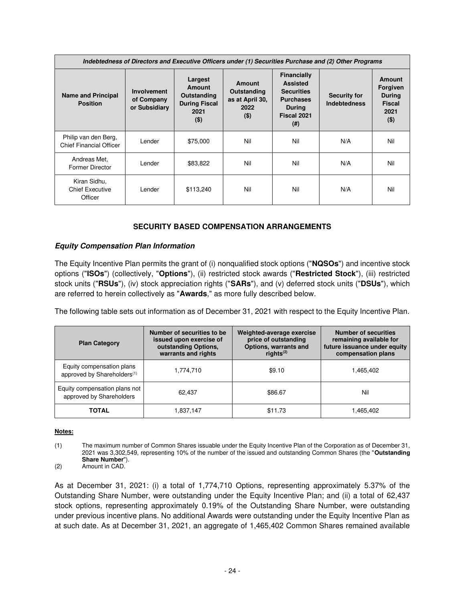| Indebtedness of Directors and Executive Officers under (1) Securities Purchase and (2) Other Programs |                                                   |                                                                             |                                                             |                                                                                                          |                                            |     |  |  |  |  |  |  |
|-------------------------------------------------------------------------------------------------------|---------------------------------------------------|-----------------------------------------------------------------------------|-------------------------------------------------------------|----------------------------------------------------------------------------------------------------------|--------------------------------------------|-----|--|--|--|--|--|--|
| <b>Name and Principal</b><br><b>Position</b>                                                          | <b>Involvement</b><br>of Company<br>or Subsidiary | Largest<br>Amount<br>Outstanding<br><b>During Fiscal</b><br>2021<br>$($ \$) | Amount<br>Outstanding<br>as at April 30,<br>2022<br>$($ \$) | Financially<br><b>Assisted</b><br><b>Securities</b><br><b>Purchases</b><br>During<br>Fiscal 2021<br>(# ) | <b>Security for</b><br><b>Indebtedness</b> |     |  |  |  |  |  |  |
| Philip van den Berg,<br><b>Chief Financial Officer</b>                                                | Lender                                            | \$75,000                                                                    | Nil                                                         | Nil                                                                                                      | N/A                                        | Nil |  |  |  |  |  |  |
| Andreas Met.<br><b>Former Director</b>                                                                | Lender                                            | \$83,822                                                                    | Nil                                                         | Nil                                                                                                      | N/A                                        | Nil |  |  |  |  |  |  |
| Kiran Sidhu,<br><b>Chief Executive</b><br>Officer                                                     | Lender                                            | \$113,240                                                                   | Nil                                                         | Nil                                                                                                      | N/A                                        | Nil |  |  |  |  |  |  |

# **SECURITY BASED COMPENSATION ARRANGEMENTS**

## <span id="page-27-0"></span>**Equity Compensation Plan Information**

The Equity Incentive Plan permits the grant of (i) nonqualified stock options ("**NQSOs**") and incentive stock options ("**ISOs**") (collectively, "**Options**"), (ii) restricted stock awards ("**Restricted Stock**"), (iii) restricted stock units ("**RSUs**"), (iv) stock appreciation rights ("**SARs**"), and (v) deferred stock units ("**DSUs**"), which are referred to herein collectively as "**Awards**," as more fully described below.

The following table sets out information as of December 31, 2021 with respect to the Equity Incentive Plan.

| <b>Plan Category</b>                                                 | Number of securities to be<br>issued upon exercise of<br>outstanding Options,<br>warrants and rights | Weighted-average exercise<br>price of outstanding<br>Options, warrants and<br>rights $(2)$ | <b>Number of securities</b><br>remaining available for<br>future issuance under equity<br>compensation plans |  |  |
|----------------------------------------------------------------------|------------------------------------------------------------------------------------------------------|--------------------------------------------------------------------------------------------|--------------------------------------------------------------------------------------------------------------|--|--|
| Equity compensation plans<br>approved by Shareholders <sup>(1)</sup> | 1,774,710                                                                                            | \$9.10                                                                                     | 1,465,402                                                                                                    |  |  |
| Equity compensation plans not<br>approved by Shareholders            | 62.437                                                                                               | \$86.67                                                                                    | Nil                                                                                                          |  |  |
| <b>TOTAL</b>                                                         | 1,837,147                                                                                            | \$11.73                                                                                    | 1,465,402                                                                                                    |  |  |

#### **Notes:**

(1) The maximum number of Common Shares issuable under the Equity Incentive Plan of the Corporation as of December 31, 2021 was 3,302,549, representing 10% of the number of the issued and outstanding Common Shares (the "**Outstanding Share Number**").

(2) Amount in CAD.

As at December 31, 2021: (i) a total of 1,774,710 Options, representing approximately 5.37% of the Outstanding Share Number, were outstanding under the Equity Incentive Plan; and (ii) a total of 62,437 stock options, representing approximately 0.19% of the Outstanding Share Number, were outstanding under previous incentive plans. No additional Awards were outstanding under the Equity Incentive Plan as at such date. As at December 31, 2021, an aggregate of 1,465,402 Common Shares remained available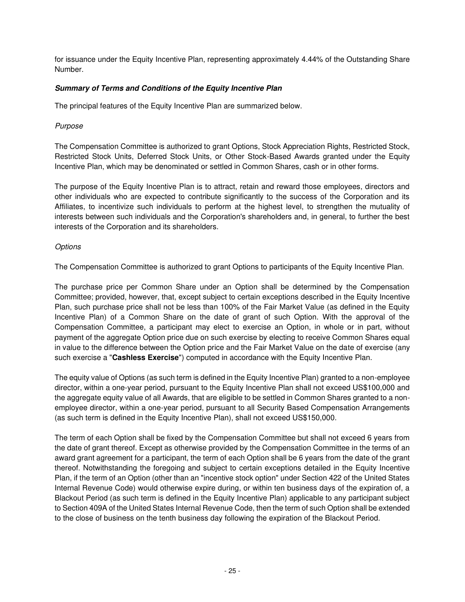for issuance under the Equity Incentive Plan, representing approximately 4.44% of the Outstanding Share Number.

# **Summary of Terms and Conditions of the Equity Incentive Plan**

The principal features of the Equity Incentive Plan are summarized below.

# Purpose

The Compensation Committee is authorized to grant Options, Stock Appreciation Rights, Restricted Stock, Restricted Stock Units, Deferred Stock Units, or Other Stock-Based Awards granted under the Equity Incentive Plan, which may be denominated or settled in Common Shares, cash or in other forms.

The purpose of the Equity Incentive Plan is to attract, retain and reward those employees, directors and other individuals who are expected to contribute significantly to the success of the Corporation and its Affiliates, to incentivize such individuals to perform at the highest level, to strengthen the mutuality of interests between such individuals and the Corporation's shareholders and, in general, to further the best interests of the Corporation and its shareholders.

## **Options**

The Compensation Committee is authorized to grant Options to participants of the Equity Incentive Plan.

The purchase price per Common Share under an Option shall be determined by the Compensation Committee; provided, however, that, except subject to certain exceptions described in the Equity Incentive Plan, such purchase price shall not be less than 100% of the Fair Market Value (as defined in the Equity Incentive Plan) of a Common Share on the date of grant of such Option. With the approval of the Compensation Committee, a participant may elect to exercise an Option, in whole or in part, without payment of the aggregate Option price due on such exercise by electing to receive Common Shares equal in value to the difference between the Option price and the Fair Market Value on the date of exercise (any such exercise a "**Cashless Exercise**") computed in accordance with the Equity Incentive Plan.

The equity value of Options (as such term is defined in the Equity Incentive Plan) granted to a non-employee director, within a one-year period, pursuant to the Equity Incentive Plan shall not exceed US\$100,000 and the aggregate equity value of all Awards, that are eligible to be settled in Common Shares granted to a nonemployee director, within a one-year period, pursuant to all Security Based Compensation Arrangements (as such term is defined in the Equity Incentive Plan), shall not exceed US\$150,000.

The term of each Option shall be fixed by the Compensation Committee but shall not exceed 6 years from the date of grant thereof. Except as otherwise provided by the Compensation Committee in the terms of an award grant agreement for a participant, the term of each Option shall be 6 years from the date of the grant thereof. Notwithstanding the foregoing and subject to certain exceptions detailed in the Equity Incentive Plan, if the term of an Option (other than an "incentive stock option" under Section 422 of the United States Internal Revenue Code) would otherwise expire during, or within ten business days of the expiration of, a Blackout Period (as such term is defined in the Equity Incentive Plan) applicable to any participant subject to Section 409A of the United States Internal Revenue Code, then the term of such Option shall be extended to the close of business on the tenth business day following the expiration of the Blackout Period.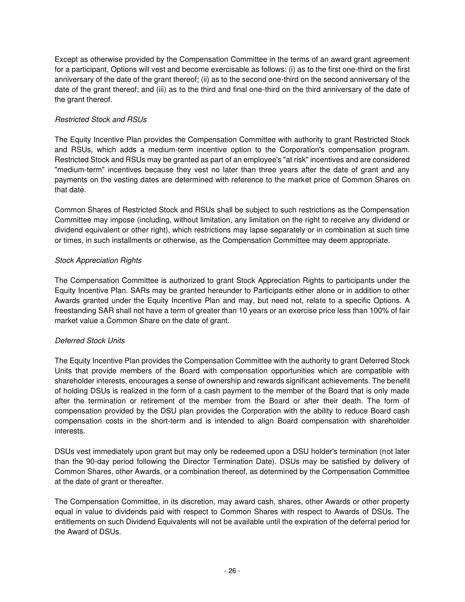Except as otherwise provided by the Compensation Committee in the terms of an award grant agreement for a participant, Options will vest and become exercisable as follows: (i) as to the first one-third on the first anniversary of the date of the grant thereof; (ii) as to the second one-third on the second anniversary of the date of the grant thereof; and (iii) as to the third and final one-third on the third anniversary of the date of the grant thereof.

# Restricted Stock and RSUs

The Equity Incentive Plan provides the Compensation Committee with authority to grant Restricted Stock and RSUs, which adds a medium-term incentive option to the Corporation's compensation program. Restricted Stock and RSUs may be granted as part of an employee's "at risk" incentives and are considered "medium-term" incentives because they vest no later than three years after the date of grant and any payments on the vesting dates are determined with reference to the market price of Common Shares on that date.

Common Shares of Restricted Stock and RSUs shall be subject to such restrictions as the Compensation Committee may impose (including, without limitation, any limitation on the right to receive any dividend or dividend equivalent or other right), which restrictions may lapse separately or in combination at such time or times, in such installments or otherwise, as the Compensation Committee may deem appropriate.

# Stock Appreciation Rights

The Compensation Committee is authorized to grant Stock Appreciation Rights to participants under the Equity Incentive Plan. SARs may be granted hereunder to Participants either alone or in addition to other Awards granted under the Equity Incentive Plan and may, but need not, relate to a specific Options. A freestanding SAR shall not have a term of greater than 10 years or an exercise price less than 100% of fair market value a Common Share on the date of grant.

# Deferred Stock Units

The Equity Incentive Plan provides the Compensation Committee with the authority to grant Deferred Stock Units that provide members of the Board with compensation opportunities which are compatible with shareholder interests, encourages a sense of ownership and rewards significant achievements. The benefit of holding DSUs is realized in the form of a cash payment to the member of the Board that is only made after the termination or retirement of the member from the Board or after their death. The form of compensation provided by the DSU plan provides the Corporation with the ability to reduce Board cash compensation costs in the short-term and is intended to align Board compensation with shareholder interests.

DSUs vest immediately upon grant but may only be redeemed upon a DSU holder's termination (not later than the 90-day period following the Director Termination Date). DSUs may be satisfied by delivery of Common Shares, other Awards, or a combination thereof, as determined by the Compensation Committee at the date of grant or thereafter.

The Compensation Committee, in its discretion, may award cash, shares, other Awards or other property equal in value to dividends paid with respect to Common Shares with respect to Awards of DSUs. The entitlements on such Dividend Equivalents will not be available until the expiration of the deferral period for the Award of DSUs.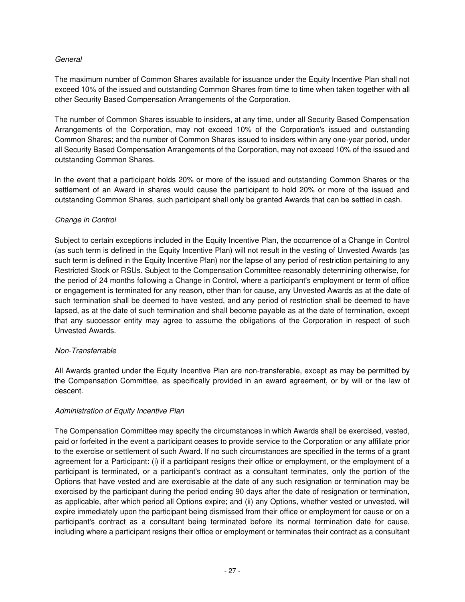## General

The maximum number of Common Shares available for issuance under the Equity Incentive Plan shall not exceed 10% of the issued and outstanding Common Shares from time to time when taken together with all other Security Based Compensation Arrangements of the Corporation.

The number of Common Shares issuable to insiders, at any time, under all Security Based Compensation Arrangements of the Corporation, may not exceed 10% of the Corporation's issued and outstanding Common Shares; and the number of Common Shares issued to insiders within any one-year period, under all Security Based Compensation Arrangements of the Corporation, may not exceed 10% of the issued and outstanding Common Shares.

In the event that a participant holds 20% or more of the issued and outstanding Common Shares or the settlement of an Award in shares would cause the participant to hold 20% or more of the issued and outstanding Common Shares, such participant shall only be granted Awards that can be settled in cash.

## Change in Control

Subject to certain exceptions included in the Equity Incentive Plan, the occurrence of a Change in Control (as such term is defined in the Equity Incentive Plan) will not result in the vesting of Unvested Awards (as such term is defined in the Equity Incentive Plan) nor the lapse of any period of restriction pertaining to any Restricted Stock or RSUs. Subject to the Compensation Committee reasonably determining otherwise, for the period of 24 months following a Change in Control, where a participant's employment or term of office or engagement is terminated for any reason, other than for cause, any Unvested Awards as at the date of such termination shall be deemed to have vested, and any period of restriction shall be deemed to have lapsed, as at the date of such termination and shall become payable as at the date of termination, except that any successor entity may agree to assume the obligations of the Corporation in respect of such Unvested Awards.

## Non-Transferrable

All Awards granted under the Equity Incentive Plan are non-transferable, except as may be permitted by the Compensation Committee, as specifically provided in an award agreement, or by will or the law of descent.

## Administration of Equity Incentive Plan

The Compensation Committee may specify the circumstances in which Awards shall be exercised, vested, paid or forfeited in the event a participant ceases to provide service to the Corporation or any affiliate prior to the exercise or settlement of such Award. If no such circumstances are specified in the terms of a grant agreement for a Participant: (i) if a participant resigns their office or employment, or the employment of a participant is terminated, or a participant's contract as a consultant terminates, only the portion of the Options that have vested and are exercisable at the date of any such resignation or termination may be exercised by the participant during the period ending 90 days after the date of resignation or termination, as applicable, after which period all Options expire; and (ii) any Options, whether vested or unvested, will expire immediately upon the participant being dismissed from their office or employment for cause or on a participant's contract as a consultant being terminated before its normal termination date for cause, including where a participant resigns their office or employment or terminates their contract as a consultant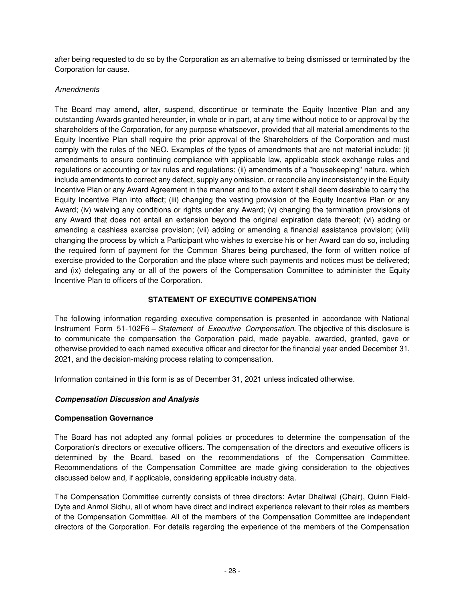after being requested to do so by the Corporation as an alternative to being dismissed or terminated by the Corporation for cause.

## **Amendments**

The Board may amend, alter, suspend, discontinue or terminate the Equity Incentive Plan and any outstanding Awards granted hereunder, in whole or in part, at any time without notice to or approval by the shareholders of the Corporation, for any purpose whatsoever, provided that all material amendments to the Equity Incentive Plan shall require the prior approval of the Shareholders of the Corporation and must comply with the rules of the NEO. Examples of the types of amendments that are not material include: (i) amendments to ensure continuing compliance with applicable law, applicable stock exchange rules and regulations or accounting or tax rules and regulations; (ii) amendments of a "housekeeping" nature, which include amendments to correct any defect, supply any omission, or reconcile any inconsistency in the Equity Incentive Plan or any Award Agreement in the manner and to the extent it shall deem desirable to carry the Equity Incentive Plan into effect; (iii) changing the vesting provision of the Equity Incentive Plan or any Award; (iv) waiving any conditions or rights under any Award; (v) changing the termination provisions of any Award that does not entail an extension beyond the original expiration date thereof; (vi) adding or amending a cashless exercise provision; (vii) adding or amending a financial assistance provision; (viii) changing the process by which a Participant who wishes to exercise his or her Award can do so, including the required form of payment for the Common Shares being purchased, the form of written notice of exercise provided to the Corporation and the place where such payments and notices must be delivered; and (ix) delegating any or all of the powers of the Compensation Committee to administer the Equity Incentive Plan to officers of the Corporation.

# **STATEMENT OF EXECUTIVE COMPENSATION**

<span id="page-31-0"></span>The following information regarding executive compensation is presented in accordance with National Instrument Form 51-102F6 – Statement of Executive Compensation. The objective of this disclosure is to communicate the compensation the Corporation paid, made payable, awarded, granted, gave or otherwise provided to each named executive officer and director for the financial year ended December 31, 2021, and the decision-making process relating to compensation.

Information contained in this form is as of December 31, 2021 unless indicated otherwise.

# **Compensation Discussion and Analysis**

## **Compensation Governance**

The Board has not adopted any formal policies or procedures to determine the compensation of the Corporation's directors or executive officers. The compensation of the directors and executive officers is determined by the Board, based on the recommendations of the Compensation Committee. Recommendations of the Compensation Committee are made giving consideration to the objectives discussed below and, if applicable, considering applicable industry data.

The Compensation Committee currently consists of three directors: Avtar Dhaliwal (Chair), Quinn Field-Dyte and Anmol Sidhu, all of whom have direct and indirect experience relevant to their roles as members of the Compensation Committee. All of the members of the Compensation Committee are independent directors of the Corporation. For details regarding the experience of the members of the Compensation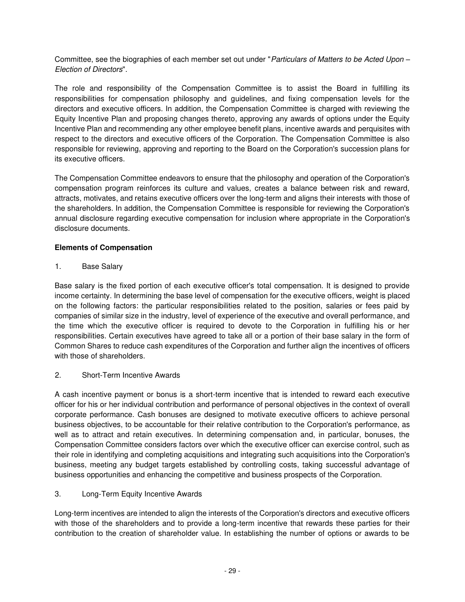Committee, see the biographies of each member set out under "Particulars of Matters to be Acted Upon *–* Election of Directors".

The role and responsibility of the Compensation Committee is to assist the Board in fulfilling its responsibilities for compensation philosophy and guidelines, and fixing compensation levels for the directors and executive officers. In addition, the Compensation Committee is charged with reviewing the Equity Incentive Plan and proposing changes thereto, approving any awards of options under the Equity Incentive Plan and recommending any other employee benefit plans, incentive awards and perquisites with respect to the directors and executive officers of the Corporation. The Compensation Committee is also responsible for reviewing, approving and reporting to the Board on the Corporation's succession plans for its executive officers.

The Compensation Committee endeavors to ensure that the philosophy and operation of the Corporation's compensation program reinforces its culture and values, creates a balance between risk and reward, attracts, motivates, and retains executive officers over the long-term and aligns their interests with those of the shareholders. In addition, the Compensation Committee is responsible for reviewing the Corporation's annual disclosure regarding executive compensation for inclusion where appropriate in the Corporation's disclosure documents.

# **Elements of Compensation**

1. Base Salary

Base salary is the fixed portion of each executive officer's total compensation. It is designed to provide income certainty. In determining the base level of compensation for the executive officers, weight is placed on the following factors: the particular responsibilities related to the position, salaries or fees paid by companies of similar size in the industry, level of experience of the executive and overall performance, and the time which the executive officer is required to devote to the Corporation in fulfilling his or her responsibilities. Certain executives have agreed to take all or a portion of their base salary in the form of Common Shares to reduce cash expenditures of the Corporation and further align the incentives of officers with those of shareholders.

# 2. Short-Term Incentive Awards

A cash incentive payment or bonus is a short-term incentive that is intended to reward each executive officer for his or her individual contribution and performance of personal objectives in the context of overall corporate performance. Cash bonuses are designed to motivate executive officers to achieve personal business objectives, to be accountable for their relative contribution to the Corporation's performance, as well as to attract and retain executives. In determining compensation and, in particular, bonuses, the Compensation Committee considers factors over which the executive officer can exercise control, such as their role in identifying and completing acquisitions and integrating such acquisitions into the Corporation's business, meeting any budget targets established by controlling costs, taking successful advantage of business opportunities and enhancing the competitive and business prospects of the Corporation.

# 3. Long-Term Equity Incentive Awards

Long-term incentives are intended to align the interests of the Corporation's directors and executive officers with those of the shareholders and to provide a long-term incentive that rewards these parties for their contribution to the creation of shareholder value. In establishing the number of options or awards to be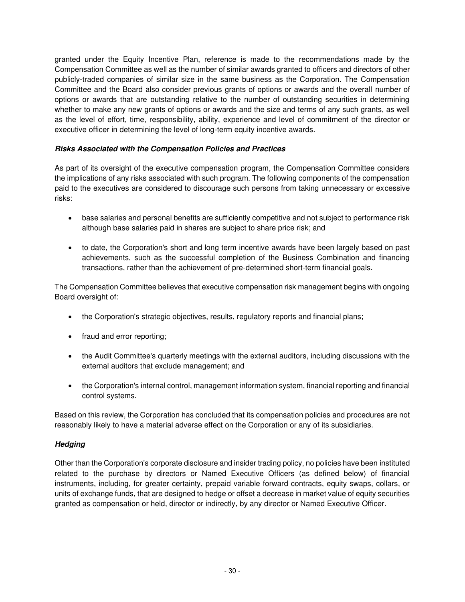granted under the Equity Incentive Plan, reference is made to the recommendations made by the Compensation Committee as well as the number of similar awards granted to officers and directors of other publicly-traded companies of similar size in the same business as the Corporation. The Compensation Committee and the Board also consider previous grants of options or awards and the overall number of options or awards that are outstanding relative to the number of outstanding securities in determining whether to make any new grants of options or awards and the size and terms of any such grants, as well as the level of effort, time, responsibility, ability, experience and level of commitment of the director or executive officer in determining the level of long-term equity incentive awards.

# **Risks Associated with the Compensation Policies and Practices**

As part of its oversight of the executive compensation program, the Compensation Committee considers the implications of any risks associated with such program. The following components of the compensation paid to the executives are considered to discourage such persons from taking unnecessary or excessive risks:

- base salaries and personal benefits are sufficiently competitive and not subject to performance risk although base salaries paid in shares are subject to share price risk; and
- to date, the Corporation's short and long term incentive awards have been largely based on past achievements, such as the successful completion of the Business Combination and financing transactions, rather than the achievement of pre-determined short-term financial goals.

The Compensation Committee believes that executive compensation risk management begins with ongoing Board oversight of:

- the Corporation's strategic objectives, results, regulatory reports and financial plans;
- fraud and error reporting;
- the Audit Committee's quarterly meetings with the external auditors, including discussions with the external auditors that exclude management; and
- the Corporation's internal control, management information system, financial reporting and financial control systems.

Based on this review, the Corporation has concluded that its compensation policies and procedures are not reasonably likely to have a material adverse effect on the Corporation or any of its subsidiaries.

## **Hedging**

Other than the Corporation's corporate disclosure and insider trading policy, no policies have been instituted related to the purchase by directors or Named Executive Officers (as defined below) of financial instruments, including, for greater certainty, prepaid variable forward contracts, equity swaps, collars, or units of exchange funds, that are designed to hedge or offset a decrease in market value of equity securities granted as compensation or held, director or indirectly, by any director or Named Executive Officer.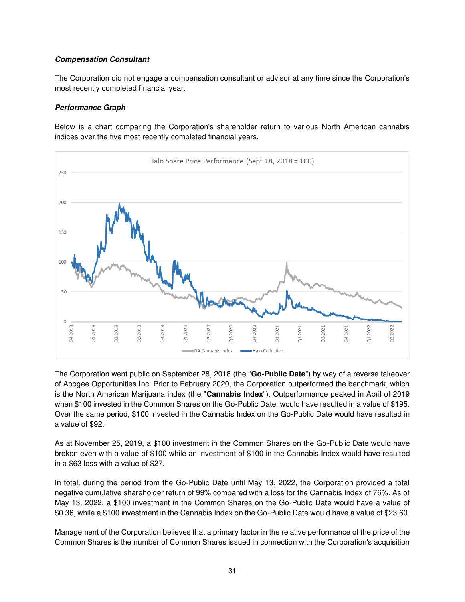## **Compensation Consultant**

The Corporation did not engage a compensation consultant or advisor at any time since the Corporation's most recently completed financial year.

## **Performance Graph**

Below is a chart comparing the Corporation's shareholder return to various North American cannabis indices over the five most recently completed financial years.



The Corporation went public on September 28, 2018 (the "**Go-Public Date**") by way of a reverse takeover of Apogee Opportunities Inc. Prior to February 2020, the Corporation outperformed the benchmark, which is the North American Marijuana index (the "**Cannabis Index**"). Outperformance peaked in April of 2019 when \$100 invested in the Common Shares on the Go-Public Date, would have resulted in a value of \$195. Over the same period, \$100 invested in the Cannabis Index on the Go-Public Date would have resulted in a value of \$92.

As at November 25, 2019, a \$100 investment in the Common Shares on the Go-Public Date would have broken even with a value of \$100 while an investment of \$100 in the Cannabis Index would have resulted in a \$63 loss with a value of \$27.

In total, during the period from the Go-Public Date until May 13, 2022, the Corporation provided a total negative cumulative shareholder return of 99% compared with a loss for the Cannabis Index of 76%. As of May 13, 2022, a \$100 investment in the Common Shares on the Go-Public Date would have a value of \$0.36, while a \$100 investment in the Cannabis Index on the Go-Public Date would have a value of \$23.60.

Management of the Corporation believes that a primary factor in the relative performance of the price of the Common Shares is the number of Common Shares issued in connection with the Corporation's acquisition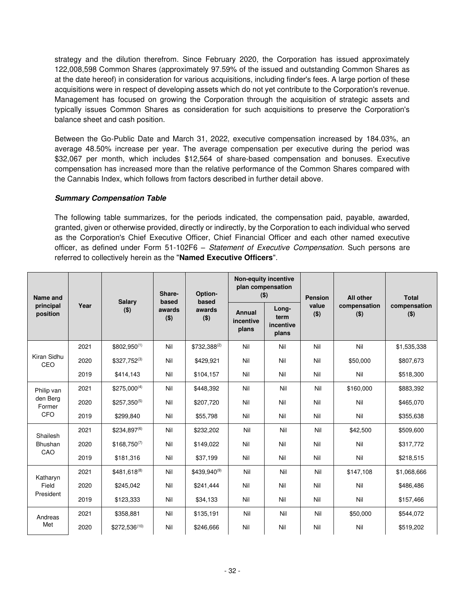strategy and the dilution therefrom. Since February 2020, the Corporation has issued approximately 122,008,598 Common Shares (approximately 97.59% of the issued and outstanding Common Shares as at the date hereof) in consideration for various acquisitions, including finder's fees. A large portion of these acquisitions were in respect of developing assets which do not yet contribute to the Corporation's revenue. Management has focused on growing the Corporation through the acquisition of strategic assets and typically issues Common Shares as consideration for such acquisitions to preserve the Corporation's balance sheet and cash position.

Between the Go-Public Date and March 31, 2022, executive compensation increased by 184.03%, an average 48.50% increase per year. The average compensation per executive during the period was \$32,067 per month, which includes \$12,564 of share-based compensation and bonuses. Executive compensation has increased more than the relative performance of the Common Shares compared with the Cannabis Index, which follows from factors described in further detail above.

## **Summary Compensation Table**

The following table summarizes, for the periods indicated, the compensation paid, payable, awarded, granted, given or otherwise provided, directly or indirectly, by the Corporation to each individual who served as the Corporation's Chief Executive Officer, Chief Financial Officer and each other named executive officer, as defined under Form 51-102F6 – Statement of Executive Compensation. Such persons are referred to collectively herein as the "**Named Executive Officers**".

| Name and              |      |                          |                            | Option-<br>based  |                              | <b>Non-equity incentive</b><br>plan compensation<br>$($ \$) | <b>Pension</b>   | <b>All other</b>        | <b>Total</b>            |
|-----------------------|------|--------------------------|----------------------------|-------------------|------------------------------|-------------------------------------------------------------|------------------|-------------------------|-------------------------|
| principal<br>position | Year | <b>Salary</b><br>$($ \$) | based<br>awards<br>$($ \$) | awards<br>$($ \$) | Annual<br>incentive<br>plans | Long-<br>term<br>incentive<br>plans                         | value<br>$($ \$) | compensation<br>$($ \$) | compensation<br>$($ \$) |
|                       | 2021 | $$802.950^{(1)}$         | Nil                        | \$732,388(2)      | Nil                          | Nil                                                         | Nil              | Nil                     | \$1,535,338             |
| Kiran Sidhu<br>CEO    | 2020 | $$327,752^{(3)}$         | Nil                        | \$429,921         | Nil                          | Nil                                                         | Nil              | \$50,000                | \$807,673               |
|                       | 2019 | \$414,143                | Nil                        | \$104,157         | Nil                          | Nil                                                         | Nil              | Nil                     | \$518,300               |
| Philip van            | 2021 | $$275,000^{(4)}$         | Nil                        | \$448,392         | Nil                          | Nil                                                         | Nil              | \$160,000               | \$883,392               |
| den Berg<br>Former    | 2020 | $$257,350^{(5)}$         | Nil                        | \$207,720         | Nil                          | Nil                                                         | Nil              | Nil                     | \$465,070               |
| CFO                   | 2019 | \$299.840                | Nil                        | \$55,798          | Nil                          | Nil                                                         | Nil              | Nil                     | \$355,638               |
| Shailesh              | 2021 | \$234,897(6)             | Nil                        | \$232,202         | Nil                          | Nil                                                         | Nil              | \$42,500                | \$509,600               |
| <b>Bhushan</b>        | 2020 | $$168,750^{(7)}$         | Nil                        | \$149,022         | Nil                          | Nil                                                         | Nil              | Nil                     | \$317,772               |
| CAO                   | 2019 | \$181,316                | Nil                        | \$37,199          | Nil                          | Nil                                                         | Nil              | Nil                     | \$218,515               |
| Katharyn              | 2021 | \$481,618(8)             | Nil                        | \$439,940(9)      | Nil                          | Nil                                                         | Nil              | \$147,108               | \$1,068,666             |
| Field                 | 2020 | \$245,042                | Nil                        | \$241.444         | Nil                          | Nil                                                         | Nil              | Nil                     | \$486,486               |
| President             | 2019 | \$123,333                | Nil                        | \$34,133          | Nil                          | Nil                                                         | Nil              | Nil                     | \$157,466               |
| Andreas               | 2021 | \$358,881                | Nil                        | \$135,191         | Nil                          | Nil                                                         | Nil              | \$50,000                | \$544,072               |
| Met                   | 2020 | \$272,536(10)            | Nil                        | \$246,666         | Nil                          | Nil                                                         | Nil              | Nil                     | \$519,202               |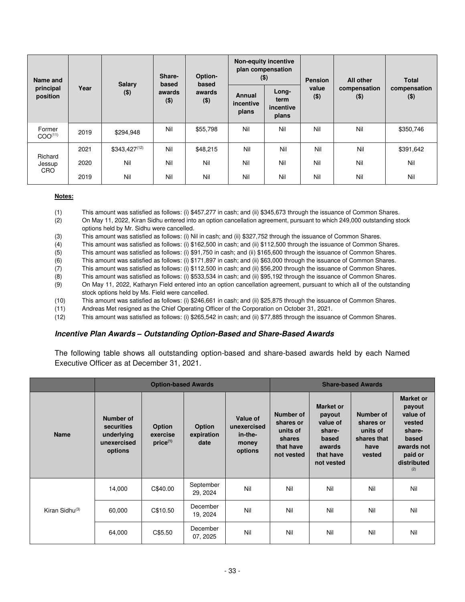| Name and                      | <b>Salary</b> |                   | Share-                     | Option-                    | <b>Non-equity incentive</b><br>plan compensation<br>$($ \$) |                                     | <b>Pension</b>   | All other               | <b>Total</b>            |  |
|-------------------------------|---------------|-------------------|----------------------------|----------------------------|-------------------------------------------------------------|-------------------------------------|------------------|-------------------------|-------------------------|--|
| principal<br>position         | Year          | $($ \$)           | based<br>awards<br>$($ \$) | based<br>awards<br>$($ \$) | Annual<br>incentive<br>plans                                | Long-<br>term<br>incentive<br>plans | value<br>$($ \$) | compensation<br>$($ \$) | compensation<br>$($ \$) |  |
| Former<br>COO <sup>(11)</sup> | 2019          | \$294,948         | Nil                        | \$55,798                   | Nil                                                         | Nil                                 | Nil              | Nil                     | \$350,746               |  |
|                               | 2021          | $$343,427^{(12)}$ | Nil                        | \$48,215                   | Nil                                                         | Nil                                 | Nil              | Nil                     | \$391,642               |  |
| Richard<br>Jessup             | 2020          | Nil               | Nil                        | Nil                        | Nil                                                         | Nil                                 | Nil              | Nil                     | Nil                     |  |
| <b>CRO</b>                    | 2019          | Nil               | Nil                        | Nil                        | Nil                                                         | Nil                                 | Nil              | Nil                     | Nil                     |  |

#### **Notes:**

- (1) This amount was satisfied as follows: (i) \$457,277 in cash; and (ii) \$345,673 through the issuance of Common Shares.
- (2) On May 11, 2022, Kiran Sidhu entered into an option cancellation agreement, pursuant to which 249,000 outstanding stock options held by Mr. Sidhu were cancelled.
- (3) This amount was satisfied as follows: (i) Nil in cash; and (ii) \$327,752 through the issuance of Common Shares.
- (4) This amount was satisfied as follows: (i) \$162,500 in cash; and (ii) \$112,500 through the issuance of Common Shares.
- (5) This amount was satisfied as follows: (i) \$91,750 in cash; and (ii) \$165,600 through the issuance of Common Shares.
- (6) This amount was satisfied as follows: (i) \$171,897 in cash; and (ii) \$63,000 through the issuance of Common Shares.
- (7) This amount was satisfied as follows: (i) \$112,500 in cash; and (ii) \$56,200 through the issuance of Common Shares.
- (8) This amount was satisfied as follows: (i) \$533,534 in cash; and (ii) \$95,192 through the issuance of Common Shares.
- (9) On May 11, 2022, Katharyn Field entered into an option cancellation agreement, pursuant to which all of the outstanding stock options held by Ms. Field were cancelled.
- (10) This amount was satisfied as follows: (i) \$246,661 in cash; and (ii) \$25,875 through the issuance of Common Shares.
- (11) Andreas Met resigned as the Chief Operating Officer of the Corporation on October 31, 2021.
- (12) This amount was satisfied as follows: (i) \$265,542 in cash; and (ii) \$77,885 through the issuance of Common Shares.

## **Incentive Plan Awards** *–* **Outstanding Option-Based and Share-Based Awards**

The following table shows all outstanding option-based and share-based awards held by each Named Executive Officer as at December 31, 2021.

|                            |                                                                 | <b>Option-based Awards</b>                 |                              |                                                        | <b>Share-based Awards</b><br><b>Market or</b><br>Number of<br>Number of<br>payout<br>value of<br>shares or<br>shares or<br>units of<br>share-<br>units of<br>share-<br>shares that<br>based<br>based<br>shares<br>that have<br>awards<br>have<br>not vested<br>that have<br>vested |            |     |                                                                                                 |
|----------------------------|-----------------------------------------------------------------|--------------------------------------------|------------------------------|--------------------------------------------------------|------------------------------------------------------------------------------------------------------------------------------------------------------------------------------------------------------------------------------------------------------------------------------------|------------|-----|-------------------------------------------------------------------------------------------------|
| <b>Name</b>                | Number of<br>securities<br>underlying<br>unexercised<br>options | <b>Option</b><br>exercise<br>$price^{(1)}$ | Option<br>expiration<br>date | Value of<br>unexercised<br>in-the-<br>money<br>options |                                                                                                                                                                                                                                                                                    | not vested |     | <b>Market or</b><br>payout<br>value of<br>vested<br>awards not<br>paid or<br>distributed<br>(2) |
|                            | 14,000                                                          | C\$40.00                                   | September<br>29, 2024        | Nil                                                    | Nil                                                                                                                                                                                                                                                                                | Nil        | Nil | Nil                                                                                             |
| Kiran Sidhu <sup>(3)</sup> | 60,000                                                          | C\$10.50                                   | December<br>19, 2024         | Nil                                                    | Nil                                                                                                                                                                                                                                                                                | Nil        | Nil | Nil                                                                                             |
|                            | 64,000                                                          | C\$5.50                                    | December<br>07, 2025         | Nil                                                    | Nil                                                                                                                                                                                                                                                                                | Nil        | Nil | Nil                                                                                             |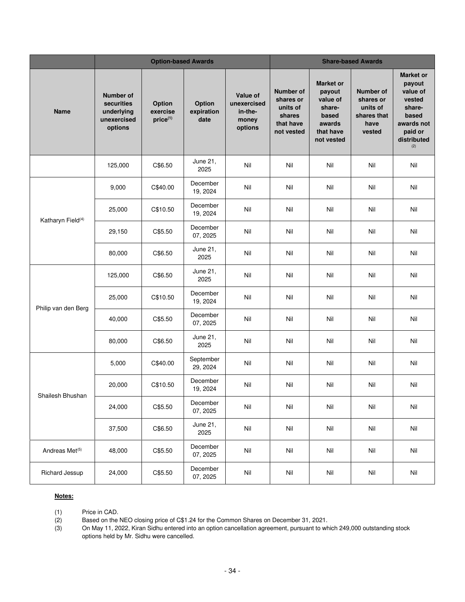|                               |                                                                        | <b>Option-based Awards</b>     |                              |                                                        |                                                                         | <b>Share-based Awards</b><br><b>Market or</b><br><b>Number of</b><br>payout<br>value of<br>shares or<br>units of<br>share-<br>shares that<br>based<br>awards<br>have<br>that have<br>vested<br>not vested<br>(2)<br>Nil<br>Nil<br>Nil<br>Nil<br>Nil<br>Nil<br>Nil<br>Nil<br>Nil<br>Nil<br>Nil<br>Nil<br>Nil<br>Nil<br>Nil<br>Nil<br>Nil<br>Nil<br>Nil<br>Nil<br>Nil<br>Nil<br>Nil<br>Nil<br>Nil<br>Nil<br>Nil<br>Nil<br>Nil<br>Nil<br>Nil<br>Nil<br>Nil<br>Nil<br>Nil<br>Nil<br>Nil<br>Nil<br>Nil<br>Nil<br>Nil<br>Nil |     |                                                                                                             |
|-------------------------------|------------------------------------------------------------------------|--------------------------------|------------------------------|--------------------------------------------------------|-------------------------------------------------------------------------|------------------------------------------------------------------------------------------------------------------------------------------------------------------------------------------------------------------------------------------------------------------------------------------------------------------------------------------------------------------------------------------------------------------------------------------------------------------------------------------------------------------------|-----|-------------------------------------------------------------------------------------------------------------|
| <b>Name</b>                   | <b>Number of</b><br>securities<br>underlying<br>unexercised<br>options | Option<br>exercise<br>price(1) | Option<br>expiration<br>date | Value of<br>unexercised<br>in-the-<br>money<br>options | Number of<br>shares or<br>units of<br>shares<br>that have<br>not vested |                                                                                                                                                                                                                                                                                                                                                                                                                                                                                                                        |     | <b>Market or</b><br>payout<br>value of<br>vested<br>share-<br>based<br>awards not<br>paid or<br>distributed |
|                               | 125,000                                                                | C\$6.50                        | June 21,<br>2025             | Nil                                                    | Nil                                                                     |                                                                                                                                                                                                                                                                                                                                                                                                                                                                                                                        |     |                                                                                                             |
|                               | 9,000                                                                  | C\$40.00                       | December<br>19, 2024         | Nil                                                    | Nil                                                                     |                                                                                                                                                                                                                                                                                                                                                                                                                                                                                                                        |     |                                                                                                             |
| Katharyn Field <sup>(4)</sup> | 25,000                                                                 | C\$10.50                       | December<br>19, 2024         | Nil                                                    | Nil                                                                     |                                                                                                                                                                                                                                                                                                                                                                                                                                                                                                                        |     |                                                                                                             |
|                               | 29,150                                                                 | C\$5.50                        | December<br>07, 2025         | Nil                                                    | Nil                                                                     |                                                                                                                                                                                                                                                                                                                                                                                                                                                                                                                        |     |                                                                                                             |
|                               | 80,000                                                                 | C\$6.50                        | June 21,<br>2025             | Nil                                                    | Nil                                                                     |                                                                                                                                                                                                                                                                                                                                                                                                                                                                                                                        |     |                                                                                                             |
|                               | 125,000                                                                | C\$6.50                        | June 21,<br>2025             | Nil                                                    | Nil                                                                     |                                                                                                                                                                                                                                                                                                                                                                                                                                                                                                                        |     |                                                                                                             |
| Philip van den Berg           | 25,000                                                                 | C\$10.50                       | December<br>19, 2024         | Nil                                                    | Nil                                                                     |                                                                                                                                                                                                                                                                                                                                                                                                                                                                                                                        |     |                                                                                                             |
|                               | 40,000                                                                 | C\$5.50                        | December<br>07, 2025         | Nil                                                    | Nil                                                                     |                                                                                                                                                                                                                                                                                                                                                                                                                                                                                                                        |     |                                                                                                             |
|                               | 80,000                                                                 | C\$6.50                        | June 21,<br>2025             | Nil                                                    | Nil                                                                     |                                                                                                                                                                                                                                                                                                                                                                                                                                                                                                                        |     |                                                                                                             |
|                               | 5,000                                                                  | C\$40.00                       | September<br>29, 2024        | Nil                                                    | Nil                                                                     |                                                                                                                                                                                                                                                                                                                                                                                                                                                                                                                        |     |                                                                                                             |
| Shailesh Bhushan              | 20,000                                                                 | C\$10.50                       | December<br>19, 2024         | Nil                                                    | Nil                                                                     |                                                                                                                                                                                                                                                                                                                                                                                                                                                                                                                        |     |                                                                                                             |
|                               | 24,000                                                                 | C\$5.50                        | December<br>07, 2025         | Nil                                                    | Nil                                                                     |                                                                                                                                                                                                                                                                                                                                                                                                                                                                                                                        |     |                                                                                                             |
|                               | 37,500                                                                 | C\$6.50                        | June 21,<br>2025             | Nil                                                    | Nil                                                                     |                                                                                                                                                                                                                                                                                                                                                                                                                                                                                                                        |     |                                                                                                             |
| Andreas Met <sup>(5)</sup>    | 48,000                                                                 | C\$5.50                        | December<br>07, 2025         | Nil                                                    | Nil                                                                     |                                                                                                                                                                                                                                                                                                                                                                                                                                                                                                                        |     |                                                                                                             |
| Richard Jessup                | 24,000                                                                 | C\$5.50                        | December<br>07, 2025         | Nil                                                    | Nil                                                                     | Nil                                                                                                                                                                                                                                                                                                                                                                                                                                                                                                                    | Nil | Nil                                                                                                         |

#### **Notes:**

(1) Price in CAD.<br>(2) Based on the I

(2) Based on the NEO closing price of C\$1.24 for the Common Shares on December 31, 2021.<br>(3) On May 11, 2022, Kiran Sidhu entered into an option cancellation agreement, pursuant to wh

On May 11, 2022, Kiran Sidhu entered into an option cancellation agreement, pursuant to which 249,000 outstanding stock options held by Mr. Sidhu were cancelled.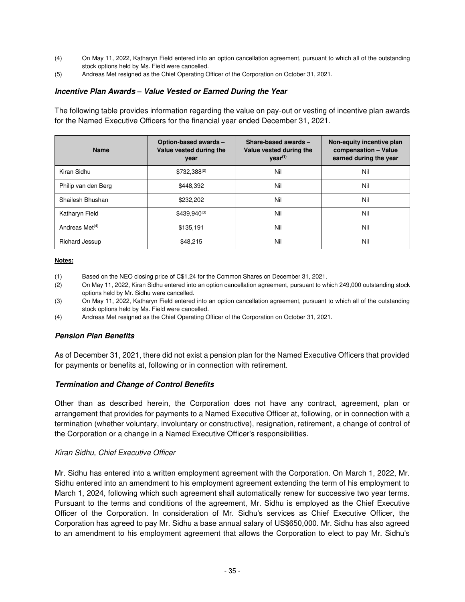- (4) On May 11, 2022, Katharyn Field entered into an option cancellation agreement, pursuant to which all of the outstanding stock options held by Ms. Field were cancelled.
- (5) Andreas Met resigned as the Chief Operating Officer of the Corporation on October 31, 2021.

## **Incentive Plan Awards** *–* **Value Vested or Earned During the Year**

The following table provides information regarding the value on pay-out or vesting of incentive plan awards for the Named Executive Officers for the financial year ended December 31, 2021.

| <b>Name</b>         | Option-based awards -<br>Value vested during the<br>year | Share-based awards -<br>Value vested during the<br>$\text{year}^{(1)}$ | Non-equity incentive plan<br>compensation - Value<br>earned during the year |
|---------------------|----------------------------------------------------------|------------------------------------------------------------------------|-----------------------------------------------------------------------------|
| Kiran Sidhu         | $$732,388^{(2)}$                                         | Nil                                                                    | Nil                                                                         |
| Philip van den Berg | \$448.392                                                | Nil                                                                    | Nil                                                                         |
| Shailesh Bhushan    | \$232,202                                                | Nil                                                                    | Nil                                                                         |
| Katharyn Field      | $$439.940^{(3)}$                                         | Nil                                                                    | Nil                                                                         |
| Andreas Met $(4)$   | \$135,191                                                | Nil                                                                    | Nil                                                                         |
| Richard Jessup      | \$48,215                                                 | Nil                                                                    | Nil                                                                         |

#### **Notes:**

- (1) Based on the NEO closing price of C\$1.24 for the Common Shares on December 31, 2021.
- (2) On May 11, 2022, Kiran Sidhu entered into an option cancellation agreement, pursuant to which 249,000 outstanding stock options held by Mr. Sidhu were cancelled.
- (3) On May 11, 2022, Katharyn Field entered into an option cancellation agreement, pursuant to which all of the outstanding stock options held by Ms. Field were cancelled.
- (4) Andreas Met resigned as the Chief Operating Officer of the Corporation on October 31, 2021.

#### **Pension Plan Benefits**

As of December 31, 2021, there did not exist a pension plan for the Named Executive Officers that provided for payments or benefits at, following or in connection with retirement.

## **Termination and Change of Control Benefits**

Other than as described herein, the Corporation does not have any contract, agreement, plan or arrangement that provides for payments to a Named Executive Officer at, following, or in connection with a termination (whether voluntary, involuntary or constructive), resignation, retirement, a change of control of the Corporation or a change in a Named Executive Officer's responsibilities.

#### Kiran Sidhu, Chief Executive Officer

Mr. Sidhu has entered into a written employment agreement with the Corporation. On March 1, 2022, Mr. Sidhu entered into an amendment to his employment agreement extending the term of his employment to March 1, 2024, following which such agreement shall automatically renew for successive two year terms. Pursuant to the terms and conditions of the agreement, Mr. Sidhu is employed as the Chief Executive Officer of the Corporation. In consideration of Mr. Sidhu's services as Chief Executive Officer, the Corporation has agreed to pay Mr. Sidhu a base annual salary of US\$650,000. Mr. Sidhu has also agreed to an amendment to his employment agreement that allows the Corporation to elect to pay Mr. Sidhu's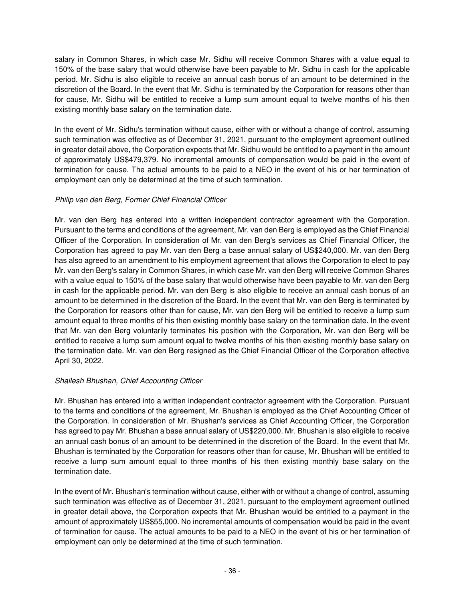salary in Common Shares, in which case Mr. Sidhu will receive Common Shares with a value equal to 150% of the base salary that would otherwise have been payable to Mr. Sidhu in cash for the applicable period. Mr. Sidhu is also eligible to receive an annual cash bonus of an amount to be determined in the discretion of the Board. In the event that Mr. Sidhu is terminated by the Corporation for reasons other than for cause, Mr. Sidhu will be entitled to receive a lump sum amount equal to twelve months of his then existing monthly base salary on the termination date.

In the event of Mr. Sidhu's termination without cause, either with or without a change of control, assuming such termination was effective as of December 31, 2021, pursuant to the employment agreement outlined in greater detail above, the Corporation expects that Mr. Sidhu would be entitled to a payment in the amount of approximately US\$479,379. No incremental amounts of compensation would be paid in the event of termination for cause. The actual amounts to be paid to a NEO in the event of his or her termination of employment can only be determined at the time of such termination.

# Philip van den Berg, Former Chief Financial Officer

Mr. van den Berg has entered into a written independent contractor agreement with the Corporation. Pursuant to the terms and conditions of the agreement, Mr. van den Berg is employed as the Chief Financial Officer of the Corporation. In consideration of Mr. van den Berg's services as Chief Financial Officer, the Corporation has agreed to pay Mr. van den Berg a base annual salary of US\$240,000. Mr. van den Berg has also agreed to an amendment to his employment agreement that allows the Corporation to elect to pay Mr. van den Berg's salary in Common Shares, in which case Mr. van den Berg will receive Common Shares with a value equal to 150% of the base salary that would otherwise have been payable to Mr. van den Berg in cash for the applicable period. Mr. van den Berg is also eligible to receive an annual cash bonus of an amount to be determined in the discretion of the Board. In the event that Mr. van den Berg is terminated by the Corporation for reasons other than for cause, Mr. van den Berg will be entitled to receive a lump sum amount equal to three months of his then existing monthly base salary on the termination date. In the event that Mr. van den Berg voluntarily terminates his position with the Corporation, Mr. van den Berg will be entitled to receive a lump sum amount equal to twelve months of his then existing monthly base salary on the termination date. Mr. van den Berg resigned as the Chief Financial Officer of the Corporation effective April 30, 2022.

# Shailesh Bhushan, Chief Accounting Officer

Mr. Bhushan has entered into a written independent contractor agreement with the Corporation. Pursuant to the terms and conditions of the agreement, Mr. Bhushan is employed as the Chief Accounting Officer of the Corporation. In consideration of Mr. Bhushan's services as Chief Accounting Officer, the Corporation has agreed to pay Mr. Bhushan a base annual salary of US\$220,000. Mr. Bhushan is also eligible to receive an annual cash bonus of an amount to be determined in the discretion of the Board. In the event that Mr. Bhushan is terminated by the Corporation for reasons other than for cause, Mr. Bhushan will be entitled to receive a lump sum amount equal to three months of his then existing monthly base salary on the termination date.

In the event of Mr. Bhushan's termination without cause, either with or without a change of control, assuming such termination was effective as of December 31, 2021, pursuant to the employment agreement outlined in greater detail above, the Corporation expects that Mr. Bhushan would be entitled to a payment in the amount of approximately US\$55,000. No incremental amounts of compensation would be paid in the event of termination for cause. The actual amounts to be paid to a NEO in the event of his or her termination of employment can only be determined at the time of such termination.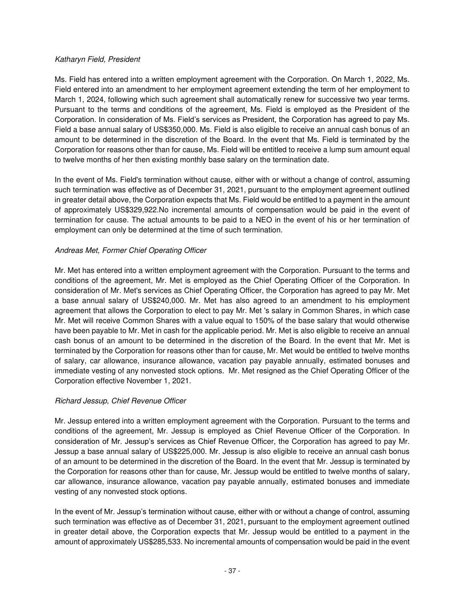## Katharyn Field, President

Ms. Field has entered into a written employment agreement with the Corporation. On March 1, 2022, Ms. Field entered into an amendment to her employment agreement extending the term of her employment to March 1, 2024, following which such agreement shall automatically renew for successive two year terms. Pursuant to the terms and conditions of the agreement, Ms. Field is employed as the President of the Corporation. In consideration of Ms. Field's services as President, the Corporation has agreed to pay Ms. Field a base annual salary of US\$350,000. Ms. Field is also eligible to receive an annual cash bonus of an amount to be determined in the discretion of the Board. In the event that Ms. Field is terminated by the Corporation for reasons other than for cause, Ms. Field will be entitled to receive a lump sum amount equal to twelve months of her then existing monthly base salary on the termination date.

In the event of Ms. Field's termination without cause, either with or without a change of control, assuming such termination was effective as of December 31, 2021, pursuant to the employment agreement outlined in greater detail above, the Corporation expects that Ms. Field would be entitled to a payment in the amount of approximately US\$329,922.No incremental amounts of compensation would be paid in the event of termination for cause. The actual amounts to be paid to a NEO in the event of his or her termination of employment can only be determined at the time of such termination.

# Andreas Met, Former Chief Operating Officer

Mr. Met has entered into a written employment agreement with the Corporation. Pursuant to the terms and conditions of the agreement, Mr. Met is employed as the Chief Operating Officer of the Corporation. In consideration of Mr. Met's services as Chief Operating Officer, the Corporation has agreed to pay Mr. Met a base annual salary of US\$240,000. Mr. Met has also agreed to an amendment to his employment agreement that allows the Corporation to elect to pay Mr. Met 's salary in Common Shares, in which case Mr. Met will receive Common Shares with a value equal to 150% of the base salary that would otherwise have been payable to Mr. Met in cash for the applicable period. Mr. Met is also eligible to receive an annual cash bonus of an amount to be determined in the discretion of the Board. In the event that Mr. Met is terminated by the Corporation for reasons other than for cause, Mr. Met would be entitled to twelve months of salary, car allowance, insurance allowance, vacation pay payable annually, estimated bonuses and immediate vesting of any nonvested stock options. Mr. Met resigned as the Chief Operating Officer of the Corporation effective November 1, 2021.

# Richard Jessup, Chief Revenue Officer

Mr. Jessup entered into a written employment agreement with the Corporation. Pursuant to the terms and conditions of the agreement, Mr. Jessup is employed as Chief Revenue Officer of the Corporation. In consideration of Mr. Jessup's services as Chief Revenue Officer, the Corporation has agreed to pay Mr. Jessup a base annual salary of US\$225,000. Mr. Jessup is also eligible to receive an annual cash bonus of an amount to be determined in the discretion of the Board. In the event that Mr. Jessup is terminated by the Corporation for reasons other than for cause, Mr. Jessup would be entitled to twelve months of salary, car allowance, insurance allowance, vacation pay payable annually, estimated bonuses and immediate vesting of any nonvested stock options.

In the event of Mr. Jessup's termination without cause, either with or without a change of control, assuming such termination was effective as of December 31, 2021, pursuant to the employment agreement outlined in greater detail above, the Corporation expects that Mr. Jessup would be entitled to a payment in the amount of approximately US\$285,533. No incremental amounts of compensation would be paid in the event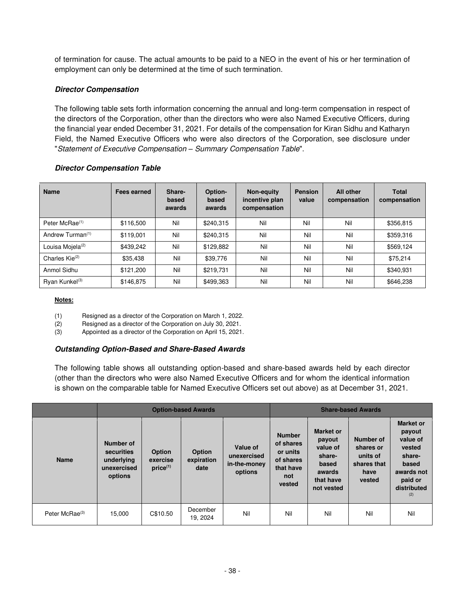of termination for cause. The actual amounts to be paid to a NEO in the event of his or her termination of employment can only be determined at the time of such termination.

# **Director Compensation**

The following table sets forth information concerning the annual and long-term compensation in respect of the directors of the Corporation, other than the directors who were also Named Executive Officers, during the financial year ended December 31, 2021. For details of the compensation for Kiran Sidhu and Katharyn Field, the Named Executive Officers who were also directors of the Corporation, see disclosure under "Statement of Executive Compensation *–* Summary Compensation Table".

| <b>Name</b>                  | Fees earned | Share-<br>based<br>awards | Option-<br>based<br>awards | <b>Non-equity</b><br>incentive plan<br>compensation | <b>Pension</b><br>value | <b>All other</b><br>compensation | <b>Total</b><br>compensation |
|------------------------------|-------------|---------------------------|----------------------------|-----------------------------------------------------|-------------------------|----------------------------------|------------------------------|
| Peter McRae <sup>(1)</sup>   | \$116,500   | Nil                       | \$240,315                  | Nil                                                 | Nil                     | Nil                              | \$356,815                    |
| Andrew Turman <sup>(1)</sup> | \$119,001   | Nil                       | \$240,315                  | Nil                                                 | Nil                     | Nil                              | \$359,316                    |
| Louisa Mojela <sup>(2)</sup> | \$439,242   | Nil                       | \$129,882                  | Nil                                                 | Nil                     | Nil                              | \$569,124                    |
| Charles Kie <sup>(2)</sup>   | \$35,438    | Nil                       | \$39,776                   | Nil                                                 | Nil                     | Nil                              | \$75.214                     |
| Anmol Sidhu                  | \$121,200   | Nil                       | \$219,731                  | Nil                                                 | Nil                     | Nil                              | \$340,931                    |
| Ryan Kunkel <sup>(3)</sup>   | \$146,875   | Nil                       | \$499,363                  | Nil                                                 | Nil                     | Nil                              | \$646,238                    |

## **Director Compensation Table**

#### **Notes:**

(1) Resigned as a director of the Corporation on March 1, 2022.

(2) Resigned as a director of the Corporation on July 30, 2021.

(3) Appointed as a director of the Corporation on April 15, 2021.

## **Outstanding Option-Based and Share-Based Awards**

The following table shows all outstanding option-based and share-based awards held by each director (other than the directors who were also Named Executive Officers and for whom the identical information is shown on the comparable table for Named Executive Officers set out above) as at December 31, 2021.

|                            | <b>Option-based Awards</b>                                      |                                     |                                     |                                                    |                                                                                   | <b>Share-based Awards</b>                                                                      |                                                                     |                                                                                                                    |
|----------------------------|-----------------------------------------------------------------|-------------------------------------|-------------------------------------|----------------------------------------------------|-----------------------------------------------------------------------------------|------------------------------------------------------------------------------------------------|---------------------------------------------------------------------|--------------------------------------------------------------------------------------------------------------------|
| <b>Name</b>                | Number of<br>securities<br>underlying<br>unexercised<br>options | Option<br>exercise<br>$price^{(1)}$ | <b>Option</b><br>expiration<br>date | Value of<br>unexercised<br>in-the-money<br>options | <b>Number</b><br>of shares<br>or units<br>of shares<br>that have<br>not<br>vested | <b>Market or</b><br>payout<br>value of<br>share-<br>based<br>awards<br>that have<br>not vested | Number of<br>shares or<br>units of<br>shares that<br>have<br>vested | <b>Market or</b><br>payout<br>value of<br>vested<br>share-<br>based<br>awards not<br>paid or<br>distributed<br>(2) |
| Peter McRae <sup>(3)</sup> | 15,000                                                          | C\$10.50                            | December<br>19, 2024                | Nil                                                | Nil                                                                               | Nil                                                                                            | Nil                                                                 | Nil                                                                                                                |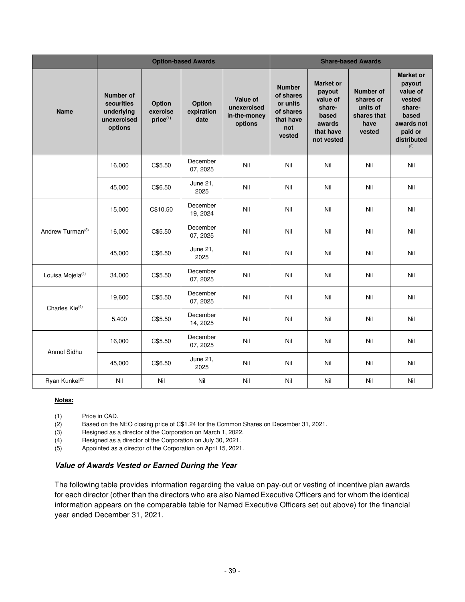|                              | <b>Option-based Awards</b>                                             |                                |                              |                                                    | <b>Share-based Awards</b>                                                         |                                                                                                |                                                                            |                                                                                                                    |
|------------------------------|------------------------------------------------------------------------|--------------------------------|------------------------------|----------------------------------------------------|-----------------------------------------------------------------------------------|------------------------------------------------------------------------------------------------|----------------------------------------------------------------------------|--------------------------------------------------------------------------------------------------------------------|
| <b>Name</b>                  | <b>Number of</b><br>securities<br>underlying<br>unexercised<br>options | Option<br>exercise<br>price(1) | Option<br>expiration<br>date | Value of<br>unexercised<br>in-the-money<br>options | <b>Number</b><br>of shares<br>or units<br>of shares<br>that have<br>not<br>vested | <b>Market or</b><br>payout<br>value of<br>share-<br>based<br>awards<br>that have<br>not vested | <b>Number of</b><br>shares or<br>units of<br>shares that<br>have<br>vested | <b>Market or</b><br>payout<br>value of<br>vested<br>share-<br>based<br>awards not<br>paid or<br>distributed<br>(2) |
|                              | 16,000                                                                 | C\$5.50                        | December<br>07, 2025         | Nil                                                | Nil                                                                               | Nil                                                                                            | Nil                                                                        | Nil                                                                                                                |
|                              | 45,000                                                                 | C\$6.50                        | June 21,<br>2025             | Nil                                                | Nil                                                                               | Nil                                                                                            | Nil                                                                        | Nil                                                                                                                |
|                              | 15,000                                                                 | C\$10.50                       | December<br>19, 2024         | Nil                                                | Nil                                                                               | Nil                                                                                            | Nil                                                                        | Nil                                                                                                                |
| Andrew Turman <sup>(3)</sup> | 16,000                                                                 | C\$5.50                        | December<br>07, 2025         | Nil                                                | Nil                                                                               | Nil                                                                                            | Nil                                                                        | Nil                                                                                                                |
|                              | 45,000                                                                 | C\$6.50                        | June 21,<br>2025             | Nil                                                | Nil                                                                               | Nil                                                                                            | Nil                                                                        | Nil                                                                                                                |
| Louisa Mojela <sup>(4)</sup> | 34,000                                                                 | C\$5.50                        | December<br>07, 2025         | Nil                                                | Nil                                                                               | Nil                                                                                            | Nil                                                                        | Nil                                                                                                                |
| Charles Kie <sup>(4)</sup>   | 19,600                                                                 | C\$5.50                        | December<br>07, 2025         | Nil                                                | Nil                                                                               | Nil                                                                                            | Nil                                                                        | Nil                                                                                                                |
|                              | 5,400                                                                  | C\$5.50                        | December<br>14, 2025         | Nil                                                | Nil                                                                               | Nil                                                                                            | Nil                                                                        | Nil                                                                                                                |
| Anmol Sidhu                  | 16,000                                                                 | C\$5.50                        | December<br>07, 2025         | Nil                                                | Nil                                                                               | Nil                                                                                            | Nil                                                                        | Nil                                                                                                                |
|                              | 45,000                                                                 | C\$6.50                        | June 21,<br>2025             | Nil                                                | Nil                                                                               | Nil                                                                                            | Nil                                                                        | Nil                                                                                                                |
| Ryan Kunkel <sup>(5)</sup>   | Nil                                                                    | Nil                            | Nil                          | Nil                                                | Nil                                                                               | Nil                                                                                            | Nil                                                                        | Nil                                                                                                                |

#### **Notes:**

(1) Price in CAD.

(2) Based on the NEO closing price of C\$1.24 for the Common Shares on December 31, 2021.

(3) Resigned as a director of the Corporation on March 1, 2022.

(4) Resigned as a director of the Corporation on July 30, 2021.

(5) Appointed as a director of the Corporation on April 15, 2021.

#### **Value of Awards Vested or Earned During the Year**

The following table provides information regarding the value on pay-out or vesting of incentive plan awards for each director (other than the directors who are also Named Executive Officers and for whom the identical information appears on the comparable table for Named Executive Officers set out above) for the financial year ended December 31, 2021.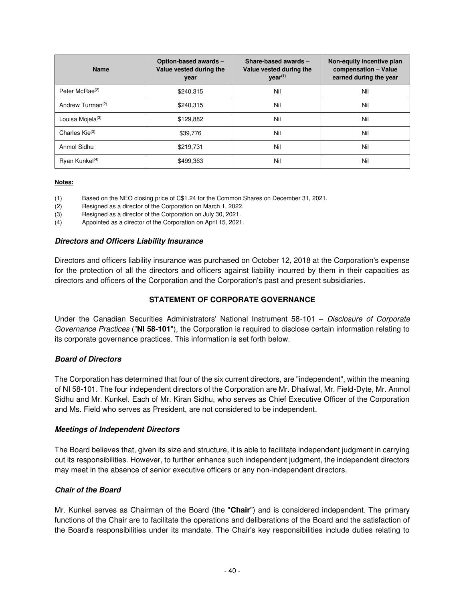| <b>Name</b>                  | Option-based awards -<br>Value vested during the<br>year | Share-based awards -<br>Value vested during the<br>$\text{year}^{(1)}$ | Non-equity incentive plan<br>compensation - Value<br>earned during the year |
|------------------------------|----------------------------------------------------------|------------------------------------------------------------------------|-----------------------------------------------------------------------------|
| Peter McRae <sup>(2)</sup>   | \$240,315                                                | Nil                                                                    | Nil                                                                         |
| Andrew Turman <sup>(2)</sup> | \$240.315                                                | Nil                                                                    | Nil                                                                         |
| Louisa Mojela <sup>(3)</sup> | \$129,882                                                | Nil                                                                    | Nil                                                                         |
| Charles $\mathsf{Kie}^{(3)}$ | \$39,776                                                 | Nil                                                                    | Nil                                                                         |
| Anmol Sidhu                  | \$219,731                                                | Nil                                                                    | Nil                                                                         |
| Rvan Kunkel $(4)$            | \$499,363                                                | Nil                                                                    | Nil                                                                         |

#### **Notes:**

(1) Based on the NEO closing price of C\$1.24 for the Common Shares on December 31, 2021.

(2) Resigned as a director of the Corporation on March 1, 2022.

(3) Resigned as a director of the Corporation on July 30, 2021.

(4) Appointed as a director of the Corporation on April 15, 2021.

#### **Directors and Officers Liability Insurance**

Directors and officers liability insurance was purchased on October 12, 2018 at the Corporation's expense for the protection of all the directors and officers against liability incurred by them in their capacities as directors and officers of the Corporation and the Corporation's past and present subsidiaries.

# **STATEMENT OF CORPORATE GOVERNANCE**

<span id="page-43-0"></span>Under the Canadian Securities Administrators' National Instrument 58-101 - Disclosure of Corporate Governance Practices ("**NI 58-101**"), the Corporation is required to disclose certain information relating to its corporate governance practices. This information is set forth below.

## **Board of Directors**

The Corporation has determined that four of the six current directors, are "independent", within the meaning of NI 58-101. The four independent directors of the Corporation are Mr. Dhaliwal, Mr. Field-Dyte, Mr. Anmol Sidhu and Mr. Kunkel. Each of Mr. Kiran Sidhu, who serves as Chief Executive Officer of the Corporation and Ms. Field who serves as President, are not considered to be independent.

#### **Meetings of Independent Directors**

The Board believes that, given its size and structure, it is able to facilitate independent judgment in carrying out its responsibilities. However, to further enhance such independent judgment, the independent directors may meet in the absence of senior executive officers or any non-independent directors.

## **Chair of the Board**

Mr. Kunkel serves as Chairman of the Board (the "**Chair**") and is considered independent. The primary functions of the Chair are to facilitate the operations and deliberations of the Board and the satisfaction of the Board's responsibilities under its mandate. The Chair's key responsibilities include duties relating to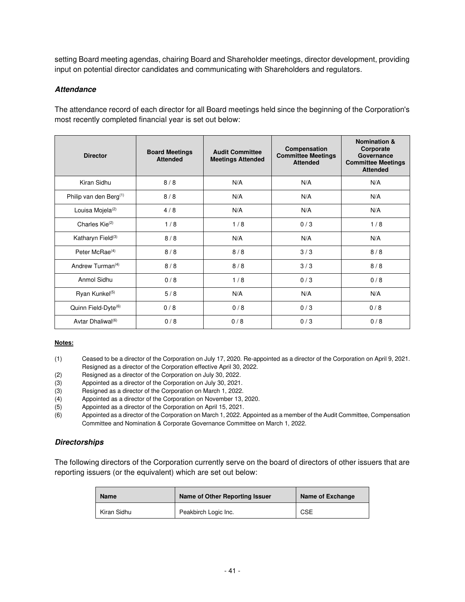setting Board meeting agendas, chairing Board and Shareholder meetings, director development, providing input on potential director candidates and communicating with Shareholders and regulators.

## **Attendance**

The attendance record of each director for all Board meetings held since the beginning of the Corporation's most recently completed financial year is set out below:

| <b>Director</b>                           | <b>Board Meetings</b><br><b>Attended</b> | <b>Audit Committee</b><br><b>Meetings Attended</b> | Compensation<br><b>Committee Meetings</b><br><b>Attended</b> | <b>Nomination &amp;</b><br>Corporate<br>Governance<br><b>Committee Meetings</b><br><b>Attended</b> |
|-------------------------------------------|------------------------------------------|----------------------------------------------------|--------------------------------------------------------------|----------------------------------------------------------------------------------------------------|
| Kiran Sidhu                               | 8/8                                      | N/A                                                | N/A                                                          | N/A                                                                                                |
| Philip van den Berg <sup>(1)</sup>        | 8/8                                      | N/A                                                | N/A                                                          | N/A                                                                                                |
| Louisa Mojela <sup>(2)</sup>              | 4/8                                      | N/A                                                | N/A                                                          | N/A                                                                                                |
| Charles $\mathsf{Kie}^{(2)}$              | 1/8                                      | 1/8                                                | 0/3                                                          | 1/8                                                                                                |
| Katharyn Field <sup>(3)</sup>             | 8/8                                      | N/A                                                | N/A                                                          | N/A                                                                                                |
| Peter McRae <sup>(4)</sup>                | 8/8                                      | 8/8                                                | 3/3                                                          | 8/8                                                                                                |
| Andrew Turman <sup><math>(4)</math></sup> | 8/8                                      | 8/8                                                | 3/3                                                          | 8/8                                                                                                |
| Anmol Sidhu                               | 0/8                                      | 1/8                                                | 0/3                                                          | 0/8                                                                                                |
| Ryan Kunkel <sup>(5)</sup>                | 5/8                                      | N/A                                                | N/A                                                          | N/A                                                                                                |
| Quinn Field-Dyte <sup>(6)</sup>           | 0/8                                      | 0/8                                                | 0/3                                                          | 0/8                                                                                                |
| Avtar Dhaliwal <sup>(6)</sup>             | 0/8                                      | 0/8                                                | 0/3                                                          | 0/8                                                                                                |

#### **Notes:**

- (1) Ceased to be a director of the Corporation on July 17, 2020. Re-appointed as a director of the Corporation on April 9, 2021. Resigned as a director of the Corporation effective April 30, 2022.
- (2) Resigned as a director of the Corporation on July 30, 2022.
- (3) Appointed as a director of the Corporation on July 30, 2021.
- (3) Resigned as a director of the Corporation on March 1, 2022.
- (4) Appointed as a director of the Corporation on November 13, 2020.
- (5) Appointed as a director of the Corporation on April 15, 2021.
- (6) Appointed as a director of the Corporation on March 1, 2022. Appointed as a member of the Audit Committee, Compensation Committee and Nomination & Corporate Governance Committee on March 1, 2022.

## **Directorships**

The following directors of the Corporation currently serve on the board of directors of other issuers that are reporting issuers (or the equivalent) which are set out below:

| <b>Name</b> | Name of Other Reporting Issuer | Name of Exchange |
|-------------|--------------------------------|------------------|
| Kiran Sidhu | Peakbirch Logic Inc.           | <b>CSE</b>       |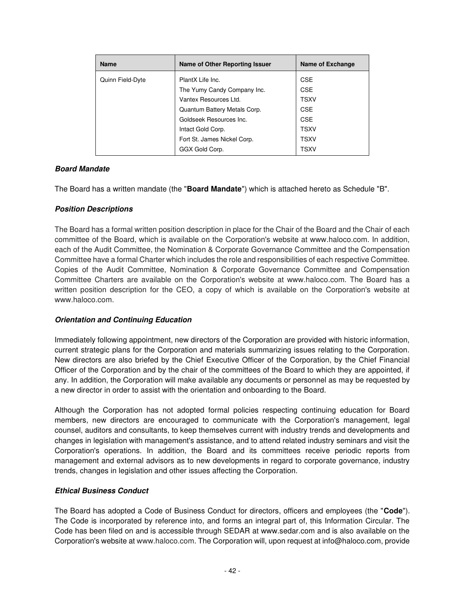| <b>Name</b>      | Name of Other Reporting Issuer | Name of Exchange |
|------------------|--------------------------------|------------------|
| Quinn Field-Dyte | PlantX Life Inc.               | <b>CSE</b>       |
|                  | The Yumy Candy Company Inc.    | <b>CSE</b>       |
|                  | Vantex Resources Ltd.          | <b>TSXV</b>      |
|                  | Quantum Battery Metals Corp.   | <b>CSE</b>       |
|                  | Goldseek Resources Inc.        | <b>CSE</b>       |
|                  | Intact Gold Corp.              | TSXV             |
|                  | Fort St. James Nickel Corp.    | <b>TSXV</b>      |
|                  | GGX Gold Corp.                 | <b>TSXV</b>      |

## **Board Mandate**

The Board has a written mandate (the "**Board Mandate**") which is attached hereto as Schedule "B".

## **Position Descriptions**

The Board has a formal written position description in place for the Chair of the Board and the Chair of each committee of the Board, which is available on the Corporation's website at www.haloco.com. In addition, each of the Audit Committee, the Nomination & Corporate Governance Committee and the Compensation Committee have a formal Charter which includes the role and responsibilities of each respective Committee. Copies of the Audit Committee, Nomination & Corporate Governance Committee and Compensation Committee Charters are available on the Corporation's website at www.haloco.com. The Board has a written position description for the CEO, a copy of which is available on the Corporation's website at www.haloco.com.

## **Orientation and Continuing Education**

Immediately following appointment, new directors of the Corporation are provided with historic information, current strategic plans for the Corporation and materials summarizing issues relating to the Corporation. New directors are also briefed by the Chief Executive Officer of the Corporation, by the Chief Financial Officer of the Corporation and by the chair of the committees of the Board to which they are appointed, if any. In addition, the Corporation will make available any documents or personnel as may be requested by a new director in order to assist with the orientation and onboarding to the Board.

Although the Corporation has not adopted formal policies respecting continuing education for Board members, new directors are encouraged to communicate with the Corporation's management, legal counsel, auditors and consultants, to keep themselves current with industry trends and developments and changes in legislation with management's assistance, and to attend related industry seminars and visit the Corporation's operations. In addition, the Board and its committees receive periodic reports from management and external advisors as to new developments in regard to corporate governance, industry trends, changes in legislation and other issues affecting the Corporation.

## **Ethical Business Conduct**

The Board has adopted a Code of Business Conduct for directors, officers and employees (the "**Code**"). The Code is incorporated by reference into, and forms an integral part of, this Information Circular. The Code has been filed on and is accessible through SEDAR at www.sedar.com and is also available on the Corporation's website at www.haloco.com. The Corporation will, upon request at info@haloco.com, provide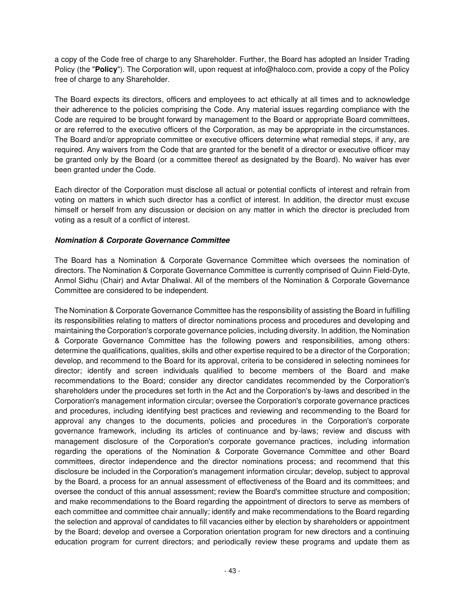a copy of the Code free of charge to any Shareholder. Further, the Board has adopted an Insider Trading Policy (the "**Policy**"). The Corporation will, upon request at info@haloco.com, provide a copy of the Policy free of charge to any Shareholder.

The Board expects its directors, officers and employees to act ethically at all times and to acknowledge their adherence to the policies comprising the Code. Any material issues regarding compliance with the Code are required to be brought forward by management to the Board or appropriate Board committees, or are referred to the executive officers of the Corporation, as may be appropriate in the circumstances. The Board and/or appropriate committee or executive officers determine what remedial steps, if any, are required. Any waivers from the Code that are granted for the benefit of a director or executive officer may be granted only by the Board (or a committee thereof as designated by the Board). No waiver has ever been granted under the Code.

Each director of the Corporation must disclose all actual or potential conflicts of interest and refrain from voting on matters in which such director has a conflict of interest. In addition, the director must excuse himself or herself from any discussion or decision on any matter in which the director is precluded from voting as a result of a conflict of interest.

## **Nomination & Corporate Governance Committee**

The Board has a Nomination & Corporate Governance Committee which oversees the nomination of directors. The Nomination & Corporate Governance Committee is currently comprised of Quinn Field-Dyte, Anmol Sidhu (Chair) and Avtar Dhaliwal. All of the members of the Nomination & Corporate Governance Committee are considered to be independent.

The Nomination & Corporate Governance Committee has the responsibility of assisting the Board in fulfilling its responsibilities relating to matters of director nominations process and procedures and developing and maintaining the Corporation's corporate governance policies, including diversity. In addition, the Nomination & Corporate Governance Committee has the following powers and responsibilities, among others: determine the qualifications, qualities, skills and other expertise required to be a director of the Corporation; develop, and recommend to the Board for its approval, criteria to be considered in selecting nominees for director; identify and screen individuals qualified to become members of the Board and make recommendations to the Board; consider any director candidates recommended by the Corporation's shareholders under the procedures set forth in the Act and the Corporation's by-laws and described in the Corporation's management information circular; oversee the Corporation's corporate governance practices and procedures, including identifying best practices and reviewing and recommending to the Board for approval any changes to the documents, policies and procedures in the Corporation's corporate governance framework, including its articles of continuance and by-laws; review and discuss with management disclosure of the Corporation's corporate governance practices, including information regarding the operations of the Nomination & Corporate Governance Committee and other Board committees, director independence and the director nominations process; and recommend that this disclosure be included in the Corporation's management information circular; develop, subject to approval by the Board, a process for an annual assessment of effectiveness of the Board and its committees; and oversee the conduct of this annual assessment; review the Board's committee structure and composition; and make recommendations to the Board regarding the appointment of directors to serve as members of each committee and committee chair annually; identify and make recommendations to the Board regarding the selection and approval of candidates to fill vacancies either by election by shareholders or appointment by the Board; develop and oversee a Corporation orientation program for new directors and a continuing education program for current directors; and periodically review these programs and update them as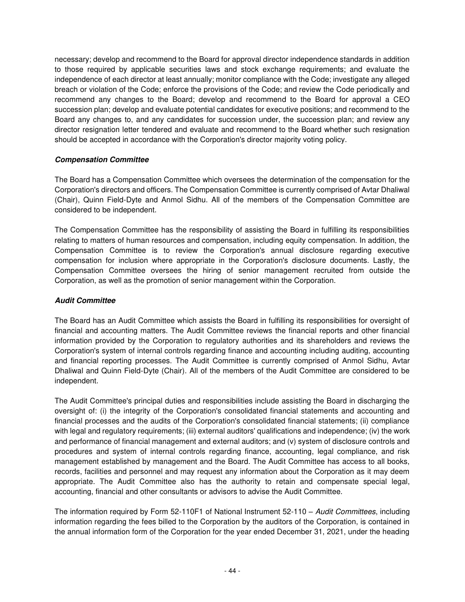necessary; develop and recommend to the Board for approval director independence standards in addition to those required by applicable securities laws and stock exchange requirements; and evaluate the independence of each director at least annually; monitor compliance with the Code; investigate any alleged breach or violation of the Code; enforce the provisions of the Code; and review the Code periodically and recommend any changes to the Board; develop and recommend to the Board for approval a CEO succession plan; develop and evaluate potential candidates for executive positions; and recommend to the Board any changes to, and any candidates for succession under, the succession plan; and review any director resignation letter tendered and evaluate and recommend to the Board whether such resignation should be accepted in accordance with the Corporation's director majority voting policy.

## **Compensation Committee**

The Board has a Compensation Committee which oversees the determination of the compensation for the Corporation's directors and officers. The Compensation Committee is currently comprised of Avtar Dhaliwal (Chair), Quinn Field-Dyte and Anmol Sidhu. All of the members of the Compensation Committee are considered to be independent.

The Compensation Committee has the responsibility of assisting the Board in fulfilling its responsibilities relating to matters of human resources and compensation, including equity compensation. In addition, the Compensation Committee is to review the Corporation's annual disclosure regarding executive compensation for inclusion where appropriate in the Corporation's disclosure documents. Lastly, the Compensation Committee oversees the hiring of senior management recruited from outside the Corporation, as well as the promotion of senior management within the Corporation.

# **Audit Committee**

The Board has an Audit Committee which assists the Board in fulfilling its responsibilities for oversight of financial and accounting matters. The Audit Committee reviews the financial reports and other financial information provided by the Corporation to regulatory authorities and its shareholders and reviews the Corporation's system of internal controls regarding finance and accounting including auditing, accounting and financial reporting processes. The Audit Committee is currently comprised of Anmol Sidhu, Avtar Dhaliwal and Quinn Field-Dyte (Chair). All of the members of the Audit Committee are considered to be independent.

The Audit Committee's principal duties and responsibilities include assisting the Board in discharging the oversight of: (i) the integrity of the Corporation's consolidated financial statements and accounting and financial processes and the audits of the Corporation's consolidated financial statements; (ii) compliance with legal and regulatory requirements; (iii) external auditors' qualifications and independence; (iv) the work and performance of financial management and external auditors; and (v) system of disclosure controls and procedures and system of internal controls regarding finance, accounting, legal compliance, and risk management established by management and the Board. The Audit Committee has access to all books, records, facilities and personnel and may request any information about the Corporation as it may deem appropriate. The Audit Committee also has the authority to retain and compensate special legal, accounting, financial and other consultants or advisors to advise the Audit Committee.

The information required by Form 52-110F1 of National Instrument 52-110 – Audit Committees, including information regarding the fees billed to the Corporation by the auditors of the Corporation, is contained in the annual information form of the Corporation for the year ended December 31, 2021, under the heading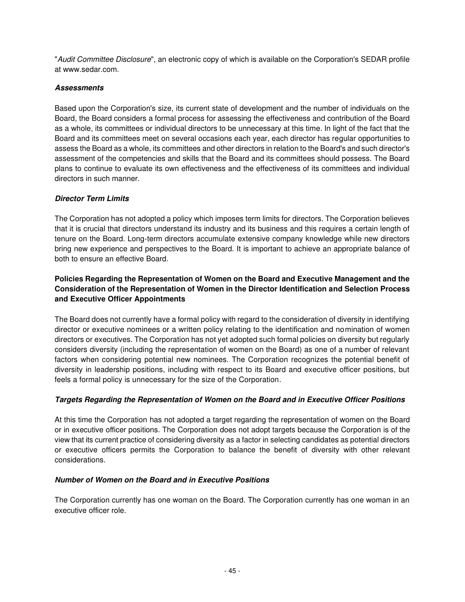"Audit Committee Disclosure", an electronic copy of which is available on the Corporation's SEDAR profile at www.sedar.com.

# **Assessments**

Based upon the Corporation's size, its current state of development and the number of individuals on the Board, the Board considers a formal process for assessing the effectiveness and contribution of the Board as a whole, its committees or individual directors to be unnecessary at this time. In light of the fact that the Board and its committees meet on several occasions each year, each director has regular opportunities to assess the Board as a whole, its committees and other directors in relation to the Board's and such director's assessment of the competencies and skills that the Board and its committees should possess. The Board plans to continue to evaluate its own effectiveness and the effectiveness of its committees and individual directors in such manner.

## **Director Term Limits**

The Corporation has not adopted a policy which imposes term limits for directors. The Corporation believes that it is crucial that directors understand its industry and its business and this requires a certain length of tenure on the Board. Long-term directors accumulate extensive company knowledge while new directors bring new experience and perspectives to the Board. It is important to achieve an appropriate balance of both to ensure an effective Board.

## **Policies Regarding the Representation of Women on the Board and Executive Management and the Consideration of the Representation of Women in the Director Identification and Selection Process and Executive Officer Appointments**

The Board does not currently have a formal policy with regard to the consideration of diversity in identifying director or executive nominees or a written policy relating to the identification and nomination of women directors or executives. The Corporation has not yet adopted such formal policies on diversity but regularly considers diversity (including the representation of women on the Board) as one of a number of relevant factors when considering potential new nominees. The Corporation recognizes the potential benefit of diversity in leadership positions, including with respect to its Board and executive officer positions, but feels a formal policy is unnecessary for the size of the Corporation.

# **Targets Regarding the Representation of Women on the Board and in Executive Officer Positions**

At this time the Corporation has not adopted a target regarding the representation of women on the Board or in executive officer positions. The Corporation does not adopt targets because the Corporation is of the view that its current practice of considering diversity as a factor in selecting candidates as potential directors or executive officers permits the Corporation to balance the benefit of diversity with other relevant considerations.

## **Number of Women on the Board and in Executive Positions**

The Corporation currently has one woman on the Board. The Corporation currently has one woman in an executive officer role.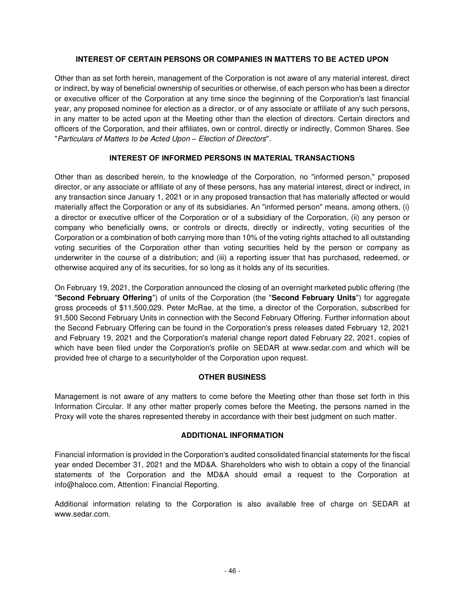## **INTEREST OF CERTAIN PERSONS OR COMPANIES IN MATTERS TO BE ACTED UPON**

<span id="page-49-0"></span>Other than as set forth herein, management of the Corporation is not aware of any material interest, direct or indirect, by way of beneficial ownership of securities or otherwise, of each person who has been a director or executive officer of the Corporation at any time since the beginning of the Corporation's last financial year, any proposed nominee for election as a director, or of any associate or affiliate of any such persons, in any matter to be acted upon at the Meeting other than the election of directors. Certain directors and officers of the Corporation, and their affiliates, own or control, directly or indirectly, Common Shares. See "Particulars of Matters to be Acted Upon *–* Election of Directors".

## **INTEREST OF INFORMED PERSONS IN MATERIAL TRANSACTIONS**

<span id="page-49-1"></span>Other than as described herein, to the knowledge of the Corporation, no "informed person," proposed director, or any associate or affiliate of any of these persons, has any material interest, direct or indirect, in any transaction since January 1, 2021 or in any proposed transaction that has materially affected or would materially affect the Corporation or any of its subsidiaries. An "informed person" means, among others, (i) a director or executive officer of the Corporation or of a subsidiary of the Corporation, (ii) any person or company who beneficially owns, or controls or directs, directly or indirectly, voting securities of the Corporation or a combination of both carrying more than 10% of the voting rights attached to all outstanding voting securities of the Corporation other than voting securities held by the person or company as underwriter in the course of a distribution; and (iii) a reporting issuer that has purchased, redeemed, or otherwise acquired any of its securities, for so long as it holds any of its securities.

On February 19, 2021, the Corporation announced the closing of an overnight marketed public offering (the "**Second February Offering**") of units of the Corporation (the "**Second February Units**") for aggregate gross proceeds of \$11,500,029. Peter McRae, at the time, a director of the Corporation, subscribed for 91,500 Second February Units in connection with the Second February Offering. Further information about the Second February Offering can be found in the Corporation's press releases dated February 12, 2021 and February 19, 2021 and the Corporation's material change report dated February 22, 2021, copies of which have been filed under the Corporation's profile on SEDAR at www.sedar.com and which will be provided free of charge to a securityholder of the Corporation upon request.

# **OTHER BUSINESS**

<span id="page-49-2"></span>Management is not aware of any matters to come before the Meeting other than those set forth in this Information Circular. If any other matter properly comes before the Meeting, the persons named in the Proxy will vote the shares represented thereby in accordance with their best judgment on such matter.

## **ADDITIONAL INFORMATION**

<span id="page-49-3"></span>Financial information is provided in the Corporation's audited consolidated financial statements for the fiscal year ended December 31, 2021 and the MD&A. Shareholders who wish to obtain a copy of the financial statements of the Corporation and the MD&A should email a request to the Corporation at info@haloco.com, Attention: Financial Reporting.

Additional information relating to the Corporation is also available free of charge on SEDAR at [www.sedar.com.](http://www.sedar.com/)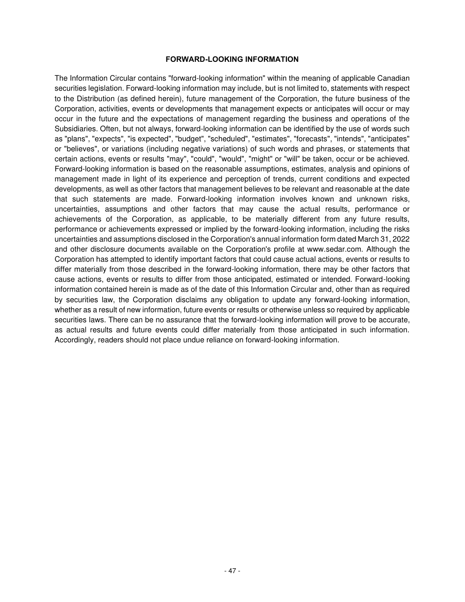#### **FORWARD-LOOKING INFORMATION**

<span id="page-50-0"></span>The Information Circular contains "forward-looking information" within the meaning of applicable Canadian securities legislation. Forward-looking information may include, but is not limited to, statements with respect to the Distribution (as defined herein), future management of the Corporation, the future business of the Corporation, activities, events or developments that management expects or anticipates will occur or may occur in the future and the expectations of management regarding the business and operations of the Subsidiaries. Often, but not always, forward-looking information can be identified by the use of words such as "plans", "expects", "is expected", "budget", "scheduled", "estimates", "forecasts", "intends", "anticipates" or "believes", or variations (including negative variations) of such words and phrases, or statements that certain actions, events or results "may", "could", "would", "might" or "will" be taken, occur or be achieved. Forward-looking information is based on the reasonable assumptions, estimates, analysis and opinions of management made in light of its experience and perception of trends, current conditions and expected developments, as well as other factors that management believes to be relevant and reasonable at the date that such statements are made. Forward-looking information involves known and unknown risks, uncertainties, assumptions and other factors that may cause the actual results, performance or achievements of the Corporation, as applicable, to be materially different from any future results, performance or achievements expressed or implied by the forward-looking information, including the risks uncertainties and assumptions disclosed in the Corporation's annual information form dated March 31, 2022 and other disclosure documents available on the Corporation's profile at www.sedar.com. Although the Corporation has attempted to identify important factors that could cause actual actions, events or results to differ materially from those described in the forward-looking information, there may be other factors that cause actions, events or results to differ from those anticipated, estimated or intended. Forward-looking information contained herein is made as of the date of this Information Circular and, other than as required by securities law, the Corporation disclaims any obligation to update any forward-looking information, whether as a result of new information, future events or results or otherwise unless so required by applicable securities laws. There can be no assurance that the forward-looking information will prove to be accurate, as actual results and future events could differ materially from those anticipated in such information. Accordingly, readers should not place undue reliance on forward-looking information.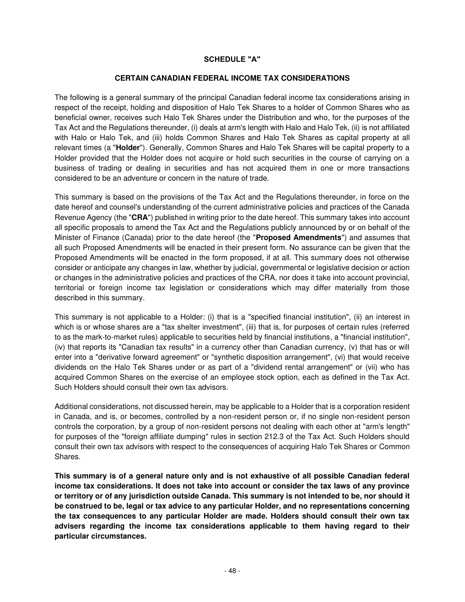### **SCHEDULE "A"**

#### **CERTAIN CANADIAN FEDERAL INCOME TAX CONSIDERATIONS**

<span id="page-51-0"></span>The following is a general summary of the principal Canadian federal income tax considerations arising in respect of the receipt, holding and disposition of Halo Tek Shares to a holder of Common Shares who as beneficial owner, receives such Halo Tek Shares under the Distribution and who, for the purposes of the Tax Act and the Regulations thereunder, (i) deals at arm's length with Halo and Halo Tek, (ii) is not affiliated with Halo or Halo Tek, and (iii) holds Common Shares and Halo Tek Shares as capital property at all relevant times (a "**Holder**"). Generally, Common Shares and Halo Tek Shares will be capital property to a Holder provided that the Holder does not acquire or hold such securities in the course of carrying on a business of trading or dealing in securities and has not acquired them in one or more transactions considered to be an adventure or concern in the nature of trade.

This summary is based on the provisions of the Tax Act and the Regulations thereunder, in force on the date hereof and counsel's understanding of the current administrative policies and practices of the Canada Revenue Agency (the "**CRA**") published in writing prior to the date hereof. This summary takes into account all specific proposals to amend the Tax Act and the Regulations publicly announced by or on behalf of the Minister of Finance (Canada) prior to the date hereof (the "**Proposed Amendments**") and assumes that all such Proposed Amendments will be enacted in their present form. No assurance can be given that the Proposed Amendments will be enacted in the form proposed, if at all. This summary does not otherwise consider or anticipate any changes in law, whether by judicial, governmental or legislative decision or action or changes in the administrative policies and practices of the CRA, nor does it take into account provincial, territorial or foreign income tax legislation or considerations which may differ materially from those described in this summary.

This summary is not applicable to a Holder: (i) that is a "specified financial institution", (ii) an interest in which is or whose shares are a "tax shelter investment", (iii) that is, for purposes of certain rules (referred to as the mark-to-market rules) applicable to securities held by financial institutions, a "financial institution", (iv) that reports its "Canadian tax results" in a currency other than Canadian currency, (v) that has or will enter into a "derivative forward agreement" or "synthetic disposition arrangement", (vi) that would receive dividends on the Halo Tek Shares under or as part of a "dividend rental arrangement" or (vii) who has acquired Common Shares on the exercise of an employee stock option, each as defined in the Tax Act. Such Holders should consult their own tax advisors.

Additional considerations, not discussed herein, may be applicable to a Holder that is a corporation resident in Canada, and is, or becomes, controlled by a non-resident person or, if no single non-resident person controls the corporation, by a group of non-resident persons not dealing with each other at "arm's length" for purposes of the "foreign affiliate dumping" rules in section 212.3 of the Tax Act. Such Holders should consult their own tax advisors with respect to the consequences of acquiring Halo Tek Shares or Common Shares.

**This summary is of a general nature only and is not exhaustive of all possible Canadian federal income tax considerations. It does not take into account or consider the tax laws of any province or territory or of any jurisdiction outside Canada. This summary is not intended to be, nor should it be construed to be, legal or tax advice to any particular Holder, and no representations concerning the tax consequences to any particular Holder are made. Holders should consult their own tax advisers regarding the income tax considerations applicable to them having regard to their particular circumstances.**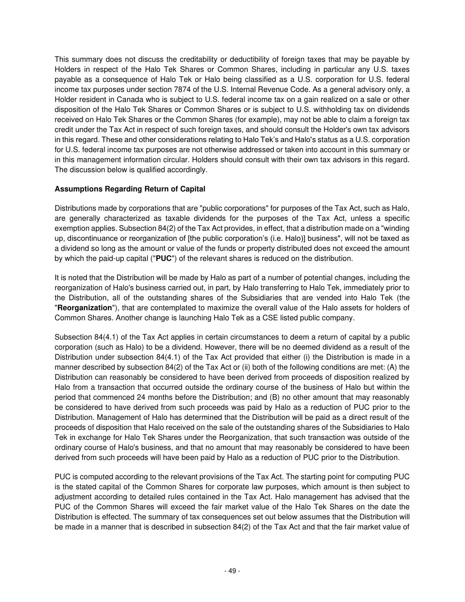This summary does not discuss the creditability or deductibility of foreign taxes that may be payable by Holders in respect of the Halo Tek Shares or Common Shares, including in particular any U.S. taxes payable as a consequence of Halo Tek or Halo being classified as a U.S. corporation for U.S. federal income tax purposes under section 7874 of the U.S. Internal Revenue Code. As a general advisory only, a Holder resident in Canada who is subject to U.S. federal income tax on a gain realized on a sale or other disposition of the Halo Tek Shares or Common Shares or is subject to U.S. withholding tax on dividends received on Halo Tek Shares or the Common Shares (for example), may not be able to claim a foreign tax credit under the Tax Act in respect of such foreign taxes, and should consult the Holder's own tax advisors in this regard. These and other considerations relating to Halo Tek's and Halo's status as a U.S. corporation for U.S. federal income tax purposes are not otherwise addressed or taken into account in this summary or in this management information circular. Holders should consult with their own tax advisors in this regard. The discussion below is qualified accordingly.

# **Assumptions Regarding Return of Capital**

Distributions made by corporations that are "public corporations" for purposes of the Tax Act, such as Halo, are generally characterized as taxable dividends for the purposes of the Tax Act, unless a specific exemption applies. Subsection 84(2) of the Tax Act provides, in effect, that a distribution made on a "winding up, discontinuance or reorganization of [the public corporation's (i.e. Halo)] business", will not be taxed as a dividend so long as the amount or value of the funds or property distributed does not exceed the amount by which the paid-up capital ("**PUC**") of the relevant shares is reduced on the distribution.

It is noted that the Distribution will be made by Halo as part of a number of potential changes, including the reorganization of Halo's business carried out, in part, by Halo transferring to Halo Tek, immediately prior to the Distribution, all of the outstanding shares of the Subsidiaries that are vended into Halo Tek (the "**Reorganization**"), that are contemplated to maximize the overall value of the Halo assets for holders of Common Shares. Another change is launching Halo Tek as a CSE listed public company.

Subsection 84(4.1) of the Tax Act applies in certain circumstances to deem a return of capital by a public corporation (such as Halo) to be a dividend. However, there will be no deemed dividend as a result of the Distribution under subsection 84(4.1) of the Tax Act provided that either (i) the Distribution is made in a manner described by subsection 84(2) of the Tax Act or (ii) both of the following conditions are met: (A) the Distribution can reasonably be considered to have been derived from proceeds of disposition realized by Halo from a transaction that occurred outside the ordinary course of the business of Halo but within the period that commenced 24 months before the Distribution; and (B) no other amount that may reasonably be considered to have derived from such proceeds was paid by Halo as a reduction of PUC prior to the Distribution. Management of Halo has determined that the Distribution will be paid as a direct result of the proceeds of disposition that Halo received on the sale of the outstanding shares of the Subsidiaries to Halo Tek in exchange for Halo Tek Shares under the Reorganization, that such transaction was outside of the ordinary course of Halo's business, and that no amount that may reasonably be considered to have been derived from such proceeds will have been paid by Halo as a reduction of PUC prior to the Distribution.

PUC is computed according to the relevant provisions of the Tax Act. The starting point for computing PUC is the stated capital of the Common Shares for corporate law purposes, which amount is then subject to adjustment according to detailed rules contained in the Tax Act. Halo management has advised that the PUC of the Common Shares will exceed the fair market value of the Halo Tek Shares on the date the Distribution is effected. The summary of tax consequences set out below assumes that the Distribution will be made in a manner that is described in subsection 84(2) of the Tax Act and that the fair market value of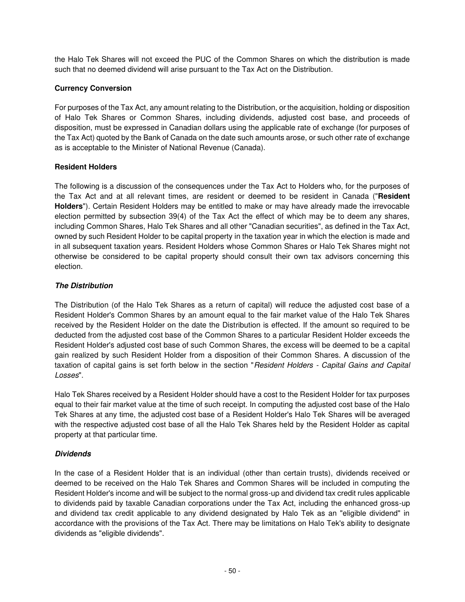the Halo Tek Shares will not exceed the PUC of the Common Shares on which the distribution is made such that no deemed dividend will arise pursuant to the Tax Act on the Distribution.

# **Currency Conversion**

For purposes of the Tax Act, any amount relating to the Distribution, or the acquisition, holding or disposition of Halo Tek Shares or Common Shares, including dividends, adjusted cost base, and proceeds of disposition, must be expressed in Canadian dollars using the applicable rate of exchange (for purposes of the Tax Act) quoted by the Bank of Canada on the date such amounts arose, or such other rate of exchange as is acceptable to the Minister of National Revenue (Canada).

## **Resident Holders**

The following is a discussion of the consequences under the Tax Act to Holders who, for the purposes of the Tax Act and at all relevant times, are resident or deemed to be resident in Canada ("**Resident Holders**"). Certain Resident Holders may be entitled to make or may have already made the irrevocable election permitted by subsection 39(4) of the Tax Act the effect of which may be to deem any shares, including Common Shares, Halo Tek Shares and all other "Canadian securities", as defined in the Tax Act, owned by such Resident Holder to be capital property in the taxation year in which the election is made and in all subsequent taxation years. Resident Holders whose Common Shares or Halo Tek Shares might not otherwise be considered to be capital property should consult their own tax advisors concerning this election.

## **The Distribution**

The Distribution (of the Halo Tek Shares as a return of capital) will reduce the adjusted cost base of a Resident Holder's Common Shares by an amount equal to the fair market value of the Halo Tek Shares received by the Resident Holder on the date the Distribution is effected. If the amount so required to be deducted from the adjusted cost base of the Common Shares to a particular Resident Holder exceeds the Resident Holder's adjusted cost base of such Common Shares, the excess will be deemed to be a capital gain realized by such Resident Holder from a disposition of their Common Shares. A discussion of the taxation of capital gains is set forth below in the section "Resident Holders - Capital Gains and Capital Losses".

Halo Tek Shares received by a Resident Holder should have a cost to the Resident Holder for tax purposes equal to their fair market value at the time of such receipt. In computing the adjusted cost base of the Halo Tek Shares at any time, the adjusted cost base of a Resident Holder's Halo Tek Shares will be averaged with the respective adjusted cost base of all the Halo Tek Shares held by the Resident Holder as capital property at that particular time.

# **Dividends**

In the case of a Resident Holder that is an individual (other than certain trusts), dividends received or deemed to be received on the Halo Tek Shares and Common Shares will be included in computing the Resident Holder's income and will be subject to the normal gross-up and dividend tax credit rules applicable to dividends paid by taxable Canadian corporations under the Tax Act, including the enhanced gross-up and dividend tax credit applicable to any dividend designated by Halo Tek as an "eligible dividend" in accordance with the provisions of the Tax Act. There may be limitations on Halo Tek's ability to designate dividends as "eligible dividends".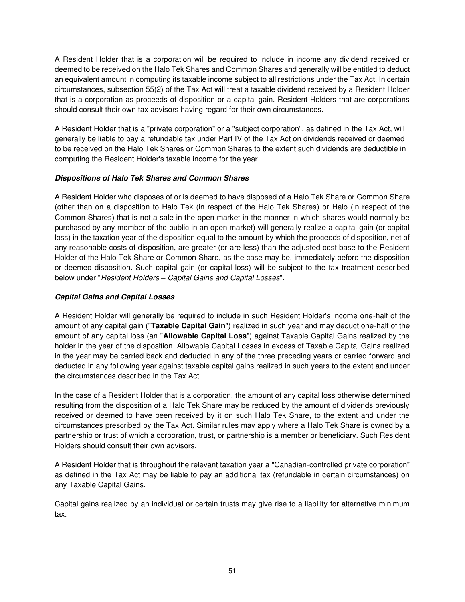A Resident Holder that is a corporation will be required to include in income any dividend received or deemed to be received on the Halo Tek Shares and Common Shares and generally will be entitled to deduct an equivalent amount in computing its taxable income subject to all restrictions under the Tax Act. In certain circumstances, subsection 55(2) of the Tax Act will treat a taxable dividend received by a Resident Holder that is a corporation as proceeds of disposition or a capital gain. Resident Holders that are corporations should consult their own tax advisors having regard for their own circumstances.

A Resident Holder that is a "private corporation" or a "subject corporation", as defined in the Tax Act, will generally be liable to pay a refundable tax under Part IV of the Tax Act on dividends received or deemed to be received on the Halo Tek Shares or Common Shares to the extent such dividends are deductible in computing the Resident Holder's taxable income for the year.

## **Dispositions of Halo Tek Shares and Common Shares**

A Resident Holder who disposes of or is deemed to have disposed of a Halo Tek Share or Common Share (other than on a disposition to Halo Tek (in respect of the Halo Tek Shares) or Halo (in respect of the Common Shares) that is not a sale in the open market in the manner in which shares would normally be purchased by any member of the public in an open market) will generally realize a capital gain (or capital loss) in the taxation year of the disposition equal to the amount by which the proceeds of disposition, net of any reasonable costs of disposition, are greater (or are less) than the adjusted cost base to the Resident Holder of the Halo Tek Share or Common Share, as the case may be, immediately before the disposition or deemed disposition. Such capital gain (or capital loss) will be subject to the tax treatment described below under "Resident Holders *–* Capital Gains and Capital Losses".

## **Capital Gains and Capital Losses**

A Resident Holder will generally be required to include in such Resident Holder's income one-half of the amount of any capital gain ("**Taxable Capital Gain**") realized in such year and may deduct one-half of the amount of any capital loss (an "**Allowable Capital Loss**") against Taxable Capital Gains realized by the holder in the year of the disposition. Allowable Capital Losses in excess of Taxable Capital Gains realized in the year may be carried back and deducted in any of the three preceding years or carried forward and deducted in any following year against taxable capital gains realized in such years to the extent and under the circumstances described in the Tax Act.

In the case of a Resident Holder that is a corporation, the amount of any capital loss otherwise determined resulting from the disposition of a Halo Tek Share may be reduced by the amount of dividends previously received or deemed to have been received by it on such Halo Tek Share, to the extent and under the circumstances prescribed by the Tax Act. Similar rules may apply where a Halo Tek Share is owned by a partnership or trust of which a corporation, trust, or partnership is a member or beneficiary. Such Resident Holders should consult their own advisors.

A Resident Holder that is throughout the relevant taxation year a "Canadian-controlled private corporation" as defined in the Tax Act may be liable to pay an additional tax (refundable in certain circumstances) on any Taxable Capital Gains.

Capital gains realized by an individual or certain trusts may give rise to a liability for alternative minimum tax.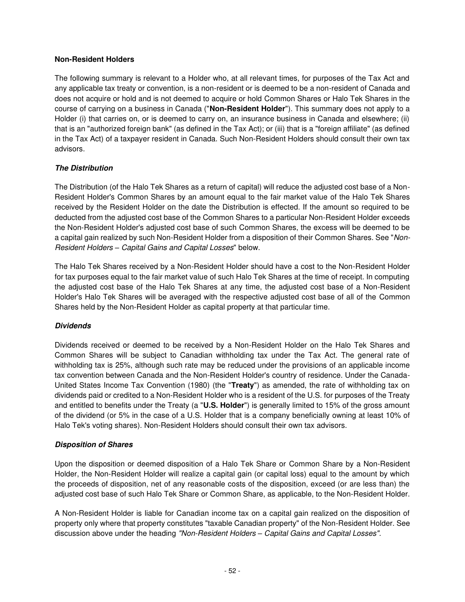### **Non-Resident Holders**

The following summary is relevant to a Holder who, at all relevant times, for purposes of the Tax Act and any applicable tax treaty or convention, is a non-resident or is deemed to be a non-resident of Canada and does not acquire or hold and is not deemed to acquire or hold Common Shares or Halo Tek Shares in the course of carrying on a business in Canada ("**Non-Resident Holder**"). This summary does not apply to a Holder (i) that carries on, or is deemed to carry on, an insurance business in Canada and elsewhere; (ii) that is an "authorized foreign bank" (as defined in the Tax Act); or (iii) that is a "foreign affiliate" (as defined in the Tax Act) of a taxpayer resident in Canada. Such Non-Resident Holders should consult their own tax advisors.

## **The Distribution**

The Distribution (of the Halo Tek Shares as a return of capital) will reduce the adjusted cost base of a Non-Resident Holder's Common Shares by an amount equal to the fair market value of the Halo Tek Shares received by the Resident Holder on the date the Distribution is effected. If the amount so required to be deducted from the adjusted cost base of the Common Shares to a particular Non-Resident Holder exceeds the Non-Resident Holder's adjusted cost base of such Common Shares, the excess will be deemed to be a capital gain realized by such Non-Resident Holder from a disposition of their Common Shares. See "Non-Resident Holders *–* Capital Gains and Capital Losses" below.

The Halo Tek Shares received by a Non-Resident Holder should have a cost to the Non-Resident Holder for tax purposes equal to the fair market value of such Halo Tek Shares at the time of receipt. In computing the adjusted cost base of the Halo Tek Shares at any time, the adjusted cost base of a Non-Resident Holder's Halo Tek Shares will be averaged with the respective adjusted cost base of all of the Common Shares held by the Non-Resident Holder as capital property at that particular time.

## **Dividends**

Dividends received or deemed to be received by a Non-Resident Holder on the Halo Tek Shares and Common Shares will be subject to Canadian withholding tax under the Tax Act. The general rate of withholding tax is 25%, although such rate may be reduced under the provisions of an applicable income tax convention between Canada and the Non-Resident Holder's country of residence. Under the Canada-United States Income Tax Convention (1980) (the "**Treaty**") as amended, the rate of withholding tax on dividends paid or credited to a Non-Resident Holder who is a resident of the U.S. for purposes of the Treaty and entitled to benefits under the Treaty (a "**U.S. Holder**") is generally limited to 15% of the gross amount of the dividend (or 5% in the case of a U.S. Holder that is a company beneficially owning at least 10% of Halo Tek's voting shares). Non-Resident Holders should consult their own tax advisors.

## **Disposition of Shares**

Upon the disposition or deemed disposition of a Halo Tek Share or Common Share by a Non-Resident Holder, the Non-Resident Holder will realize a capital gain (or capital loss) equal to the amount by which the proceeds of disposition, net of any reasonable costs of the disposition, exceed (or are less than) the adjusted cost base of such Halo Tek Share or Common Share, as applicable, to the Non-Resident Holder.

A Non-Resident Holder is liable for Canadian income tax on a capital gain realized on the disposition of property only where that property constitutes "taxable Canadian property" of the Non-Resident Holder. See discussion above under the heading "Non-Resident Holders *–* Capital Gains and Capital Losses".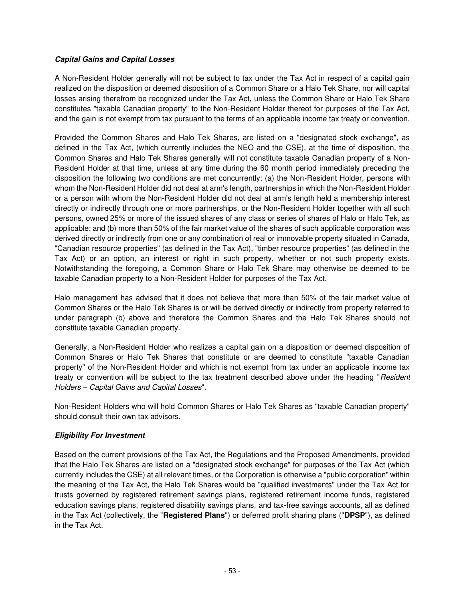## **Capital Gains and Capital Losses**

A Non-Resident Holder generally will not be subject to tax under the Tax Act in respect of a capital gain realized on the disposition or deemed disposition of a Common Share or a Halo Tek Share, nor will capital losses arising therefrom be recognized under the Tax Act, unless the Common Share or Halo Tek Share constitutes "taxable Canadian property" to the Non-Resident Holder thereof for purposes of the Tax Act, and the gain is not exempt from tax pursuant to the terms of an applicable income tax treaty or convention.

Provided the Common Shares and Halo Tek Shares, are listed on a "designated stock exchange", as defined in the Tax Act, (which currently includes the NEO and the CSE), at the time of disposition, the Common Shares and Halo Tek Shares generally will not constitute taxable Canadian property of a Non-Resident Holder at that time, unless at any time during the 60 month period immediately preceding the disposition the following two conditions are met concurrently: (a) the Non-Resident Holder, persons with whom the Non-Resident Holder did not deal at arm's length, partnerships in which the Non-Resident Holder or a person with whom the Non-Resident Holder did not deal at arm's length held a membership interest directly or indirectly through one or more partnerships, or the Non-Resident Holder together with all such persons, owned 25% or more of the issued shares of any class or series of shares of Halo or Halo Tek, as applicable; and (b) more than 50% of the fair market value of the shares of such applicable corporation was derived directly or indirectly from one or any combination of real or immovable property situated in Canada, "Canadian resource properties" (as defined in the Tax Act), "timber resource properties" (as defined in the Tax Act) or an option, an interest or right in such property, whether or not such property exists. Notwithstanding the foregoing, a Common Share or Halo Tek Share may otherwise be deemed to be taxable Canadian property to a Non-Resident Holder for purposes of the Tax Act.

Halo management has advised that it does not believe that more than 50% of the fair market value of Common Shares or the Halo Tek Shares is or will be derived directly or indirectly from property referred to under paragraph (b) above and therefore the Common Shares and the Halo Tek Shares should not constitute taxable Canadian property.

Generally, a Non-Resident Holder who realizes a capital gain on a disposition or deemed disposition of Common Shares or Halo Tek Shares that constitute or are deemed to constitute "taxable Canadian property" of the Non-Resident Holder and which is not exempt from tax under an applicable income tax treaty or convention will be subject to the tax treatment described above under the heading "Resident Holders *–* Capital Gains and Capital Losses".

Non-Resident Holders who will hold Common Shares or Halo Tek Shares as "taxable Canadian property" should consult their own tax advisors.

# **Eligibility For Investment**

Based on the current provisions of the Tax Act, the Regulations and the Proposed Amendments, provided that the Halo Tek Shares are listed on a "designated stock exchange" for purposes of the Tax Act (which currently includes the CSE) at all relevant times, or the Corporation is otherwise a "public corporation" within the meaning of the Tax Act, the Halo Tek Shares would be "qualified investments" under the Tax Act for trusts governed by registered retirement savings plans, registered retirement income funds, registered education savings plans, registered disability savings plans, and tax-free savings accounts, all as defined in the Tax Act (collectively, the "**Registered Plans**") or deferred profit sharing plans ("**DPSP**"), as defined in the Tax Act.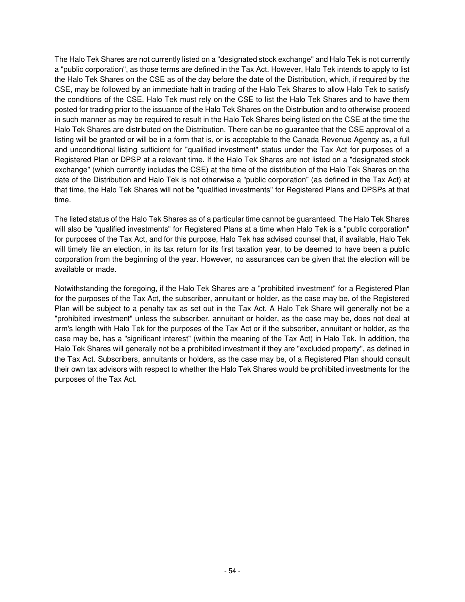The Halo Tek Shares are not currently listed on a "designated stock exchange" and Halo Tek is not currently a "public corporation", as those terms are defined in the Tax Act. However, Halo Tek intends to apply to list the Halo Tek Shares on the CSE as of the day before the date of the Distribution, which, if required by the CSE, may be followed by an immediate halt in trading of the Halo Tek Shares to allow Halo Tek to satisfy the conditions of the CSE. Halo Tek must rely on the CSE to list the Halo Tek Shares and to have them posted for trading prior to the issuance of the Halo Tek Shares on the Distribution and to otherwise proceed in such manner as may be required to result in the Halo Tek Shares being listed on the CSE at the time the Halo Tek Shares are distributed on the Distribution. There can be no guarantee that the CSE approval of a listing will be granted or will be in a form that is, or is acceptable to the Canada Revenue Agency as, a full and unconditional listing sufficient for "qualified investment" status under the Tax Act for purposes of a Registered Plan or DPSP at a relevant time. If the Halo Tek Shares are not listed on a "designated stock exchange" (which currently includes the CSE) at the time of the distribution of the Halo Tek Shares on the date of the Distribution and Halo Tek is not otherwise a "public corporation" (as defined in the Tax Act) at that time, the Halo Tek Shares will not be "qualified investments" for Registered Plans and DPSPs at that time.

The listed status of the Halo Tek Shares as of a particular time cannot be guaranteed. The Halo Tek Shares will also be "qualified investments" for Registered Plans at a time when Halo Tek is a "public corporation" for purposes of the Tax Act, and for this purpose, Halo Tek has advised counsel that, if available, Halo Tek will timely file an election, in its tax return for its first taxation year, to be deemed to have been a public corporation from the beginning of the year. However, no assurances can be given that the election will be available or made.

Notwithstanding the foregoing, if the Halo Tek Shares are a "prohibited investment" for a Registered Plan for the purposes of the Tax Act, the subscriber, annuitant or holder, as the case may be, of the Registered Plan will be subject to a penalty tax as set out in the Tax Act. A Halo Tek Share will generally not be a "prohibited investment" unless the subscriber, annuitant or holder, as the case may be, does not deal at arm's length with Halo Tek for the purposes of the Tax Act or if the subscriber, annuitant or holder, as the case may be, has a "significant interest" (within the meaning of the Tax Act) in Halo Tek. In addition, the Halo Tek Shares will generally not be a prohibited investment if they are "excluded property", as defined in the Tax Act. Subscribers, annuitants or holders, as the case may be, of a Registered Plan should consult their own tax advisors with respect to whether the Halo Tek Shares would be prohibited investments for the purposes of the Tax Act.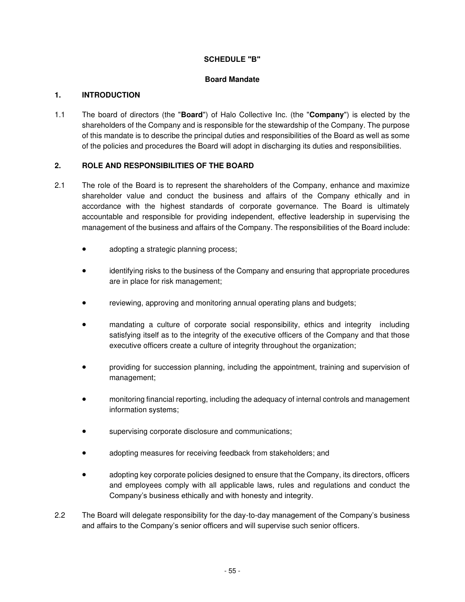## **SCHEDULE "B"**

## **Board Mandate**

## <span id="page-58-0"></span>**1. INTRODUCTION**

1.1 The board of directors (the "**Board**") of Halo Collective Inc. (the "**Company**") is elected by the shareholders of the Company and is responsible for the stewardship of the Company. The purpose of this mandate is to describe the principal duties and responsibilities of the Board as well as some of the policies and procedures the Board will adopt in discharging its duties and responsibilities.

# **2. ROLE AND RESPONSIBILITIES OF THE BOARD**

- 2.1 The role of the Board is to represent the shareholders of the Company, enhance and maximize shareholder value and conduct the business and affairs of the Company ethically and in accordance with the highest standards of corporate governance. The Board is ultimately accountable and responsible for providing independent, effective leadership in supervising the management of the business and affairs of the Company. The responsibilities of the Board include:
	- adopting a strategic planning process;
	- identifying risks to the business of the Company and ensuring that appropriate procedures are in place for risk management;
	- reviewing, approving and monitoring annual operating plans and budgets;
	- mandating a culture of corporate social responsibility, ethics and integrity including satisfying itself as to the integrity of the executive officers of the Company and that those executive officers create a culture of integrity throughout the organization;
	- providing for succession planning, including the appointment, training and supervision of management;
	- monitoring financial reporting, including the adequacy of internal controls and management information systems;
	- supervising corporate disclosure and communications;
	- adopting measures for receiving feedback from stakeholders; and
	- adopting key corporate policies designed to ensure that the Company, its directors, officers and employees comply with all applicable laws, rules and regulations and conduct the Company's business ethically and with honesty and integrity.
- 2.2 The Board will delegate responsibility for the day-to-day management of the Company's business and affairs to the Company's senior officers and will supervise such senior officers.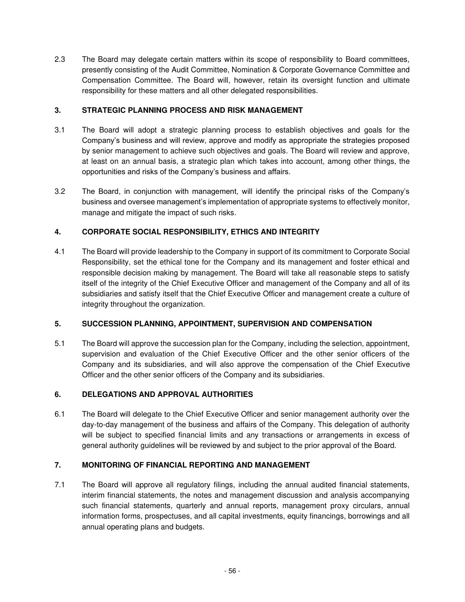2.3 The Board may delegate certain matters within its scope of responsibility to Board committees, presently consisting of the Audit Committee, Nomination & Corporate Governance Committee and Compensation Committee. The Board will, however, retain its oversight function and ultimate responsibility for these matters and all other delegated responsibilities.

# **3. STRATEGIC PLANNING PROCESS AND RISK MANAGEMENT**

- 3.1 The Board will adopt a strategic planning process to establish objectives and goals for the Company's business and will review, approve and modify as appropriate the strategies proposed by senior management to achieve such objectives and goals. The Board will review and approve, at least on an annual basis, a strategic plan which takes into account, among other things, the opportunities and risks of the Company's business and affairs.
- 3.2 The Board, in conjunction with management, will identify the principal risks of the Company's business and oversee management's implementation of appropriate systems to effectively monitor, manage and mitigate the impact of such risks.

# **4. CORPORATE SOCIAL RESPONSIBILITY, ETHICS AND INTEGRITY**

4.1 The Board will provide leadership to the Company in support of its commitment to Corporate Social Responsibility, set the ethical tone for the Company and its management and foster ethical and responsible decision making by management. The Board will take all reasonable steps to satisfy itself of the integrity of the Chief Executive Officer and management of the Company and all of its subsidiaries and satisfy itself that the Chief Executive Officer and management create a culture of integrity throughout the organization.

# **5. SUCCESSION PLANNING, APPOINTMENT, SUPERVISION AND COMPENSATION**

5.1 The Board will approve the succession plan for the Company, including the selection, appointment, supervision and evaluation of the Chief Executive Officer and the other senior officers of the Company and its subsidiaries, and will also approve the compensation of the Chief Executive Officer and the other senior officers of the Company and its subsidiaries.

# **6. DELEGATIONS AND APPROVAL AUTHORITIES**

6.1 The Board will delegate to the Chief Executive Officer and senior management authority over the day-to-day management of the business and affairs of the Company. This delegation of authority will be subject to specified financial limits and any transactions or arrangements in excess of general authority guidelines will be reviewed by and subject to the prior approval of the Board.

# **7. MONITORING OF FINANCIAL REPORTING AND MANAGEMENT**

7.1 The Board will approve all regulatory filings, including the annual audited financial statements, interim financial statements, the notes and management discussion and analysis accompanying such financial statements, quarterly and annual reports, management proxy circulars, annual information forms, prospectuses, and all capital investments, equity financings, borrowings and all annual operating plans and budgets.